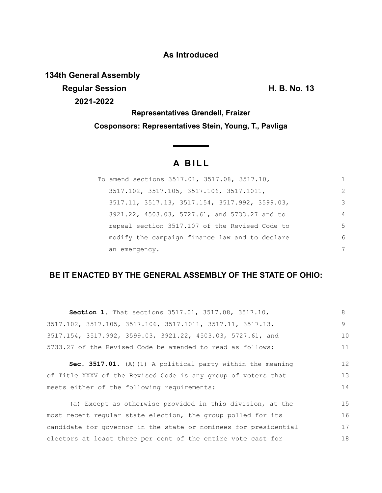### **As Introduced**

**134th General Assembly**

**Regular Session H. B. No. 13 2021-2022**

**Representatives Grendell, Fraizer Cosponsors: Representatives Stein, Young, T., Pavliga**

# **A B I L L**

| To amend sections 3517.01, 3517.08, 3517.10,   |                      |
|------------------------------------------------|----------------------|
| 3517.102, 3517.105, 3517.106, 3517.1011,       | $\mathcal{P} \equiv$ |
| 3517.11, 3517.13, 3517.154, 3517.992, 3599.03, | 3                    |
| 3921.22, 4503.03, 5727.61, and 5733.27 and to  | 4                    |
| repeal section 3517.107 of the Revised Code to | 5.                   |
| modify the campaign finance law and to declare | 6                    |
| an emergency.                                  |                      |

## **BE IT ENACTED BY THE GENERAL ASSEMBLY OF THE STATE OF OHIO:**

| Section 1. That sections 3517.01, 3517.08, 3517.10,              | 8  |
|------------------------------------------------------------------|----|
| 3517.102, 3517.105, 3517.106, 3517.1011, 3517.11, 3517.13,       | 9  |
| 3517.154, 3517.992, 3599.03, 3921.22, 4503.03, 5727.61, and      | 10 |
| 5733.27 of the Revised Code be amended to read as follows:       | 11 |
| Sec. 3517.01. (A) (1) A political party within the meaning       | 12 |
| of Title XXXV of the Revised Code is any group of voters that    | 13 |
| meets either of the following requirements:                      | 14 |
| (a) Except as otherwise provided in this division, at the        | 15 |
| most recent regular state election, the group polled for its     | 16 |
| candidate for governor in the state or nominees for presidential | 17 |
| electors at least three per cent of the entire vote cast for     | 18 |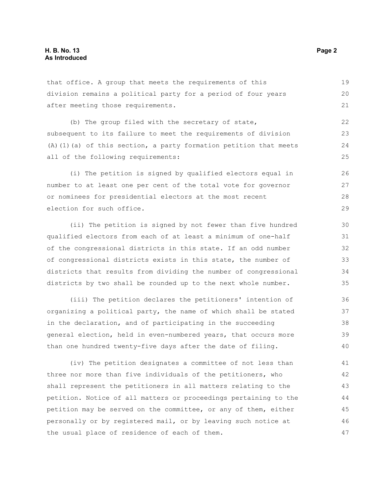that office. A group that meets the requirements of this division remains a political party for a period of four years after meeting those requirements.

(b) The group filed with the secretary of state, subsequent to its failure to meet the requirements of division (A)(1)(a) of this section, a party formation petition that meets all of the following requirements:

(i) The petition is signed by qualified electors equal in number to at least one per cent of the total vote for governor or nominees for presidential electors at the most recent election for such office. 26 27 28 29

(ii) The petition is signed by not fewer than five hundred qualified electors from each of at least a minimum of one-half of the congressional districts in this state. If an odd number of congressional districts exists in this state, the number of districts that results from dividing the number of congressional districts by two shall be rounded up to the next whole number.

(iii) The petition declares the petitioners' intention of organizing a political party, the name of which shall be stated in the declaration, and of participating in the succeeding general election, held in even-numbered years, that occurs more than one hundred twenty-five days after the date of filing. 36 37 38 39 40

(iv) The petition designates a committee of not less than three nor more than five individuals of the petitioners, who shall represent the petitioners in all matters relating to the petition. Notice of all matters or proceedings pertaining to the petition may be served on the committee, or any of them, either personally or by registered mail, or by leaving such notice at the usual place of residence of each of them. 41 42 43 44 45 46 47

19 20 21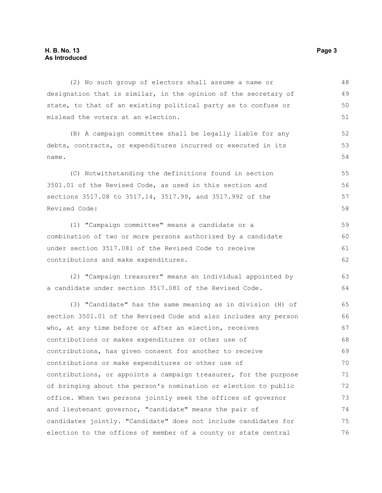(2) No such group of electors shall assume a name or designation that is similar, in the opinion of the secretary of state, to that of an existing political party as to confuse or mislead the voters at an election. (B) A campaign committee shall be legally liable for any debts, contracts, or expenditures incurred or executed in its name. (C) Notwithstanding the definitions found in section 3501.01 of the Revised Code, as used in this section and sections 3517.08 to 3517.14, 3517.99, and 3517.992 of the Revised Code: (1) "Campaign committee" means a candidate or a combination of two or more persons authorized by a candidate under section 3517.081 of the Revised Code to receive contributions and make expenditures. (2) "Campaign treasurer" means an individual appointed by a candidate under section 3517.081 of the Revised Code. (3) "Candidate" has the same meaning as in division (H) of section 3501.01 of the Revised Code and also includes any person who, at any time before or after an election, receives contributions or makes expenditures or other use of contributions, has given consent for another to receive contributions or make expenditures or other use of contributions, or appoints a campaign treasurer, for the purpose of bringing about the person's nomination or election to public office. When two persons jointly seek the offices of governor and lieutenant governor, "candidate" means the pair of candidates jointly. "Candidate" does not include candidates for election to the offices of member of a county or state central 48 49 50 51 52 53 54 55 56 57 58 59 60 61 62 63 64 65 66 67 68 69 70 71 72 73 74 75 76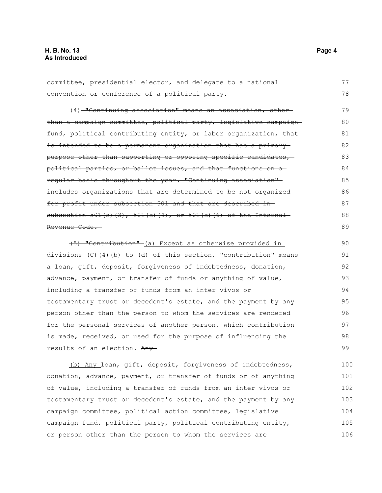committee, presidential elector, and delegate to a national convention or conference of a political party. (4) "Continuing association" means an association, otherthan a campaign committee, political party, legislative campaign fund, political contributing entity, or labor organization, that is intended to be a permanent organization that has a primarypurpose other than supporting or opposing specific candidates,political parties, or ballot issues, and that functions on a regular basis throughout the year. "Continuing association" includes organizations that are determined to be not organized for profit under subsection 501 and that are described in subsection  $501(c)$  (3),  $501(c)$  (4), or  $501(c)$  (6) of the Internal Revenue Code. 77 78 79 80 81 82 83 84 85 86 87 88 89

(5) "Contribution" (a) Except as otherwise provided in divisions (C)(4)(b) to (d) of this section, "contribution" means a loan, gift, deposit, forgiveness of indebtedness, donation, advance, payment, or transfer of funds or anything of value, including a transfer of funds from an inter vivos or testamentary trust or decedent's estate, and the payment by any person other than the person to whom the services are rendered for the personal services of another person, which contribution is made, received, or used for the purpose of influencing the results of an election. Any-90 91 92 93 94 95 96 97 98 99

(b) Any loan, gift, deposit, forgiveness of indebtedness, donation, advance, payment, or transfer of funds or of anything of value, including a transfer of funds from an inter vivos or testamentary trust or decedent's estate, and the payment by any campaign committee, political action committee, legislative campaign fund, political party, political contributing entity, or person other than the person to whom the services are 100 101 102 103 104 105 106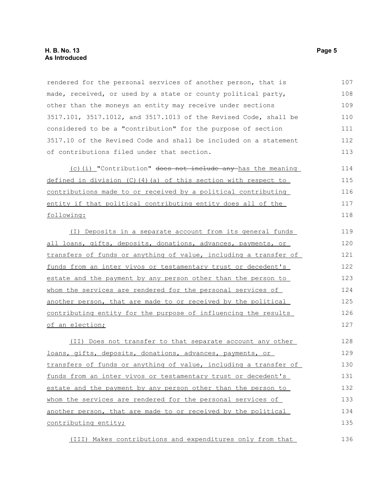rendered for the personal services of another person, that is made, received, or used by a state or county political party, other than the moneys an entity may receive under sections 3517.101, 3517.1012, and 3517.1013 of the Revised Code, shall be considered to be a "contribution" for the purpose of section 3517.10 of the Revised Code and shall be included on a statement of contributions filed under that section. 107 108 109 110 111 112 113

(c)(i) "Contribution" does not include any has the meaning defined in division  $(C)$  (4)(a) of this section with respect to contributions made to or received by a political contributing entity if that political contributing entity does all of the following: 114 115 116 117 118

(I) Deposits in a separate account from its general funds all loans, gifts, deposits, donations, advances, payments, or transfers of funds or anything of value, including a transfer of funds from an inter vivos or testamentary trust or decedent's estate and the payment by any person other than the person to whom the services are rendered for the personal services of another person, that are made to or received by the political contributing entity for the purpose of influencing the results of an election; 119 120 121 122 123 124 125 126 127

(II) Does not transfer to that separate account any other loans, gifts, deposits, donations, advances, payments, or transfers of funds or anything of value, including a transfer of funds from an inter vivos or testamentary trust or decedent's estate and the payment by any person other than the person to whom the services are rendered for the personal services of another person, that are made to or received by the political contributing entity; 128 129 130 131 132 133 134 135

(III) Makes contributions and expenditures only from that 136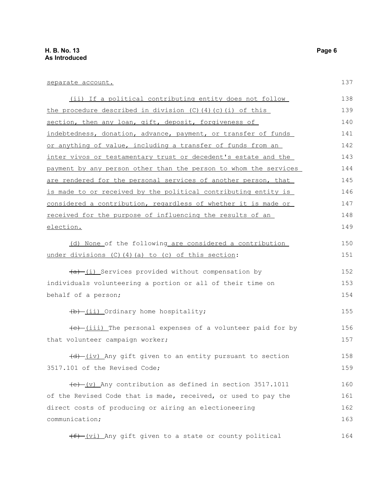137

150 151

152 153 154

155

156 157

158 159

| separate account.                                                   |
|---------------------------------------------------------------------|
| (ii) If a political contributing entity does not follow             |
| the procedure described in division $(C)$ $(4)$ $(c)$ $(i)$ of this |
| section, then any loan, gift, deposit, forgiveness of               |
| indebtedness, donation, advance, payment, or transfer of funds      |
| or anything of value, including a transfer of funds from an         |
| inter vivos or testamentary trust or decedent's estate and the      |
| payment by any person other than the person to whom the services    |
| are rendered for the personal services of another person, that      |
| is made to or received by the political contributing entity is      |
| considered a contribution, regardless of whether it is made or      |
| received for the purpose of influencing the results of an           |
| election.                                                           |
| (d) None of the following are considered a contribution             |
| under divisions (C) (4) (a) to (c) of this section:                 |
| $\frac{a}{b}$ (i) Services provided without compensation by         |
| individuals volunteering a portion or all of their time on          |
| behalf of a person;                                                 |
| (b) (ii) Ordinary home hospitality;                                 |
| (e) (iii) The personal expenses of a volunteer paid for by          |
| that volunteer campaign worker;                                     |
| (d) (iv) Any gift given to an entity pursuant to section            |
| 3517.101 of the Revised Code;                                       |

 $(e)$  (v) Any contribution as defined in section 3517.1011 of the Revised Code that is made, received, or used to pay the direct costs of producing or airing an electioneering communication; 160 161 162 163

(f) (vi) Any gift given to a state or county political 164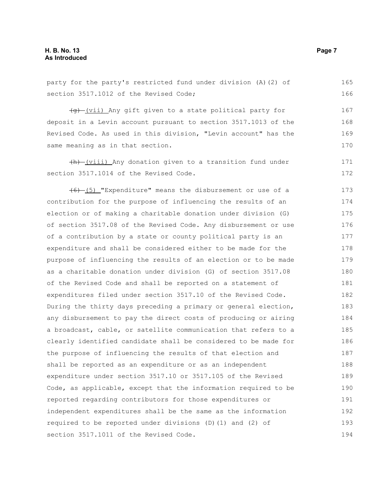#### **H. B. No. 13 Page 7 As Introduced**

party for the party's restricted fund under division (A)(2) of section 3517.1012 of the Revised Code;

(g) (vii) Any gift given to a state political party for deposit in a Levin account pursuant to section 3517.1013 of the Revised Code. As used in this division, "Levin account" has the same meaning as in that section.

(h) (viii) Any donation given to a transition fund under section 3517.1014 of the Revised Code.

 $(6)$  (5) "Expenditure" means the disbursement or use of a contribution for the purpose of influencing the results of an election or of making a charitable donation under division (G) of section 3517.08 of the Revised Code. Any disbursement or use of a contribution by a state or county political party is an expenditure and shall be considered either to be made for the purpose of influencing the results of an election or to be made as a charitable donation under division (G) of section 3517.08 of the Revised Code and shall be reported on a statement of expenditures filed under section 3517.10 of the Revised Code. During the thirty days preceding a primary or general election, any disbursement to pay the direct costs of producing or airing a broadcast, cable, or satellite communication that refers to a clearly identified candidate shall be considered to be made for the purpose of influencing the results of that election and shall be reported as an expenditure or as an independent expenditure under section 3517.10 or 3517.105 of the Revised Code, as applicable, except that the information required to be reported regarding contributors for those expenditures or independent expenditures shall be the same as the information required to be reported under divisions (D)(1) and (2) of section 3517.1011 of the Revised Code. 173 174 175 176 177 178 179 180 181 182 183 184 185 186 187 188 189 190 191 192 193 194

165 166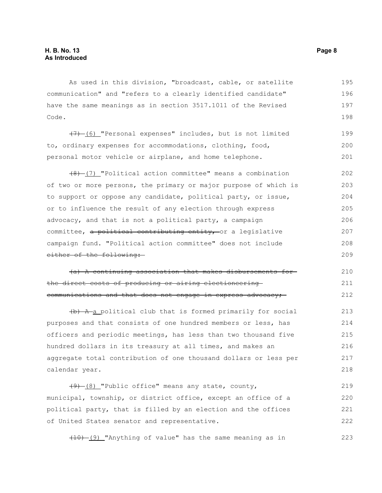As used in this division, "broadcast, cable, or satellite communication" and "refers to a clearly identified candidate" have the same meanings as in section 3517.1011 of the Revised Code. 195 196 197 198

(7) (6) "Personal expenses" includes, but is not limited to, ordinary expenses for accommodations, clothing, food, personal motor vehicle or airplane, and home telephone. 199 200 201

 $(8)$  (7) "Political action committee" means a combination of two or more persons, the primary or major purpose of which is to support or oppose any candidate, political party, or issue, or to influence the result of any election through express advocacy, and that is not a political party, a campaign committee, a political contributing entity, or a legislative campaign fund. "Political action committee" does not include either of the following: 202 203 204 205 206 207 208 209

(a) A continuing association that makes disbursements for the direct costs of producing or airing electioneering communications and that does not engage in express advocacy; 210 211 212

(b) A a political club that is formed primarily for social purposes and that consists of one hundred members or less, has officers and periodic meetings, has less than two thousand five hundred dollars in its treasury at all times, and makes an aggregate total contribution of one thousand dollars or less per calendar year. 213 214 215 216 217 218

 $(9)$  (8) "Public office" means any state, county, municipal, township, or district office, except an office of a political party, that is filled by an election and the offices of United States senator and representative. 219 220 221 222

(10) (9) "Anything of value" has the same meaning as in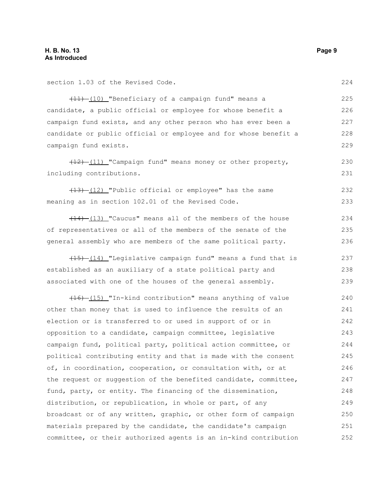section 1.03 of the Revised Code.

(11) (10) "Beneficiary of a campaign fund" means a candidate, a public official or employee for whose benefit a campaign fund exists, and any other person who has ever been a candidate or public official or employee and for whose benefit a campaign fund exists.

(12) (11) "Campaign fund" means money or other property, including contributions. 230 231

(13) (12) "Public official or employee" has the same meaning as in section 102.01 of the Revised Code. 232 233

 $(14)$  (13) "Caucus" means all of the members of the house of representatives or all of the members of the senate of the general assembly who are members of the same political party. 234 235 236

 $(15)$  (14) "Legislative campaign fund" means a fund that is established as an auxiliary of a state political party and associated with one of the houses of the general assembly.

(16) (15) "In-kind contribution" means anything of value other than money that is used to influence the results of an election or is transferred to or used in support of or in opposition to a candidate, campaign committee, legislative campaign fund, political party, political action committee, or political contributing entity and that is made with the consent of, in coordination, cooperation, or consultation with, or at the request or suggestion of the benefited candidate, committee, fund, party, or entity. The financing of the dissemination, distribution, or republication, in whole or part, of any broadcast or of any written, graphic, or other form of campaign materials prepared by the candidate, the candidate's campaign committee, or their authorized agents is an in-kind contribution 240 241 242 243 244 245 246 247 248 249 250 251 252

224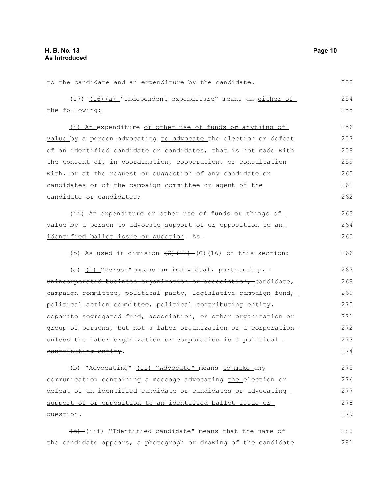to the candidate and an expenditure by the candidate. (17) (16) (a) "Independent expenditure" means an either of the following: (i) An expenditure or other use of funds or anything of value by a person advocating to advocate the election or defeat of an identified candidate or candidates, that is not made with the consent of, in coordination, cooperation, or consultation with, or at the request or suggestion of any candidate or candidates or of the campaign committee or agent of the candidate or candidates; (ii) An expenditure or other use of funds or things of value by a person to advocate support of or opposition to an identified ballot issue or question. As (b) As used in division  $\left(\frac{C}{17}\right) - \left(\frac{C}{16}\right)$  of this section:  $(a)$  (i) "Person" means an individual, partnership, unincorporated business organization or association, candidate, campaign committee, political party, legislative campaign fund, political action committee, political contributing entity, separate segregated fund, association, or other organization or group of persons, but not a labor organization or a corporation unless the labor organization or corporation is a political contributing entity. (b) "Advocating" (ii) "Advocate" means to make any communication containing a message advocating the election or defeat of an identified candidate or candidates or advocating support of or opposition to an identified ballot issue or question. 253 254 255 256 257 258 259 260 261 262 263 264 265 266 267 268 269 270 271 272 273 274 275 276 277 278 279

(e) (iii) "Identified candidate" means that the name of the candidate appears, a photograph or drawing of the candidate 280 281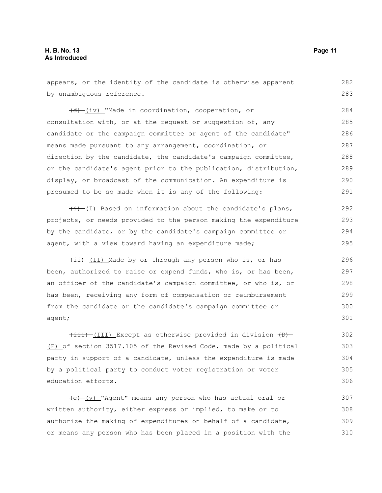appears, or the identity of the candidate is otherwise apparent by unambiguous reference. 282 283

 $\overline{(d)}$  (iv) "Made in coordination, cooperation, or consultation with, or at the request or suggestion of, any candidate or the campaign committee or agent of the candidate" means made pursuant to any arrangement, coordination, or direction by the candidate, the candidate's campaign committee, or the candidate's agent prior to the publication, distribution, display, or broadcast of the communication. An expenditure is presumed to be so made when it is any of the following: 284 285 286 287 288 289 290 291

 $\frac{1}{i}$  (I) Based on information about the candidate's plans, projects, or needs provided to the person making the expenditure by the candidate, or by the candidate's campaign committee or agent, with a view toward having an expenditure made; 292 293 294 295

 $\overline{(11)}$  Made by or through any person who is, or has been, authorized to raise or expend funds, who is, or has been, an officer of the candidate's campaign committee, or who is, or has been, receiving any form of compensation or reimbursement from the candidate or the candidate's campaign committee or agent;

 $\overline{(111)}$  Except as otherwise provided in division  $\overline{(D)}$ (F) of section 3517.105 of the Revised Code, made by a political party in support of a candidate, unless the expenditure is made by a political party to conduct voter registration or voter education efforts.

 $(e)$  (v) "Agent" means any person who has actual oral or written authority, either express or implied, to make or to authorize the making of expenditures on behalf of a candidate, or means any person who has been placed in a position with the 307 308 309 310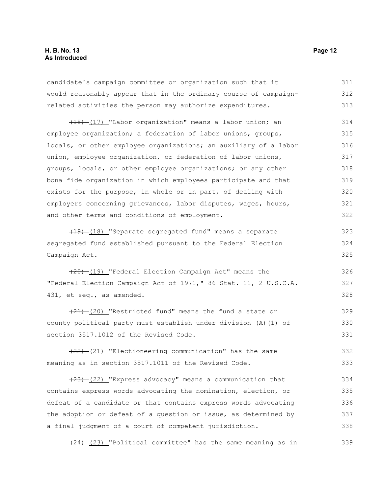#### **H. B. No. 13 Page 12 As Introduced**

candidate's campaign committee or organization such that it would reasonably appear that in the ordinary course of campaignrelated activities the person may authorize expenditures. 311 312 313

(18) (17) "Labor organization" means a labor union; an employee organization; a federation of labor unions, groups, locals, or other employee organizations; an auxiliary of a labor union, employee organization, or federation of labor unions, groups, locals, or other employee organizations; or any other bona fide organization in which employees participate and that exists for the purpose, in whole or in part, of dealing with employers concerning grievances, labor disputes, wages, hours, and other terms and conditions of employment. 314 315 316 317 318 319 320 321 322

(19) (18) "Separate segregated fund" means a separate segregated fund established pursuant to the Federal Election Campaign Act. 323 324 325

 $(20)$  (19) "Federal Election Campaign Act" means the "Federal Election Campaign Act of 1971," 86 Stat. 11, 2 U.S.C.A. 431, et seq., as amended.

 $(21)$   $(20)$  "Restricted fund" means the fund a state or county political party must establish under division (A)(1) of section 3517.1012 of the Revised Code. 329 330 331

(22) (21) "Electioneering communication" has the same meaning as in section 3517.1011 of the Revised Code. 332 333

 $(23)$   $(22)$  "Express advocacy" means a communication that contains express words advocating the nomination, election, or defeat of a candidate or that contains express words advocating the adoption or defeat of a question or issue, as determined by a final judgment of a court of competent jurisdiction. 334 335 336 337 338

 $(24)$   $(23)$  "Political committee" has the same meaning as in 339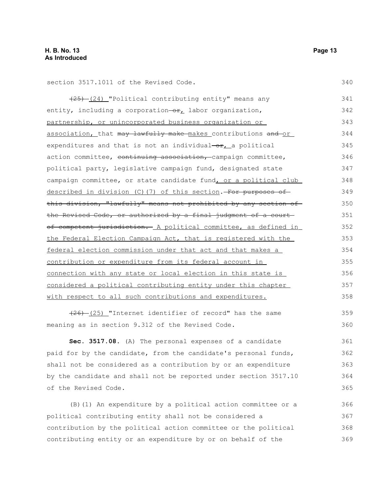section 3517.1011 of the Revised Code.

 $(25)$   $(24)$  "Political contributing entity" means any entity, including a corporation- $\Theta_{L}$  labor organization, partnership, or unincorporated business organization or association, that may lawfully make makes contributions and or expenditures and that is not an individual $-$ or, a political action committee, continuing association, campaign committee, political party, legislative campaign fund, designated state campaign committee, or state candidate fund, or a political club described in division (C)(7) of this section. For purposes of this division, "lawfully" means not prohibited by any section of the Revised Code, or authorized by a final judgment of a courtof competent jurisdiction. A political committee, as defined in the Federal Election Campaign Act, that is registered with the federal election commission under that act and that makes a contribution or expenditure from its federal account in connection with any state or local election in this state is considered a political contributing entity under this chapter with respect to all such contributions and expenditures. 341 342 343 344 345 346 347 348 349 350 351 352 353 354 355 356 357 358

 $(25)$  "Internet identifier of record" has the same meaning as in section 9.312 of the Revised Code.

**Sec. 3517.08.** (A) The personal expenses of a candidate paid for by the candidate, from the candidate's personal funds, shall not be considered as a contribution by or an expenditure by the candidate and shall not be reported under section 3517.10 of the Revised Code. 361 362 363 364 365

(B)(1) An expenditure by a political action committee or a political contributing entity shall not be considered a contribution by the political action committee or the political contributing entity or an expenditure by or on behalf of the 366 367 368 369

340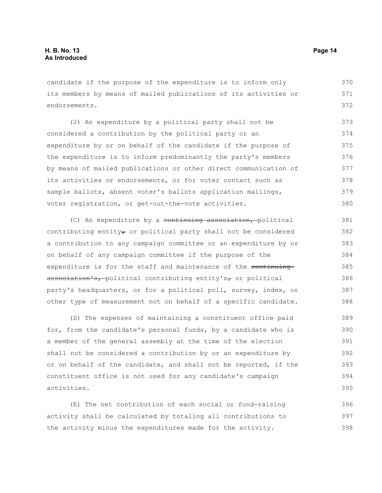candidate if the purpose of the expenditure is to inform only its members by means of mailed publications of its activities or endorsements. 370 371 372

(2) An expenditure by a political party shall not be considered a contribution by the political party or an expenditure by or on behalf of the candidate if the purpose of the expenditure is to inform predominantly the party's members by means of mailed publications or other direct communication of its activities or endorsements, or for voter contact such as sample ballots, absent voter's ballots application mailings, voter registration, or get-out-the-vote activities. 373 374 375 376 377 378 379 380

(C) An expenditure by a continuing association, political contributing entity $\tau$  or political party shall not be considered a contribution to any campaign committee or an expenditure by or on behalf of any campaign committee if the purpose of the expenditure is for the staff and maintenance of the continuing  $\alpha$ ssociation's, political contributing entity's, or political party's headquarters, or for a political poll, survey, index, or other type of measurement not on behalf of a specific candidate. 381 382 383 384 385 386 387 388

(D) The expenses of maintaining a constituent office paid for, from the candidate's personal funds, by a candidate who is a member of the general assembly at the time of the election shall not be considered a contribution by or an expenditure by or on behalf of the candidate, and shall not be reported, if the constituent office is not used for any candidate's campaign activities. 389 390 391 392 393 394 395

(E) The net contribution of each social or fund-raising activity shall be calculated by totaling all contributions to the activity minus the expenditures made for the activity. 396 397 398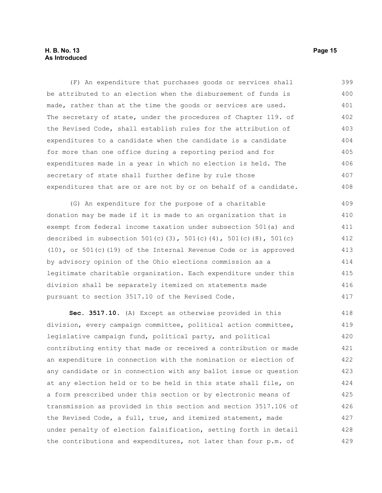#### **H. B. No. 13 Page 15 As Introduced**

(F) An expenditure that purchases goods or services shall be attributed to an election when the disbursement of funds is made, rather than at the time the goods or services are used. The secretary of state, under the procedures of Chapter 119. of the Revised Code, shall establish rules for the attribution of expenditures to a candidate when the candidate is a candidate for more than one office during a reporting period and for expenditures made in a year in which no election is held. The secretary of state shall further define by rule those expenditures that are or are not by or on behalf of a candidate. 399 400 401 402 403 404 405 406 407 408

(G) An expenditure for the purpose of a charitable donation may be made if it is made to an organization that is exempt from federal income taxation under subsection 501(a) and described in subsection  $501(c)(3)$ ,  $501(c)(4)$ ,  $501(c)(8)$ ,  $501(c)$ (10), or 501(c)(19) of the Internal Revenue Code or is approved by advisory opinion of the Ohio elections commission as a legitimate charitable organization. Each expenditure under this division shall be separately itemized on statements made pursuant to section 3517.10 of the Revised Code. 409 410 411 412 413 414 415 416 417

**Sec. 3517.10.** (A) Except as otherwise provided in this division, every campaign committee, political action committee, legislative campaign fund, political party, and political contributing entity that made or received a contribution or made an expenditure in connection with the nomination or election of any candidate or in connection with any ballot issue or question at any election held or to be held in this state shall file, on a form prescribed under this section or by electronic means of transmission as provided in this section and section 3517.106 of the Revised Code, a full, true, and itemized statement, made under penalty of election falsification, setting forth in detail the contributions and expenditures, not later than four p.m. of 418 419 420 421 422 423 424 425 426 427 428 429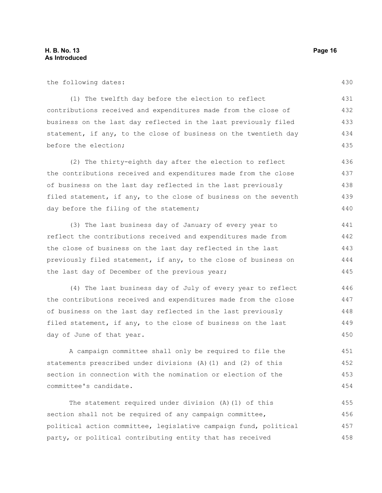the following dates:

(1) The twelfth day before the election to reflect contributions received and expenditures made from the close of business on the last day reflected in the last previously filed statement, if any, to the close of business on the twentieth day before the election; 431 432 433 434

(2) The thirty-eighth day after the election to reflect the contributions received and expenditures made from the close of business on the last day reflected in the last previously filed statement, if any, to the close of business on the seventh day before the filing of the statement; 436 437 438 439 440

(3) The last business day of January of every year to reflect the contributions received and expenditures made from the close of business on the last day reflected in the last previously filed statement, if any, to the close of business on the last day of December of the previous year; 441 442 443 444 445

(4) The last business day of July of every year to reflect the contributions received and expenditures made from the close of business on the last day reflected in the last previously filed statement, if any, to the close of business on the last day of June of that year. 446 447 448 449 450

A campaign committee shall only be required to file the statements prescribed under divisions (A)(1) and (2) of this section in connection with the nomination or election of the committee's candidate. 451 452 453 454

The statement required under division (A)(1) of this section shall not be required of any campaign committee, political action committee, legislative campaign fund, political party, or political contributing entity that has received 455 456 457 458

430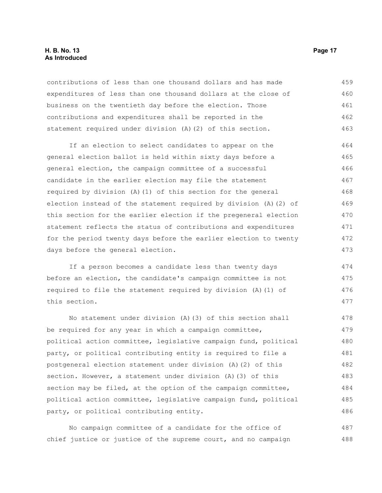#### **H. B. No. 13 Page 17 As Introduced**

contributions of less than one thousand dollars and has made expenditures of less than one thousand dollars at the close of business on the twentieth day before the election. Those contributions and expenditures shall be reported in the statement required under division (A)(2) of this section. 459 460 461 462 463

If an election to select candidates to appear on the general election ballot is held within sixty days before a general election, the campaign committee of a successful candidate in the earlier election may file the statement required by division (A)(1) of this section for the general election instead of the statement required by division (A)(2) of this section for the earlier election if the pregeneral election statement reflects the status of contributions and expenditures for the period twenty days before the earlier election to twenty days before the general election. 464 465 466 467 468 469 470 471 472 473

If a person becomes a candidate less than twenty days before an election, the candidate's campaign committee is not required to file the statement required by division (A)(1) of this section.

No statement under division (A)(3) of this section shall be required for any year in which a campaign committee, political action committee, legislative campaign fund, political party, or political contributing entity is required to file a postgeneral election statement under division (A)(2) of this section. However, a statement under division (A)(3) of this section may be filed, at the option of the campaign committee, political action committee, legislative campaign fund, political party, or political contributing entity. 478 479 480 481 482 483 484 485 486

No campaign committee of a candidate for the office of chief justice or justice of the supreme court, and no campaign 487 488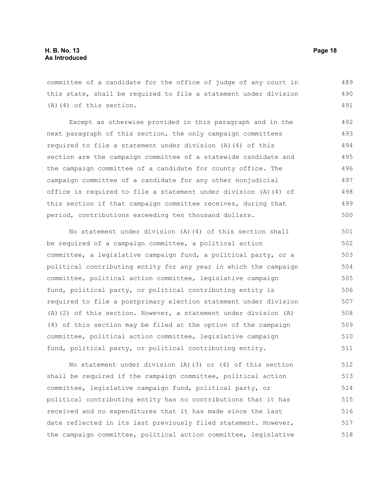committee of a candidate for the office of judge of any court in this state, shall be required to file a statement under division (A)(4) of this section. 489 490 491

Except as otherwise provided in this paragraph and in the next paragraph of this section, the only campaign committees required to file a statement under division (A)(4) of this section are the campaign committee of a statewide candidate and the campaign committee of a candidate for county office. The campaign committee of a candidate for any other nonjudicial office is required to file a statement under division (A)(4) of this section if that campaign committee receives, during that period, contributions exceeding ten thousand dollars. 492 493 494 495 496 497 498 499 500

No statement under division (A)(4) of this section shall be required of a campaign committee, a political action committee, a legislative campaign fund, a political party, or a political contributing entity for any year in which the campaign committee, political action committee, legislative campaign fund, political party, or political contributing entity is required to file a postprimary election statement under division (A)(2) of this section. However, a statement under division (A) (4) of this section may be filed at the option of the campaign committee, political action committee, legislative campaign fund, political party, or political contributing entity. 501 502 503 504 505 506 507 508 509 510 511

No statement under division (A)(3) or (4) of this section shall be required if the campaign committee, political action committee, legislative campaign fund, political party, or political contributing entity has no contributions that it has received and no expenditures that it has made since the last date reflected in its last previously filed statement. However, the campaign committee, political action committee, legislative 512 513 514 515 516 517 518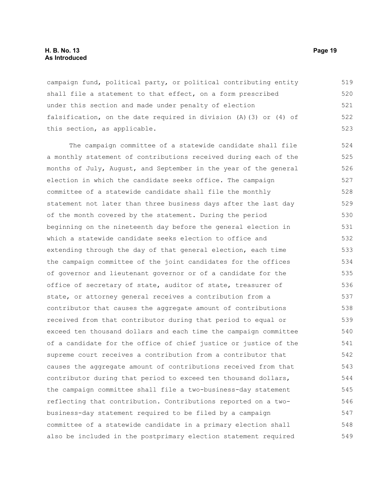#### **H. B. No. 13 Page 19 As Introduced**

campaign fund, political party, or political contributing entity shall file a statement to that effect, on a form prescribed under this section and made under penalty of election falsification, on the date required in division (A)(3) or (4) of this section, as applicable. 519 520 521 522 523

The campaign committee of a statewide candidate shall file a monthly statement of contributions received during each of the months of July, August, and September in the year of the general election in which the candidate seeks office. The campaign committee of a statewide candidate shall file the monthly statement not later than three business days after the last day of the month covered by the statement. During the period beginning on the nineteenth day before the general election in which a statewide candidate seeks election to office and extending through the day of that general election, each time the campaign committee of the joint candidates for the offices of governor and lieutenant governor or of a candidate for the office of secretary of state, auditor of state, treasurer of state, or attorney general receives a contribution from a contributor that causes the aggregate amount of contributions received from that contributor during that period to equal or exceed ten thousand dollars and each time the campaign committee of a candidate for the office of chief justice or justice of the supreme court receives a contribution from a contributor that causes the aggregate amount of contributions received from that contributor during that period to exceed ten thousand dollars, the campaign committee shall file a two-business-day statement reflecting that contribution. Contributions reported on a twobusiness-day statement required to be filed by a campaign committee of a statewide candidate in a primary election shall also be included in the postprimary election statement required 524 525 526 527 528 529 530 531 532 533 534 535 536 537 538 539 540 541 542 543 544 545 546 547 548 549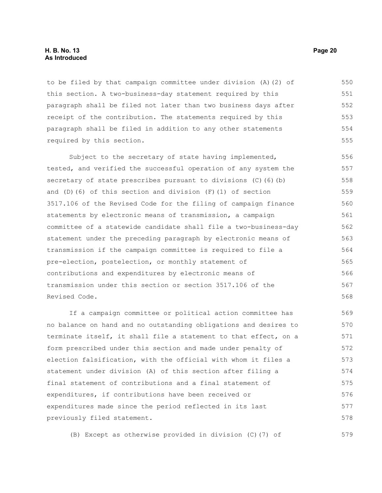#### **H. B. No. 13 Page 20 As Introduced**

to be filed by that campaign committee under division (A)(2) of this section. A two-business-day statement required by this paragraph shall be filed not later than two business days after receipt of the contribution. The statements required by this paragraph shall be filed in addition to any other statements required by this section. 550 551 552 553 554 555

Subject to the secretary of state having implemented, tested, and verified the successful operation of any system the secretary of state prescribes pursuant to divisions (C)(6)(b) and (D)(6) of this section and division (F)(1) of section 3517.106 of the Revised Code for the filing of campaign finance statements by electronic means of transmission, a campaign committee of a statewide candidate shall file a two-business-day statement under the preceding paragraph by electronic means of transmission if the campaign committee is required to file a pre-election, postelection, or monthly statement of contributions and expenditures by electronic means of transmission under this section or section 3517.106 of the Revised Code. 556 557 558 559 560 561 562 563 564 565 566 567 568

If a campaign committee or political action committee has no balance on hand and no outstanding obligations and desires to terminate itself, it shall file a statement to that effect, on a form prescribed under this section and made under penalty of election falsification, with the official with whom it files a statement under division (A) of this section after filing a final statement of contributions and a final statement of expenditures, if contributions have been received or expenditures made since the period reflected in its last previously filed statement. 569 570 571 572 573 574 575 576 577 578

(B) Except as otherwise provided in division (C)(7) of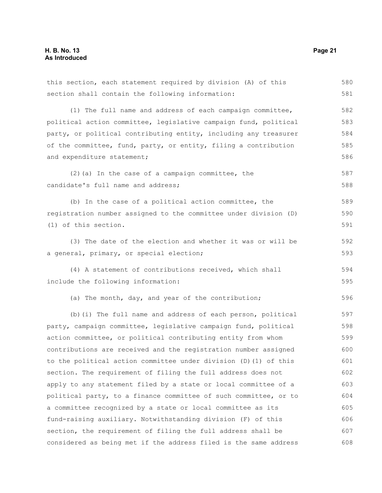this section, each statement required by division (A) of this section shall contain the following information: (1) The full name and address of each campaign committee, political action committee, legislative campaign fund, political party, or political contributing entity, including any treasurer of the committee, fund, party, or entity, filing a contribution and expenditure statement; (2)(a) In the case of a campaign committee, the candidate's full name and address; (b) In the case of a political action committee, the registration number assigned to the committee under division (D) (1) of this section. (3) The date of the election and whether it was or will be a general, primary, or special election; (4) A statement of contributions received, which shall include the following information: (a) The month, day, and year of the contribution; (b)(i) The full name and address of each person, political party, campaign committee, legislative campaign fund, political action committee, or political contributing entity from whom contributions are received and the registration number assigned to the political action committee under division (D)(1) of this section. The requirement of filing the full address does not apply to any statement filed by a state or local committee of a political party, to a finance committee of such committee, or to a committee recognized by a state or local committee as its fund-raising auxiliary. Notwithstanding division (F) of this section, the requirement of filing the full address shall be considered as being met if the address filed is the same address 581 582 583 584 585 586 587 588 589 590 591 592 593 594 595 596 597 598 599 600 601 602 603 604 605 606 607 608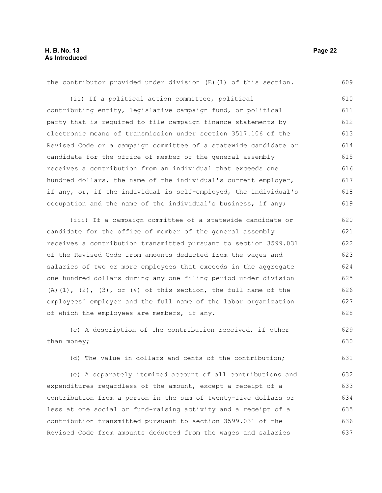| (ii) If a political action committee, political<br>contributing entity, legislative campaign fund, or political | 610<br>611<br>612 |
|-----------------------------------------------------------------------------------------------------------------|-------------------|
|                                                                                                                 |                   |
|                                                                                                                 |                   |
| party that is required to file campaign finance statements by                                                   |                   |
| electronic means of transmission under section 3517.106 of the<br>613                                           |                   |
| Revised Code or a campaign committee of a statewide candidate or                                                | 614               |
| candidate for the office of member of the general assembly                                                      | 615               |
| receives a contribution from an individual that exceeds one                                                     | 616               |
| hundred dollars, the name of the individual's current employer,                                                 | 617               |
| if any, or, if the individual is self-employed, the individual's                                                | 618               |
| occupation and the name of the individual's business, if any;                                                   | 619               |
| (iii) If a campaign committee of a statewide candidate or                                                       | 620               |
| candidate for the office of member of the general assembly                                                      | 621               |
| receives a contribution transmitted pursuant to section 3599.031                                                |                   |
| of the Revised Code from amounts deducted from the wages and                                                    |                   |
| salaries of two or more employees that exceeds in the aggregate                                                 | 624               |
| one hundred dollars during any one filing period under division                                                 | 625               |
| $(A)$ $(1)$ , $(2)$ , $(3)$ , or $(4)$ of this section, the full name of the                                    | 626               |
| employees' employer and the full name of the labor organization                                                 | 627               |
| of which the employees are members, if any.                                                                     | 628               |
| (c) A description of the contribution received, if other                                                        | 629               |
| than money;                                                                                                     | 630               |
| (d) The value in dollars and cents of the contribution;                                                         | 631               |
| (e) A separately itemized account of all contributions and                                                      | 632               |
| expenditures regardless of the amount, except a receipt of a                                                    | 633               |
| contribution from a person in the sum of twenty-five dollars or                                                 | 634               |
| less at one social or fund-raising activity and a receipt of a                                                  | 635               |
| contribution transmitted pursuant to section 3599.031 of the                                                    | 636               |
| Revised Code from amounts deducted from the wages and salaries                                                  | 637               |
|                                                                                                                 |                   |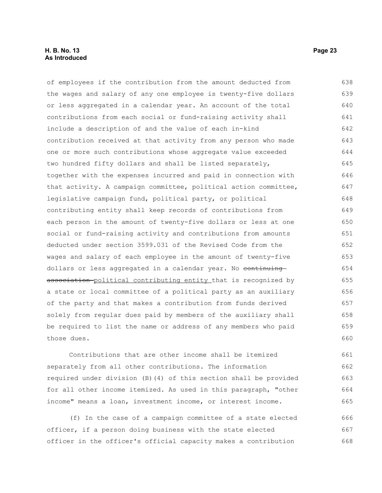#### **H. B. No. 13 Page 23 As Introduced**

of employees if the contribution from the amount deducted from the wages and salary of any one employee is twenty-five dollars or less aggregated in a calendar year. An account of the total contributions from each social or fund-raising activity shall include a description of and the value of each in-kind contribution received at that activity from any person who made one or more such contributions whose aggregate value exceeded two hundred fifty dollars and shall be listed separately, together with the expenses incurred and paid in connection with that activity. A campaign committee, political action committee, legislative campaign fund, political party, or political contributing entity shall keep records of contributions from each person in the amount of twenty-five dollars or less at one social or fund-raising activity and contributions from amounts deducted under section 3599.031 of the Revised Code from the wages and salary of each employee in the amount of twenty-five dollars or less aggregated in a calendar year. No continuing association political contributing entity that is recognized by a state or local committee of a political party as an auxiliary of the party and that makes a contribution from funds derived solely from regular dues paid by members of the auxiliary shall be required to list the name or address of any members who paid those dues. 638 639 640 641 642 643 644 645 646 647 648 649 650 651 652 653 654 655 656 657 658 659 660

Contributions that are other income shall be itemized separately from all other contributions. The information required under division (B)(4) of this section shall be provided for all other income itemized. As used in this paragraph, "other income" means a loan, investment income, or interest income. 661 662 663 664 665

(f) In the case of a campaign committee of a state elected officer, if a person doing business with the state elected officer in the officer's official capacity makes a contribution 666 667 668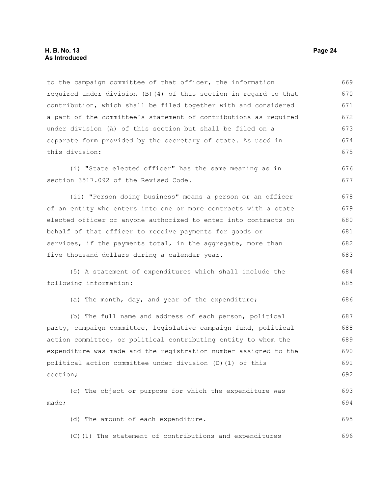#### **H. B. No. 13 Page 24 As Introduced**

to the campaign committee of that officer, the information required under division (B)(4) of this section in regard to that contribution, which shall be filed together with and considered a part of the committee's statement of contributions as required under division (A) of this section but shall be filed on a separate form provided by the secretary of state. As used in this division: 669 670 671 672 673 674 675

(i) "State elected officer" has the same meaning as in section 3517.092 of the Revised Code. 676 677

(ii) "Person doing business" means a person or an officer of an entity who enters into one or more contracts with a state elected officer or anyone authorized to enter into contracts on behalf of that officer to receive payments for goods or services, if the payments total, in the aggregate, more than five thousand dollars during a calendar year. 678 679 680 681 682 683

(5) A statement of expenditures which shall include the following information: 684 685

(a) The month, day, and year of the expenditure;

(b) The full name and address of each person, political party, campaign committee, legislative campaign fund, political action committee, or political contributing entity to whom the expenditure was made and the registration number assigned to the political action committee under division (D)(1) of this section; 687 688 689 690 691 692

(c) The object or purpose for which the expenditure was made; (d) The amount of each expenditure. 693 694 695

(C)(1) The statement of contributions and expenditures 696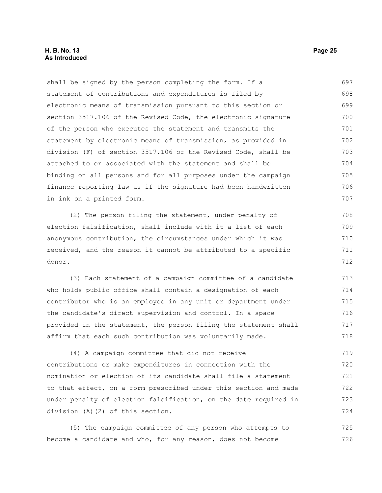shall be signed by the person completing the form. If a statement of contributions and expenditures is filed by electronic means of transmission pursuant to this section or section 3517.106 of the Revised Code, the electronic signature of the person who executes the statement and transmits the statement by electronic means of transmission, as provided in division (F) of section 3517.106 of the Revised Code, shall be attached to or associated with the statement and shall be binding on all persons and for all purposes under the campaign finance reporting law as if the signature had been handwritten in ink on a printed form. (2) The person filing the statement, under penalty of election falsification, shall include with it a list of each anonymous contribution, the circumstances under which it was received, and the reason it cannot be attributed to a specific donor. (3) Each statement of a campaign committee of a candidate who holds public office shall contain a designation of each contributor who is an employee in any unit or department under the candidate's direct supervision and control. In a space provided in the statement, the person filing the statement shall affirm that each such contribution was voluntarily made. (4) A campaign committee that did not receive contributions or make expenditures in connection with the nomination or election of its candidate shall file a statement to that effect, on a form prescribed under this section and made under penalty of election falsification, on the date required in division (A)(2) of this section. (5) The campaign committee of any person who attempts to 697 698 699 700 701 702 703 704 705 706 707 708 709 710 711 712 713 714 715 716 717 718 719 720 721 722 723 724 725

become a candidate and who, for any reason, does not become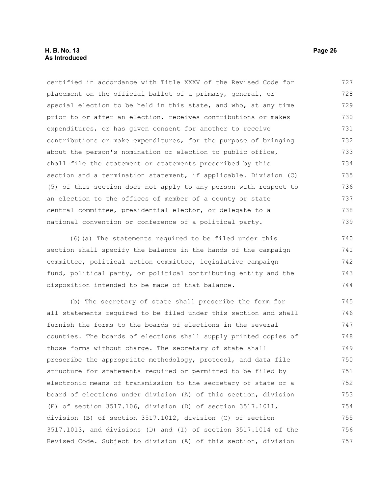#### **H. B. No. 13 Page 26 As Introduced**

certified in accordance with Title XXXV of the Revised Code for placement on the official ballot of a primary, general, or special election to be held in this state, and who, at any time prior to or after an election, receives contributions or makes expenditures, or has given consent for another to receive contributions or make expenditures, for the purpose of bringing about the person's nomination or election to public office, shall file the statement or statements prescribed by this section and a termination statement, if applicable. Division (C) (5) of this section does not apply to any person with respect to an election to the offices of member of a county or state central committee, presidential elector, or delegate to a national convention or conference of a political party. 727 728 729 730 731 732 733 734 735 736 737 738 739

(6)(a) The statements required to be filed under this section shall specify the balance in the hands of the campaign committee, political action committee, legislative campaign fund, political party, or political contributing entity and the disposition intended to be made of that balance. 740 741 742 743 744

(b) The secretary of state shall prescribe the form for all statements required to be filed under this section and shall furnish the forms to the boards of elections in the several counties. The boards of elections shall supply printed copies of those forms without charge. The secretary of state shall prescribe the appropriate methodology, protocol, and data file structure for statements required or permitted to be filed by electronic means of transmission to the secretary of state or a board of elections under division (A) of this section, division (E) of section 3517.106, division (D) of section 3517.1011, division (B) of section 3517.1012, division (C) of section 3517.1013, and divisions (D) and (I) of section 3517.1014 of the Revised Code. Subject to division (A) of this section, division 745 746 747 748 749 750 751 752 753 754 755 756 757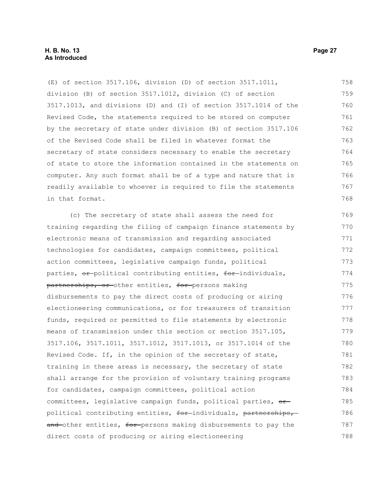(E) of section 3517.106, division (D) of section 3517.1011, division (B) of section 3517.1012, division (C) of section 3517.1013, and divisions (D) and (I) of section 3517.1014 of the Revised Code, the statements required to be stored on computer by the secretary of state under division (B) of section 3517.106 of the Revised Code shall be filed in whatever format the secretary of state considers necessary to enable the secretary of state to store the information contained in the statements on computer. Any such format shall be of a type and nature that is readily available to whoever is required to file the statements in that format. 758 759 760 761 762 763 764 765 766 767 768

(c) The secretary of state shall assess the need for training regarding the filing of campaign finance statements by electronic means of transmission and regarding associated technologies for candidates, campaign committees, political action committees, legislative campaign funds, political parties,  $\Theta$ <sup>+</sup> political contributing entities,  $\Theta$ <sup>+</sup> individuals, partnerships, or other entities, for persons making disbursements to pay the direct costs of producing or airing electioneering communications, or for treasurers of transition funds, required or permitted to file statements by electronic means of transmission under this section or section 3517.105, 3517.106, 3517.1011, 3517.1012, 3517.1013, or 3517.1014 of the Revised Code. If, in the opinion of the secretary of state, training in these areas is necessary, the secretary of state shall arrange for the provision of voluntary training programs for candidates, campaign committees, political action committees, legislative campaign funds, political parties,  $\theta$ <sup>-</sup> political contributing entities, for-individuals, partnerships, and other entities, for persons making disbursements to pay the direct costs of producing or airing electioneering 769 770 771 772 773 774 775 776 777 778 779 780 781 782 783 784 785 786 787 788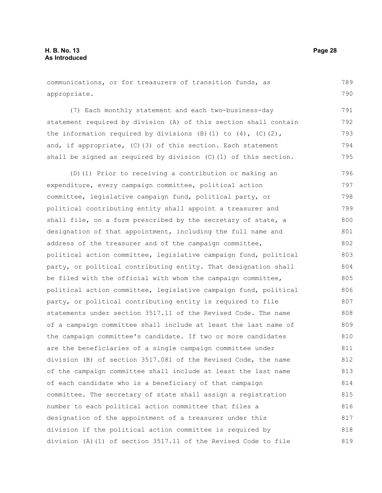communications, or for treasurers of transition funds, as appropriate. 789 790

(7) Each monthly statement and each two-business-day statement required by division (A) of this section shall contain the information required by divisions  $(B)$  (1) to  $(4)$ ,  $(C)$  (2), and, if appropriate, (C)(3) of this section. Each statement shall be signed as required by division (C)(1) of this section. 791 792 793 794 795

(D)(1) Prior to receiving a contribution or making an expenditure, every campaign committee, political action committee, legislative campaign fund, political party, or political contributing entity shall appoint a treasurer and shall file, on a form prescribed by the secretary of state, a designation of that appointment, including the full name and address of the treasurer and of the campaign committee, political action committee, legislative campaign fund, political party, or political contributing entity. That designation shall be filed with the official with whom the campaign committee, political action committee, legislative campaign fund, political party, or political contributing entity is required to file statements under section 3517.11 of the Revised Code. The name of a campaign committee shall include at least the last name of the campaign committee's candidate. If two or more candidates are the beneficiaries of a single campaign committee under division (B) of section 3517.081 of the Revised Code, the name of the campaign committee shall include at least the last name of each candidate who is a beneficiary of that campaign committee. The secretary of state shall assign a registration number to each political action committee that files a designation of the appointment of a treasurer under this division if the political action committee is required by division (A)(1) of section 3517.11 of the Revised Code to file 796 797 798 799 800 801 802 803 804 805 806 807 808 809 810 811 812 813 814 815 816 817 818 819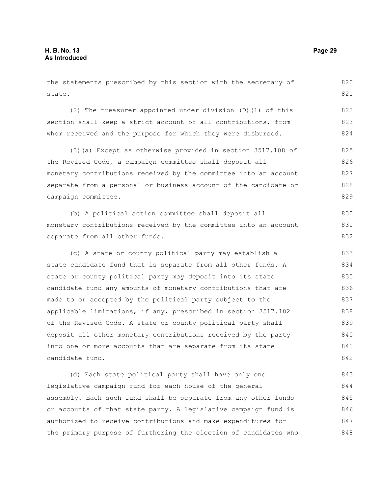the statements prescribed by this section with the secretary of state. (2) The treasurer appointed under division (D)(1) of this section shall keep a strict account of all contributions, from whom received and the purpose for which they were disbursed. (3)(a) Except as otherwise provided in section 3517.108 of the Revised Code, a campaign committee shall deposit all monetary contributions received by the committee into an account separate from a personal or business account of the candidate or campaign committee. (b) A political action committee shall deposit all monetary contributions received by the committee into an account separate from all other funds. (c) A state or county political party may establish a state candidate fund that is separate from all other funds. A state or county political party may deposit into its state candidate fund any amounts of monetary contributions that are made to or accepted by the political party subject to the applicable limitations, if any, prescribed in section 3517.102 of the Revised Code. A state or county political party shall deposit all other monetary contributions received by the party into one or more accounts that are separate from its state candidate fund. 820 821 822 823 824 825 826 827 828 829 830 831 832 833 834 835 836 837 838 839 840 841 842 843

(d) Each state political party shall have only one legislative campaign fund for each house of the general assembly. Each such fund shall be separate from any other funds or accounts of that state party. A legislative campaign fund is authorized to receive contributions and make expenditures for the primary purpose of furthering the election of candidates who 844 845 846 847 848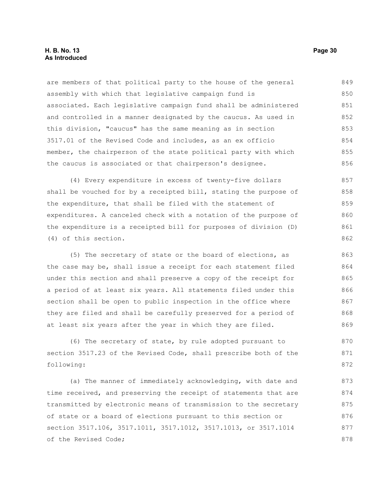#### **H. B. No. 13 Page 30 As Introduced**

are members of that political party to the house of the general assembly with which that legislative campaign fund is associated. Each legislative campaign fund shall be administered and controlled in a manner designated by the caucus. As used in this division, "caucus" has the same meaning as in section 3517.01 of the Revised Code and includes, as an ex officio member, the chairperson of the state political party with which the caucus is associated or that chairperson's designee. 849 850 851 852 853 854 855 856

(4) Every expenditure in excess of twenty-five dollars shall be vouched for by a receipted bill, stating the purpose of the expenditure, that shall be filed with the statement of expenditures. A canceled check with a notation of the purpose of the expenditure is a receipted bill for purposes of division (D) (4) of this section. 857 858 859 860 861 862

(5) The secretary of state or the board of elections, as the case may be, shall issue a receipt for each statement filed under this section and shall preserve a copy of the receipt for a period of at least six years. All statements filed under this section shall be open to public inspection in the office where they are filed and shall be carefully preserved for a period of at least six years after the year in which they are filed. 863 864 865 866 867 868 869

(6) The secretary of state, by rule adopted pursuant to section 3517.23 of the Revised Code, shall prescribe both of the following: 870 871 872

(a) The manner of immediately acknowledging, with date and time received, and preserving the receipt of statements that are transmitted by electronic means of transmission to the secretary of state or a board of elections pursuant to this section or section 3517.106, 3517.1011, 3517.1012, 3517.1013, or 3517.1014 of the Revised Code; 873 874 875 876 877 878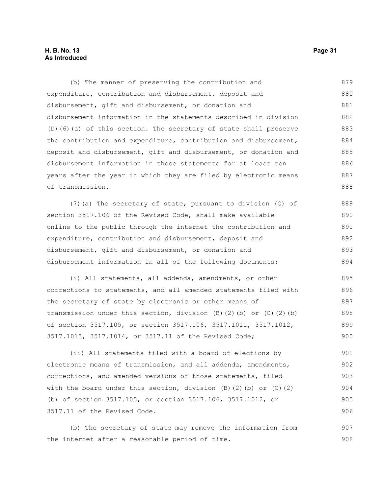#### **H. B. No. 13 Page 31 As Introduced**

(b) The manner of preserving the contribution and expenditure, contribution and disbursement, deposit and disbursement, gift and disbursement, or donation and disbursement information in the statements described in division (D)(6)(a) of this section. The secretary of state shall preserve the contribution and expenditure, contribution and disbursement, deposit and disbursement, gift and disbursement, or donation and disbursement information in those statements for at least ten years after the year in which they are filed by electronic means of transmission. (7)(a) The secretary of state, pursuant to division (G) of section 3517.106 of the Revised Code, shall make available online to the public through the internet the contribution and expenditure, contribution and disbursement, deposit and disbursement, gift and disbursement, or donation and disbursement information in all of the following documents: (i) All statements, all addenda, amendments, or other 879 880 881 882 883 884 885 886 887 888 889 890 891 892 893 894 895 896

corrections to statements, and all amended statements filed with the secretary of state by electronic or other means of transmission under this section, division  $(B)$   $(2)$   $(b)$  or  $(C)$   $(2)$   $(b)$ of section 3517.105, or section 3517.106, 3517.1011, 3517.1012, 3517.1013, 3517.1014, or 3517.11 of the Revised Code; 897 898 899 900

(ii) All statements filed with a board of elections by electronic means of transmission, and all addenda, amendments, corrections, and amended versions of those statements, filed with the board under this section, division  $(B)$  (2)(b) or  $(C)$  (2) (b) of section 3517.105, or section 3517.106, 3517.1012, or 3517.11 of the Revised Code. 901 902 903 904 905 906

(b) The secretary of state may remove the information from the internet after a reasonable period of time. 907 908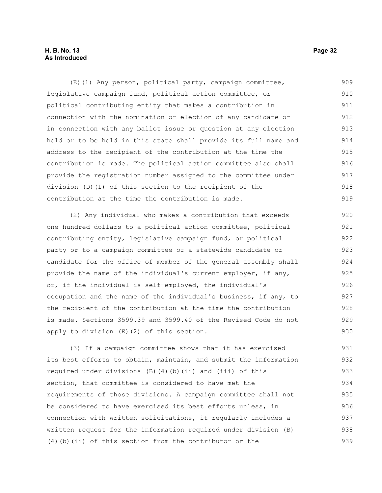#### **H. B. No. 13 Page 32 As Introduced**

(E)(1) Any person, political party, campaign committee, legislative campaign fund, political action committee, or political contributing entity that makes a contribution in connection with the nomination or election of any candidate or in connection with any ballot issue or question at any election held or to be held in this state shall provide its full name and address to the recipient of the contribution at the time the contribution is made. The political action committee also shall provide the registration number assigned to the committee under division (D)(1) of this section to the recipient of the contribution at the time the contribution is made. 909 910 911 912 913 914 915 916 917 918 919

(2) Any individual who makes a contribution that exceeds one hundred dollars to a political action committee, political contributing entity, legislative campaign fund, or political party or to a campaign committee of a statewide candidate or candidate for the office of member of the general assembly shall provide the name of the individual's current employer, if any, or, if the individual is self-employed, the individual's occupation and the name of the individual's business, if any, to the recipient of the contribution at the time the contribution is made. Sections 3599.39 and 3599.40 of the Revised Code do not apply to division (E)(2) of this section. 920 921 922 923 924 925 926 927 928 929 930

(3) If a campaign committee shows that it has exercised its best efforts to obtain, maintain, and submit the information required under divisions  $(B)$  (4)(b)(ii) and (iii) of this section, that committee is considered to have met the requirements of those divisions. A campaign committee shall not be considered to have exercised its best efforts unless, in connection with written solicitations, it regularly includes a written request for the information required under division (B) (4)(b)(ii) of this section from the contributor or the 931 932 933 934 935 936 937 938 939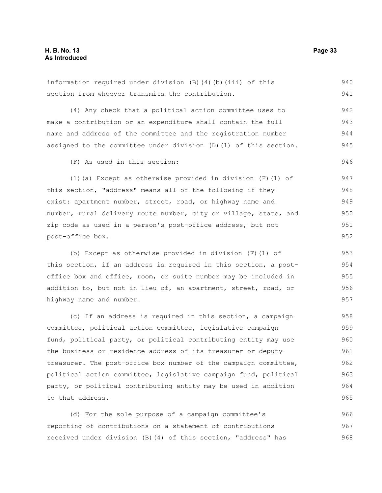information required under division (B)(4)(b)(iii) of this section from whoever transmits the contribution. (4) Any check that a political action committee uses to make a contribution or an expenditure shall contain the full name and address of the committee and the registration number assigned to the committee under division (D)(1) of this section. (F) As used in this section: (1)(a) Except as otherwise provided in division (F)(1) of this section, "address" means all of the following if they exist: apartment number, street, road, or highway name and number, rural delivery route number, city or village, state, and zip code as used in a person's post-office address, but not post-office box. (b) Except as otherwise provided in division (F)(1) of 941 942 943 944 945 946 947 948 949 950 951 952 953

this section, if an address is required in this section, a postoffice box and office, room, or suite number may be included in addition to, but not in lieu of, an apartment, street, road, or highway name and number. 954 955 956 957

(c) If an address is required in this section, a campaign committee, political action committee, legislative campaign fund, political party, or political contributing entity may use the business or residence address of its treasurer or deputy treasurer. The post-office box number of the campaign committee, political action committee, legislative campaign fund, political party, or political contributing entity may be used in addition to that address. 958 959 960 961 962 963 964 965

(d) For the sole purpose of a campaign committee's reporting of contributions on a statement of contributions received under division (B)(4) of this section, "address" has 966 967 968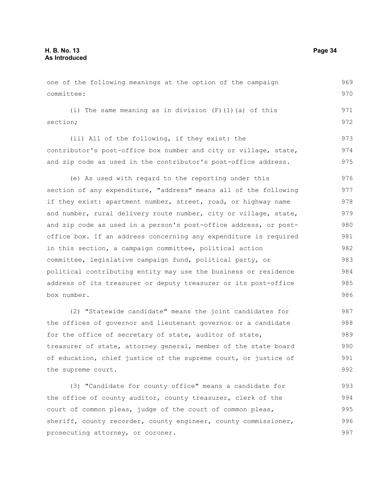one of the following meanings at the option of the campaign committee: (i) The same meaning as in division (F)(1)(a) of this section; (ii) All of the following, if they exist: the contributor's post-office box number and city or village, state, and zip code as used in the contributor's post-office address. (e) As used with regard to the reporting under this section of any expenditure, "address" means all of the following if they exist: apartment number, street, road, or highway name and number, rural delivery route number, city or village, state, and zip code as used in a person's post-office address, or postoffice box. If an address concerning any expenditure is required in this section, a campaign committee, political action committee, legislative campaign fund, political party, or political contributing entity may use the business or residence address of its treasurer or deputy treasurer or its post-office box number. (2) "Statewide candidate" means the joint candidates for the offices of governor and lieutenant governor or a candidate for the office of secretary of state, auditor of state, treasurer of state, attorney general, member of the state board 969 970 971 972 973 974 975 976 977 978 979 980 981 982 983 984 985 986 987 988 989 990

of education, chief justice of the supreme court, or justice of the supreme court. 991 992

(3) "Candidate for county office" means a candidate for the office of county auditor, county treasurer, clerk of the court of common pleas, judge of the court of common pleas, sheriff, county recorder, county engineer, county commissioner, prosecuting attorney, or coroner. 993 994 995 996 997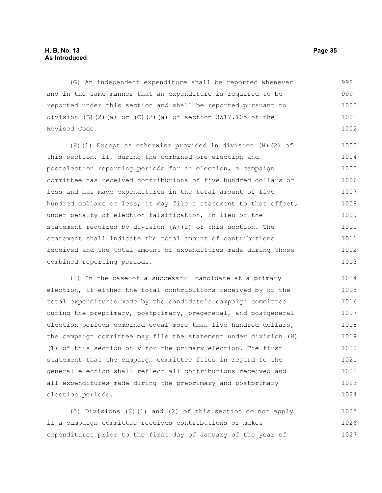(G) An independent expenditure shall be reported whenever and in the same manner that an expenditure is required to be reported under this section and shall be reported pursuant to division (B)(2)(a) or  $(C)$ (2)(a) of section 3517.105 of the Revised Code. 998 999 1000 1001 1002

(H)(1) Except as otherwise provided in division (H)(2) of this section, if, during the combined pre-election and postelection reporting periods for an election, a campaign committee has received contributions of five hundred dollars or less and has made expenditures in the total amount of five hundred dollars or less, it may file a statement to that effect, under penalty of election falsification, in lieu of the statement required by division (A)(2) of this section. The statement shall indicate the total amount of contributions received and the total amount of expenditures made during those combined reporting periods. 1003 1004 1005 1006 1007 1008 1009 1010 1011 1012 1013

(2) In the case of a successful candidate at a primary election, if either the total contributions received by or the total expenditures made by the candidate's campaign committee during the preprimary, postprimary, pregeneral, and postgeneral election periods combined equal more than five hundred dollars, the campaign committee may file the statement under division (H) (1) of this section only for the primary election. The first statement that the campaign committee files in regard to the general election shall reflect all contributions received and all expenditures made during the preprimary and postprimary election periods. 1014 1015 1016 1017 1018 1019 1020 1021 1022 1023 1024

(3) Divisions (H)(1) and (2) of this section do not apply if a campaign committee receives contributions or makes expenditures prior to the first day of January of the year of 1025 1026 1027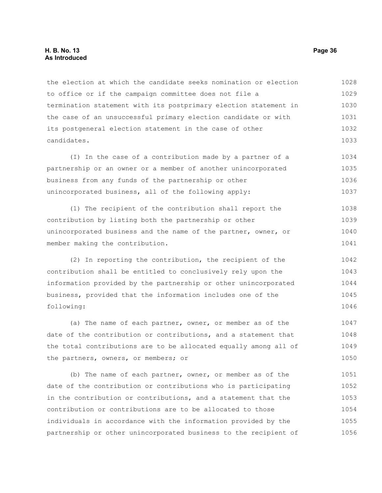#### **H. B. No. 13 Page 36 As Introduced**

the election at which the candidate seeks nomination or election to office or if the campaign committee does not file a termination statement with its postprimary election statement in the case of an unsuccessful primary election candidate or with its postgeneral election statement in the case of other candidates. 1028 1029 1030 1031 1032 1033

(I) In the case of a contribution made by a partner of a partnership or an owner or a member of another unincorporated business from any funds of the partnership or other unincorporated business, all of the following apply: 1034 1035 1036 1037

(1) The recipient of the contribution shall report the contribution by listing both the partnership or other unincorporated business and the name of the partner, owner, or member making the contribution. 1038 1039 1040 1041

(2) In reporting the contribution, the recipient of the contribution shall be entitled to conclusively rely upon the information provided by the partnership or other unincorporated business, provided that the information includes one of the following: 1042 1043 1044 1045 1046

(a) The name of each partner, owner, or member as of the date of the contribution or contributions, and a statement that the total contributions are to be allocated equally among all of the partners, owners, or members; or 1047 1048 1049 1050

(b) The name of each partner, owner, or member as of the date of the contribution or contributions who is participating in the contribution or contributions, and a statement that the contribution or contributions are to be allocated to those individuals in accordance with the information provided by the partnership or other unincorporated business to the recipient of 1051 1052 1053 1054 1055 1056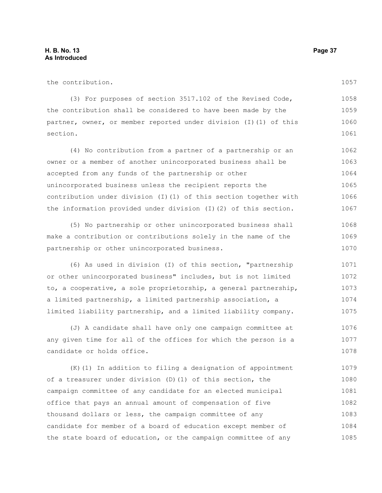1085

| the contribution.                                                 | 1057 |
|-------------------------------------------------------------------|------|
| (3) For purposes of section 3517.102 of the Revised Code,         | 1058 |
| the contribution shall be considered to have been made by the     | 1059 |
| partner, owner, or member reported under division (I) (1) of this | 1060 |
| section.                                                          | 1061 |
| (4) No contribution from a partner of a partnership or an         | 1062 |
| owner or a member of another unincorporated business shall be     | 1063 |
| accepted from any funds of the partnership or other               | 1064 |
| unincorporated business unless the recipient reports the          | 1065 |
| contribution under division (I)(1) of this section together with  | 1066 |
| the information provided under division (I)(2) of this section.   | 1067 |
| (5) No partnership or other unincorporated business shall         | 1068 |
| make a contribution or contributions solely in the name of the    | 1069 |
| partnership or other unincorporated business.                     | 1070 |
| (6) As used in division (I) of this section, "partnership         | 1071 |
| or other unincorporated business" includes, but is not limited    | 1072 |
| to, a cooperative, a sole proprietorship, a general partnership,  | 1073 |
| a limited partnership, a limited partnership association, a       | 1074 |
| limited liability partnership, and a limited liability company.   | 1075 |
| (J) A candidate shall have only one campaign committee at         | 1076 |
| any given time for all of the offices for which the person is a   | 1077 |
| candidate or holds office.                                        | 1078 |
| (K) (1) In addition to filing a designation of appointment        | 1079 |
| of a treasurer under division (D) (1) of this section, the        | 1080 |
| campaign committee of any candidate for an elected municipal      | 1081 |
| office that pays an annual amount of compensation of five         | 1082 |
| thousand dollars or less, the campaign committee of any           | 1083 |
| candidate for member of a board of education except member of     | 1084 |

the state board of education, or the campaign committee of any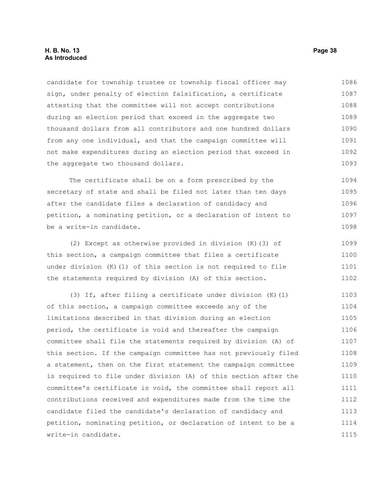## **H. B. No. 13 Page 38 As Introduced**

candidate for township trustee or township fiscal officer may sign, under penalty of election falsification, a certificate attesting that the committee will not accept contributions during an election period that exceed in the aggregate two thousand dollars from all contributors and one hundred dollars from any one individual, and that the campaign committee will not make expenditures during an election period that exceed in the aggregate two thousand dollars. 1086 1087 1088 1089 1090 1091 1092 1093

The certificate shall be on a form prescribed by the secretary of state and shall be filed not later than ten days after the candidate files a declaration of candidacy and petition, a nominating petition, or a declaration of intent to be a write-in candidate. 1094 1095 1096 1097 1098

(2) Except as otherwise provided in division (K)(3) of this section, a campaign committee that files a certificate under division (K)(1) of this section is not required to file the statements required by division (A) of this section. 1099 1100 1101 1102

(3) If, after filing a certificate under division (K)(1) of this section, a campaign committee exceeds any of the limitations described in that division during an election period, the certificate is void and thereafter the campaign committee shall file the statements required by division (A) of this section. If the campaign committee has not previously filed a statement, then on the first statement the campaign committee is required to file under division (A) of this section after the committee's certificate is void, the committee shall report all contributions received and expenditures made from the time the candidate filed the candidate's declaration of candidacy and petition, nominating petition, or declaration of intent to be a write-in candidate. 1103 1104 1105 1106 1107 1108 1109 1110 1111 1112 1113 1114 1115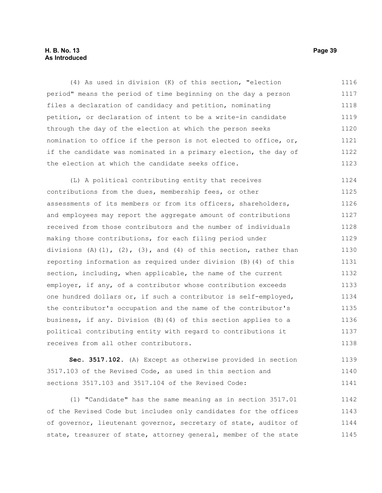### **H. B. No. 13 Page 39 As Introduced**

(4) As used in division (K) of this section, "election period" means the period of time beginning on the day a person files a declaration of candidacy and petition, nominating petition, or declaration of intent to be a write-in candidate through the day of the election at which the person seeks nomination to office if the person is not elected to office, or, if the candidate was nominated in a primary election, the day of the election at which the candidate seeks office. 1116 1117 1118 1119 1120 1121 1122 1123

(L) A political contributing entity that receives contributions from the dues, membership fees, or other assessments of its members or from its officers, shareholders, and employees may report the aggregate amount of contributions received from those contributors and the number of individuals making those contributions, for each filing period under divisions  $(A)$   $(1)$ ,  $(2)$ ,  $(3)$ , and  $(4)$  of this section, rather than reporting information as required under division (B)(4) of this section, including, when applicable, the name of the current employer, if any, of a contributor whose contribution exceeds one hundred dollars or, if such a contributor is self-employed, the contributor's occupation and the name of the contributor's business, if any. Division (B)(4) of this section applies to a political contributing entity with regard to contributions it receives from all other contributors. 1124 1125 1126 1127 1128 1129 1130 1131 1132 1133 1134 1135 1136 1137 1138

**Sec. 3517.102.** (A) Except as otherwise provided in section 3517.103 of the Revised Code, as used in this section and sections 3517.103 and 3517.104 of the Revised Code: 1139 1140 1141

(1) "Candidate" has the same meaning as in section 3517.01 of the Revised Code but includes only candidates for the offices of governor, lieutenant governor, secretary of state, auditor of state, treasurer of state, attorney general, member of the state 1142 1143 1144 1145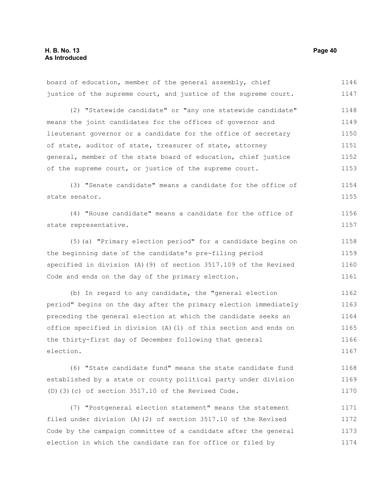board of education, member of the general assembly, chief justice of the supreme court, and justice of the supreme court. (2) "Statewide candidate" or "any one statewide candidate" means the joint candidates for the offices of governor and lieutenant governor or a candidate for the office of secretary of state, auditor of state, treasurer of state, attorney general, member of the state board of education, chief justice of the supreme court, or justice of the supreme court. (3) "Senate candidate" means a candidate for the office of state senator. (4) "House candidate" means a candidate for the office of state representative. (5)(a) "Primary election period" for a candidate begins on the beginning date of the candidate's pre-filing period specified in division (A)(9) of section 3517.109 of the Revised Code and ends on the day of the primary election. (b) In regard to any candidate, the "general election period" begins on the day after the primary election immediately preceding the general election at which the candidate seeks an office specified in division (A)(1) of this section and ends on the thirty-first day of December following that general election. 1146 1147 1148 1149 1150 1151 1152 1153 1154 1155 1156 1157 1158 1159 1160 1161 1162 1163 1164 1165 1166 1167

(6) "State candidate fund" means the state candidate fund established by a state or county political party under division (D)(3)(c) of section 3517.10 of the Revised Code. 1168 1169 1170

(7) "Postgeneral election statement" means the statement filed under division (A)(2) of section 3517.10 of the Revised Code by the campaign committee of a candidate after the general election in which the candidate ran for office or filed by 1171 1172 1173 1174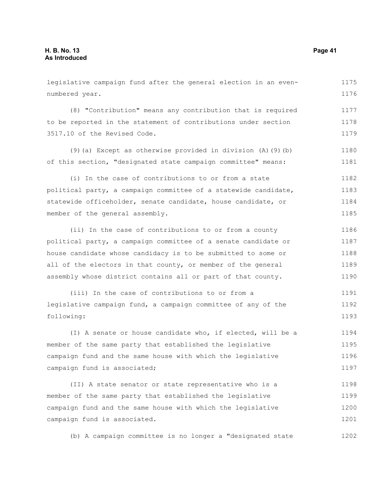legislative campaign fund after the general election in an even-1175

numbered year. 1176

(8) "Contribution" means any contribution that is required to be reported in the statement of contributions under section 3517.10 of the Revised Code. 1177 1178 1179

(9)(a) Except as otherwise provided in division (A)(9)(b) of this section, "designated state campaign committee" means: 1180 1181

(i) In the case of contributions to or from a state political party, a campaign committee of a statewide candidate, statewide officeholder, senate candidate, house candidate, or member of the general assembly. 1182 1183 1184 1185

(ii) In the case of contributions to or from a county political party, a campaign committee of a senate candidate or house candidate whose candidacy is to be submitted to some or all of the electors in that county, or member of the general assembly whose district contains all or part of that county. 1186 1187 1188 1189 1190

(iii) In the case of contributions to or from a legislative campaign fund, a campaign committee of any of the following: 1191 1192 1193

(I) A senate or house candidate who, if elected, will be a member of the same party that established the legislative campaign fund and the same house with which the legislative campaign fund is associated; 1194 1195 1196 1197

(II) A state senator or state representative who is a member of the same party that established the legislative campaign fund and the same house with which the legislative campaign fund is associated. 1198 1199 1200 1201

(b) A campaign committee is no longer a "designated state 1202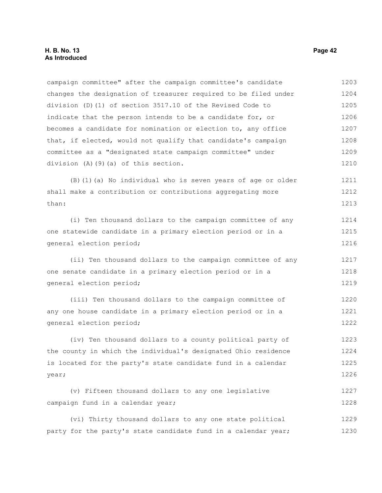campaign committee" after the campaign committee's candidate changes the designation of treasurer required to be filed under division (D)(1) of section 3517.10 of the Revised Code to indicate that the person intends to be a candidate for, or becomes a candidate for nomination or election to, any office that, if elected, would not qualify that candidate's campaign committee as a "designated state campaign committee" under division (A)(9)(a) of this section. 1203 1204 1205 1206 1207 1208 1209 1210

(B)(1)(a) No individual who is seven years of age or older shall make a contribution or contributions aggregating more than: 1211 1212 1213

(i) Ten thousand dollars to the campaign committee of any one statewide candidate in a primary election period or in a general election period; 1214 1215 1216

(ii) Ten thousand dollars to the campaign committee of any one senate candidate in a primary election period or in a general election period; 1217 1218 1219

(iii) Ten thousand dollars to the campaign committee of any one house candidate in a primary election period or in a general election period; 1220 1221 1222

(iv) Ten thousand dollars to a county political party of the county in which the individual's designated Ohio residence is located for the party's state candidate fund in a calendar year; 1223 1224 1225 1226

(v) Fifteen thousand dollars to any one legislative campaign fund in a calendar year; 1227 1228

(vi) Thirty thousand dollars to any one state political party for the party's state candidate fund in a calendar year; 1229 1230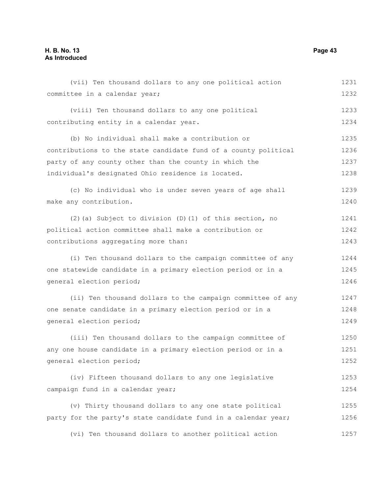# **H. B. No. 13 Page 43 As Introduced**

| (vii) Ten thousand dollars to any one political action          | 1231 |
|-----------------------------------------------------------------|------|
| committee in a calendar year;                                   | 1232 |
| (viii) Ten thousand dollars to any one political                | 1233 |
| contributing entity in a calendar year.                         | 1234 |
| (b) No individual shall make a contribution or                  | 1235 |
| contributions to the state candidate fund of a county political | 1236 |
| party of any county other than the county in which the          | 1237 |
| individual's designated Ohio residence is located.              | 1238 |
| (c) No individual who is under seven years of age shall         | 1239 |
| make any contribution.                                          | 1240 |
| (2) (a) Subject to division (D) (1) of this section, no         | 1241 |
| political action committee shall make a contribution or         | 1242 |
| contributions aggregating more than:                            | 1243 |
| (i) Ten thousand dollars to the campaign committee of any       | 1244 |
| one statewide candidate in a primary election period or in a    | 1245 |
| general election period;                                        | 1246 |
| (ii) Ten thousand dollars to the campaign committee of any      | 1247 |
| one senate candidate in a primary election period or in a       | 1248 |
| general election period;                                        | 1249 |
| (iii) Ten thousand dollars to the campaign committee of         | 1250 |
| any one house candidate in a primary election period or in a    | 1251 |
| general election period;                                        | 1252 |
| (iv) Fifteen thousand dollars to any one legislative            | 1253 |
| campaign fund in a calendar year;                               | 1254 |
| (v) Thirty thousand dollars to any one state political          | 1255 |
| party for the party's state candidate fund in a calendar year;  | 1256 |
| (vi) Ten thousand dollars to another political action           | 1257 |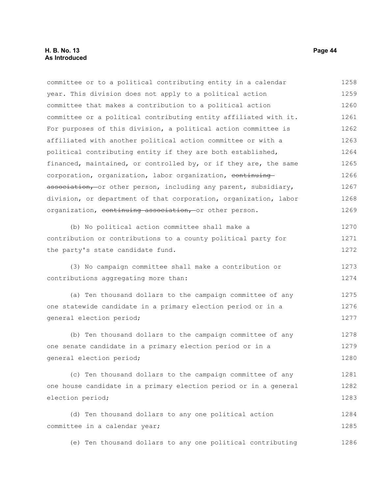committee or to a political contributing entity in a calendar year. This division does not apply to a political action committee that makes a contribution to a political action committee or a political contributing entity affiliated with it. For purposes of this division, a political action committee is affiliated with another political action committee or with a political contributing entity if they are both established, financed, maintained, or controlled by, or if they are, the same corporation, organization, labor organization, continuing association, or other person, including any parent, subsidiary, division, or department of that corporation, organization, labor organization, continuing association, or other person. (b) No political action committee shall make a contribution or contributions to a county political party for the party's state candidate fund. (3) No campaign committee shall make a contribution or contributions aggregating more than: (a) Ten thousand dollars to the campaign committee of any one statewide candidate in a primary election period or in a general election period; (b) Ten thousand dollars to the campaign committee of any one senate candidate in a primary election period or in a general election period; (c) Ten thousand dollars to the campaign committee of any one house candidate in a primary election period or in a general election period; (d) Ten thousand dollars to any one political action committee in a calendar year; (e) Ten thousand dollars to any one political contributing 1258 1259 1260 1261 1262 1263 1264 1265 1266 1267 1268 1269 1270 1271 1272 1273 1274 1275 1276 1277 1278 1279 1280 1281 1282 1283 1284 1285 1286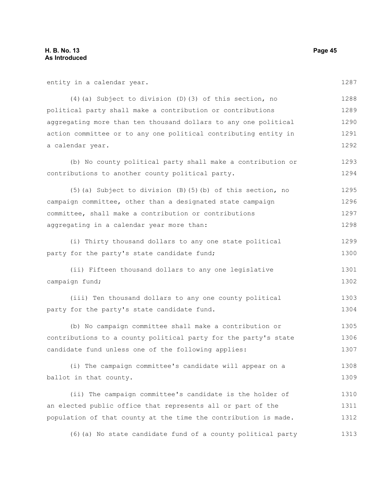| entity in a calendar year.                                        | 1287 |
|-------------------------------------------------------------------|------|
| (4) (a) Subject to division (D) (3) of this section, no           | 1288 |
| political party shall make a contribution or contributions        | 1289 |
| aggregating more than ten thousand dollars to any one political   | 1290 |
| action committee or to any one political contributing entity in   | 1291 |
| a calendar year.                                                  | 1292 |
| (b) No county political party shall make a contribution or        | 1293 |
| contributions to another county political party.                  | 1294 |
| $(5)$ (a) Subject to division $(B)$ $(5)$ (b) of this section, no | 1295 |
| campaign committee, other than a designated state campaign        | 1296 |
| committee, shall make a contribution or contributions             | 1297 |
| aggregating in a calendar year more than:                         | 1298 |
| (i) Thirty thousand dollars to any one state political            | 1299 |
| party for the party's state candidate fund;                       | 1300 |
| (ii) Fifteen thousand dollars to any one legislative              | 1301 |
| campaign fund;                                                    | 1302 |
| (iii) Ten thousand dollars to any one county political            | 1303 |
| party for the party's state candidate fund.                       | 1304 |
| (b) No campaign committee shall make a contribution or            | 1305 |
| contributions to a county political party for the party's state   | 1306 |
| candidate fund unless one of the following applies:               | 1307 |
| (i) The campaign committee's candidate will appear on a           | 1308 |
| ballot in that county.                                            | 1309 |
| (ii) The campaign committee's candidate is the holder of          | 1310 |
| an elected public office that represents all or part of the       | 1311 |
| population of that county at the time the contribution is made.   | 1312 |
| (6) (a) No state candidate fund of a county political party       | 1313 |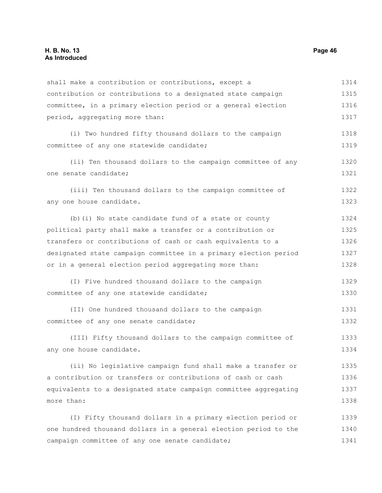| shall make a contribution or contributions, except a             | 1314 |
|------------------------------------------------------------------|------|
| contribution or contributions to a designated state campaign     | 1315 |
| committee, in a primary election period or a general election    | 1316 |
| period, aggregating more than:                                   | 1317 |
| (i) Two hundred fifty thousand dollars to the campaign           | 1318 |
| committee of any one statewide candidate;                        | 1319 |
| (ii) Ten thousand dollars to the campaign committee of any       | 1320 |
| one senate candidate;                                            | 1321 |
| (iii) Ten thousand dollars to the campaign committee of          | 1322 |
| any one house candidate.                                         | 1323 |
| (b) (i) No state candidate fund of a state or county             | 1324 |
| political party shall make a transfer or a contribution or       | 1325 |
| transfers or contributions of cash or cash equivalents to a      | 1326 |
| designated state campaign committee in a primary election period | 1327 |
| or in a general election period aggregating more than:           | 1328 |
| (I) Five hundred thousand dollars to the campaign                | 1329 |
| committee of any one statewide candidate;                        | 1330 |
| (II) One hundred thousand dollars to the campaign                | 1331 |
| committee of any one senate candidate;                           | 1332 |
| (III) Fifty thousand dollars to the campaign committee of        | 1333 |
| any one house candidate.                                         | 1334 |
| (ii) No legislative campaign fund shall make a transfer or       | 1335 |
| a contribution or transfers or contributions of cash or cash     | 1336 |
| equivalents to a designated state campaign committee aggregating | 1337 |
| more than:                                                       | 1338 |
| (I) Fifty thousand dollars in a primary election period or       | 1339 |
| one hundred thousand dollars in a general election period to the | 1340 |
| campaign committee of any one senate candidate;                  | 1341 |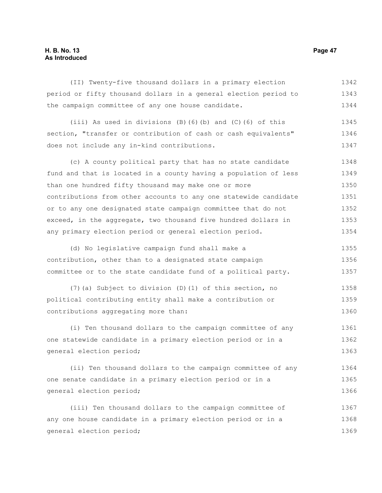## **H. B. No. 13 Page 47 As Introduced**

(II) Twenty-five thousand dollars in a primary election period or fifty thousand dollars in a general election period to the campaign committee of any one house candidate. 1342 1343 1344

(iii) As used in divisions (B)(6)(b) and (C)(6) of this section, "transfer or contribution of cash or cash equivalents" does not include any in-kind contributions. 1345 1346 1347

(c) A county political party that has no state candidate fund and that is located in a county having a population of less than one hundred fifty thousand may make one or more contributions from other accounts to any one statewide candidate or to any one designated state campaign committee that do not exceed, in the aggregate, two thousand five hundred dollars in any primary election period or general election period. 1348 1349 1350 1351 1352 1353 1354

(d) No legislative campaign fund shall make a contribution, other than to a designated state campaign committee or to the state candidate fund of a political party. 1355 1356 1357

(7)(a) Subject to division (D)(1) of this section, no political contributing entity shall make a contribution or contributions aggregating more than: 1358 1359 1360

(i) Ten thousand dollars to the campaign committee of any one statewide candidate in a primary election period or in a general election period; 1361 1362 1363

(ii) Ten thousand dollars to the campaign committee of any one senate candidate in a primary election period or in a general election period; 1364 1365 1366

(iii) Ten thousand dollars to the campaign committee of any one house candidate in a primary election period or in a general election period; 1367 1368 1369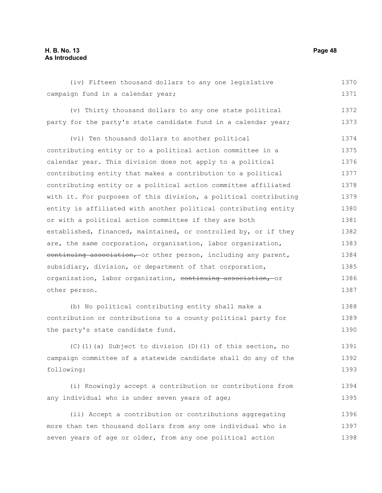## **H. B. No. 13 Page 48 As Introduced**

(iv) Fifteen thousand dollars to any one legislative campaign fund in a calendar year; (v) Thirty thousand dollars to any one state political party for the party's state candidate fund in a calendar year; (vi) Ten thousand dollars to another political contributing entity or to a political action committee in a calendar year. This division does not apply to a political contributing entity that makes a contribution to a political contributing entity or a political action committee affiliated with it. For purposes of this division, a political contributing entity is affiliated with another political contributing entity or with a political action committee if they are both established, financed, maintained, or controlled by, or if they are, the same corporation, organization, labor organization, continuing association, or other person, including any parent, subsidiary, division, or department of that corporation, organization, labor organization, continuing association, or other person. (b) No political contributing entity shall make a contribution or contributions to a county political party for the party's state candidate fund. (C)(1)(a) Subject to division (D)(1) of this section, no campaign committee of a statewide candidate shall do any of the following: (i) Knowingly accept a contribution or contributions from any individual who is under seven years of age; (ii) Accept a contribution or contributions aggregating more than ten thousand dollars from any one individual who is seven years of age or older, from any one political action 1370 1371 1372 1373 1374 1375 1376 1377 1378 1379 1380 1381 1382 1383 1384 1385 1386 1387 1388 1389 1390 1391 1392 1393 1394 1395 1396 1397 1398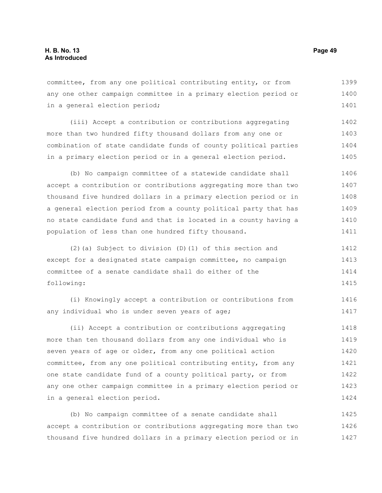committee, from any one political contributing entity, or from any one other campaign committee in a primary election period or in a general election period; 1399 1400 1401

(iii) Accept a contribution or contributions aggregating more than two hundred fifty thousand dollars from any one or combination of state candidate funds of county political parties in a primary election period or in a general election period. 1402 1403 1404 1405

(b) No campaign committee of a statewide candidate shall accept a contribution or contributions aggregating more than two thousand five hundred dollars in a primary election period or in a general election period from a county political party that has no state candidate fund and that is located in a county having a population of less than one hundred fifty thousand. 1406 1407 1408 1409 1410 1411

(2)(a) Subject to division (D)(1) of this section and except for a designated state campaign committee, no campaign committee of a senate candidate shall do either of the following: 1412 1413 1414 1415

(i) Knowingly accept a contribution or contributions from any individual who is under seven years of age; 1416 1417

(ii) Accept a contribution or contributions aggregating more than ten thousand dollars from any one individual who is seven years of age or older, from any one political action committee, from any one political contributing entity, from any one state candidate fund of a county political party, or from any one other campaign committee in a primary election period or in a general election period. 1418 1419 1420 1421 1422 1423 1424

(b) No campaign committee of a senate candidate shall accept a contribution or contributions aggregating more than two thousand five hundred dollars in a primary election period or in 1425 1426 1427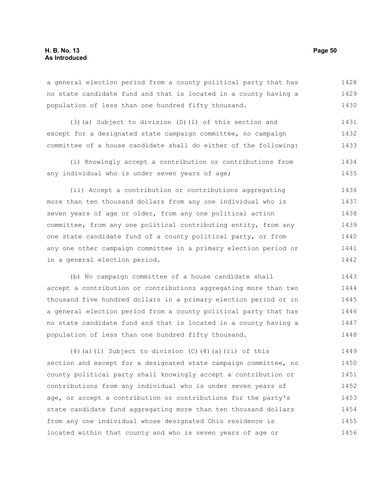a general election period from a county political party that has no state candidate fund and that is located in a county having a population of less than one hundred fifty thousand. 1428 1429 1430

(3)(a) Subject to division (D)(1) of this section and except for a designated state campaign committee, no campaign committee of a house candidate shall do either of the following: 1431 1432 1433

(i) Knowingly accept a contribution or contributions from any individual who is under seven years of age; 1434 1435

(ii) Accept a contribution or contributions aggregating more than ten thousand dollars from any one individual who is seven years of age or older, from any one political action committee, from any one political contributing entity, from any one state candidate fund of a county political party, or from any one other campaign committee in a primary election period or in a general election period. 1436 1437 1438 1439 1440 1441 1442

(b) No campaign committee of a house candidate shall accept a contribution or contributions aggregating more than two thousand five hundred dollars in a primary election period or in a general election period from a county political party that has no state candidate fund and that is located in a county having a population of less than one hundred fifty thousand. 1443 1444 1445 1446 1447 1448

(4)(a)(i) Subject to division (C)(4)(a)(ii) of this section and except for a designated state campaign committee, no county political party shall knowingly accept a contribution or contributions from any individual who is under seven years of age, or accept a contribution or contributions for the party's state candidate fund aggregating more than ten thousand dollars from any one individual whose designated Ohio residence is located within that county and who is seven years of age or 1449 1450 1451 1452 1453 1454 1455 1456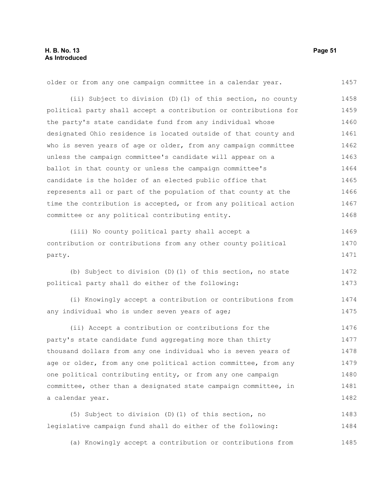older or from any one campaign committee in a calendar year. 1457

(ii) Subject to division (D)(1) of this section, no county political party shall accept a contribution or contributions for the party's state candidate fund from any individual whose designated Ohio residence is located outside of that county and who is seven years of age or older, from any campaign committee unless the campaign committee's candidate will appear on a ballot in that county or unless the campaign committee's candidate is the holder of an elected public office that represents all or part of the population of that county at the time the contribution is accepted, or from any political action committee or any political contributing entity. 1458 1459 1460 1461 1462 1463 1464 1465 1466 1467 1468

(iii) No county political party shall accept a contribution or contributions from any other county political party. 1469 1470 1471

(b) Subject to division (D)(1) of this section, no state political party shall do either of the following: 1472 1473

(i) Knowingly accept a contribution or contributions from any individual who is under seven years of age; 1474 1475

(ii) Accept a contribution or contributions for the party's state candidate fund aggregating more than thirty thousand dollars from any one individual who is seven years of age or older, from any one political action committee, from any one political contributing entity, or from any one campaign committee, other than a designated state campaign committee, in a calendar year. 1476 1477 1478 1479 1480 1481 1482

(5) Subject to division (D)(1) of this section, no legislative campaign fund shall do either of the following: 1483 1484

(a) Knowingly accept a contribution or contributions from 1485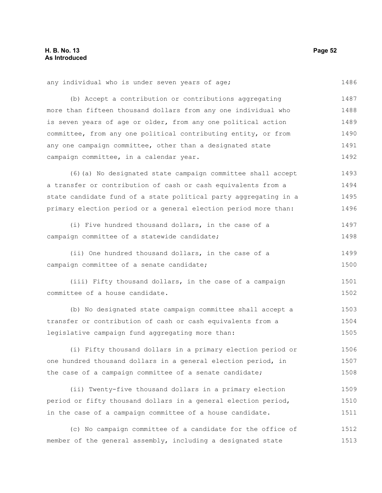1513

| any individual who is under seven years of age;                  | 1486 |
|------------------------------------------------------------------|------|
| (b) Accept a contribution or contributions aggregating           | 1487 |
| more than fifteen thousand dollars from any one individual who   | 1488 |
| is seven years of age or older, from any one political action    | 1489 |
| committee, from any one political contributing entity, or from   | 1490 |
| any one campaign committee, other than a designated state        | 1491 |
| campaign committee, in a calendar year.                          | 1492 |
| (6) (a) No designated state campaign committee shall accept      | 1493 |
| a transfer or contribution of cash or cash equivalents from a    | 1494 |
| state candidate fund of a state political party aggregating in a | 1495 |
| primary election period or a general election period more than:  | 1496 |
| (i) Five hundred thousand dollars, in the case of a              | 1497 |
| campaign committee of a statewide candidate;                     | 1498 |
| (ii) One hundred thousand dollars, in the case of a              | 1499 |
| campaign committee of a senate candidate;                        | 1500 |
| (iii) Fifty thousand dollars, in the case of a campaign          | 1501 |
| committee of a house candidate.                                  | 1502 |
| (b) No designated state campaign committee shall accept a        | 1503 |
| transfer or contribution of cash or cash equivalents from a      | 1504 |
| legislative campaign fund aggregating more than:                 | 1505 |
| (i) Fifty thousand dollars in a primary election period or       | 1506 |
| one hundred thousand dollars in a general election period, in    | 1507 |
| the case of a campaign committee of a senate candidate;          | 1508 |
| (ii) Twenty-five thousand dollars in a primary election          | 1509 |
| period or fifty thousand dollars in a general election period,   | 1510 |
| in the case of a campaign committee of a house candidate.        | 1511 |
| (c) No campaign committee of a candidate for the office of       | 1512 |

member of the general assembly, including a designated state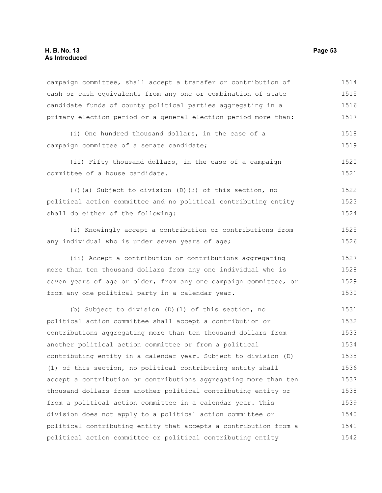| campaign committee, shall accept a transfer or contribution of   | 1514 |
|------------------------------------------------------------------|------|
| cash or cash equivalents from any one or combination of state    | 1515 |
| candidate funds of county political parties aggregating in a     | 1516 |
| primary election period or a general election period more than:  | 1517 |
| (i) One hundred thousand dollars, in the case of a               | 1518 |
| campaign committee of a senate candidate;                        | 1519 |
| (ii) Fifty thousand dollars, in the case of a campaign           | 1520 |
| committee of a house candidate.                                  | 1521 |
| (7) (a) Subject to division (D) (3) of this section, no          | 1522 |
| political action committee and no political contributing entity  | 1523 |
| shall do either of the following:                                | 1524 |
| (i) Knowingly accept a contribution or contributions from        | 1525 |
| any individual who is under seven years of age;                  | 1526 |
| (ii) Accept a contribution or contributions aggregating          | 1527 |
| more than ten thousand dollars from any one individual who is    | 1528 |
| seven years of age or older, from any one campaign committee, or | 1529 |
| from any one political party in a calendar year.                 | 1530 |
| (b) Subject to division (D) (1) of this section, no              | 1531 |
| political action committee shall accept a contribution or        | 1532 |
| contributions aggregating more than ten thousand dollars from    | 1533 |
| another political action committee or from a political           | 1534 |
| contributing entity in a calendar year. Subject to division (D)  | 1535 |
| (1) of this section, no political contributing entity shall      | 1536 |
| accept a contribution or contributions aggregating more than ten | 1537 |
| thousand dollars from another political contributing entity or   | 1538 |
| from a political action committee in a calendar year. This       | 1539 |
| division does not apply to a political action committee or       | 1540 |
| political contributing entity that accepts a contribution from a | 1541 |
| political action committee or political contributing entity      | 1542 |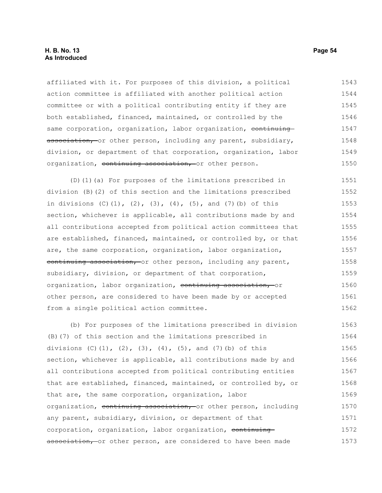affiliated with it. For purposes of this division, a political action committee is affiliated with another political action committee or with a political contributing entity if they are both established, financed, maintained, or controlled by the same corporation, organization, labor organization, continuing association, or other person, including any parent, subsidiary, division, or department of that corporation, organization, labor organization, continuing association, or other person. 1543 1544 1545 1546 1547 1548 1549 1550

(D)(1)(a) For purposes of the limitations prescribed in division (B)(2) of this section and the limitations prescribed in divisions  $(C)$   $(1)$ ,  $(2)$ ,  $(3)$ ,  $(4)$ ,  $(5)$ , and  $(7)$   $(b)$  of this section, whichever is applicable, all contributions made by and all contributions accepted from political action committees that are established, financed, maintained, or controlled by, or that are, the same corporation, organization, labor organization, continuing association, or other person, including any parent, subsidiary, division, or department of that corporation, organization, labor organization, continuing association, or other person, are considered to have been made by or accepted from a single political action committee. 1551 1552 1553 1554 1555 1556 1557 1558 1559 1560 1561 1562

(b) For purposes of the limitations prescribed in division (B)(7) of this section and the limitations prescribed in divisions  $(C)(1)$ ,  $(2)$ ,  $(3)$ ,  $(4)$ ,  $(5)$ , and  $(7)$  (b) of this section, whichever is applicable, all contributions made by and all contributions accepted from political contributing entities that are established, financed, maintained, or controlled by, or that are, the same corporation, organization, labor organization, continuing association, or other person, including any parent, subsidiary, division, or department of that corporation, organization, labor organization, continuing association, or other person, are considered to have been made 1563 1564 1565 1566 1567 1568 1569 1570 1571 1572 1573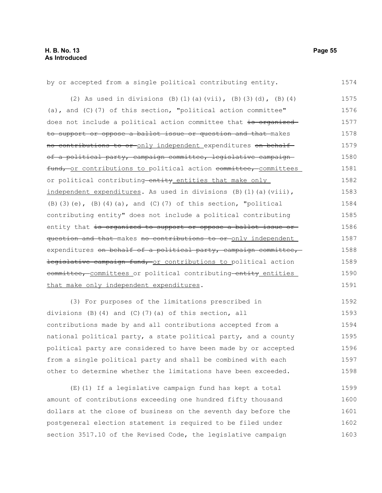by or accepted from a single political contributing entity. (2) As used in divisions (B)(1)(a)(vii), (B)(3)(d), (B)(4) (a), and (C)(7) of this section, "political action committee" does not include a political action committee that is organized to support or oppose a ballot issue or question and that makes no contributions to or only independent expenditures on behalf of a political party, campaign committee, legislative campaign fund, or contributions to political action committee, committees or political contributing entity entities that make only independent expenditures. As used in divisions (B)(1)(a)(viii),  $(B)$ (3)(e),  $(B)$ (4)(a), and (C)(7) of this section, "political contributing entity" does not include a political contributing entity that is organized to support or oppose a ballot issue or question and that makes no contributions to or only independent expenditures on behalf of a political party, campaign committee, legislative campaign fund, or contributions to political action eommittee, committees or political contributing entity entities that make only independent expenditures. (3) For purposes of the limitations prescribed in 1574 1575 1576 1577 1578 1579 1580 1581 1582 1583 1584 1585 1586 1587 1588 1589 1590 1591 1592

divisions (B)(4) and (C)(7)(a) of this section, all contributions made by and all contributions accepted from a national political party, a state political party, and a county political party are considered to have been made by or accepted from a single political party and shall be combined with each other to determine whether the limitations have been exceeded. 1593 1594 1595 1596 1597 1598

(E)(1) If a legislative campaign fund has kept a total amount of contributions exceeding one hundred fifty thousand dollars at the close of business on the seventh day before the postgeneral election statement is required to be filed under section 3517.10 of the Revised Code, the legislative campaign 1599 1600 1601 1602 1603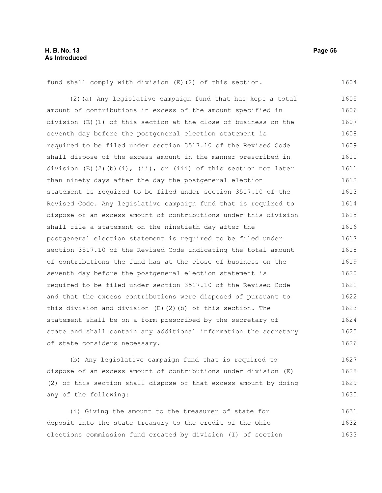1604

fund shall comply with division (E)(2) of this section.

(2)(a) Any legislative campaign fund that has kept a total amount of contributions in excess of the amount specified in division (E)(1) of this section at the close of business on the seventh day before the postgeneral election statement is required to be filed under section 3517.10 of the Revised Code shall dispose of the excess amount in the manner prescribed in division  $(E)(2)(b)(i)$ , (ii), or (iii) of this section not later than ninety days after the day the postgeneral election statement is required to be filed under section 3517.10 of the Revised Code. Any legislative campaign fund that is required to dispose of an excess amount of contributions under this division shall file a statement on the ninetieth day after the postgeneral election statement is required to be filed under section 3517.10 of the Revised Code indicating the total amount of contributions the fund has at the close of business on the seventh day before the postgeneral election statement is required to be filed under section 3517.10 of the Revised Code and that the excess contributions were disposed of pursuant to this division and division (E)(2)(b) of this section. The statement shall be on a form prescribed by the secretary of state and shall contain any additional information the secretary of state considers necessary. 1605 1606 1607 1608 1609 1610 1611 1612 1613 1614 1615 1616 1617 1618 1619 1620 1621 1622 1623 1624 1625 1626

(b) Any legislative campaign fund that is required to dispose of an excess amount of contributions under division (E) (2) of this section shall dispose of that excess amount by doing any of the following: 1627 1628 1629 1630

(i) Giving the amount to the treasurer of state for deposit into the state treasury to the credit of the Ohio elections commission fund created by division (I) of section 1631 1632 1633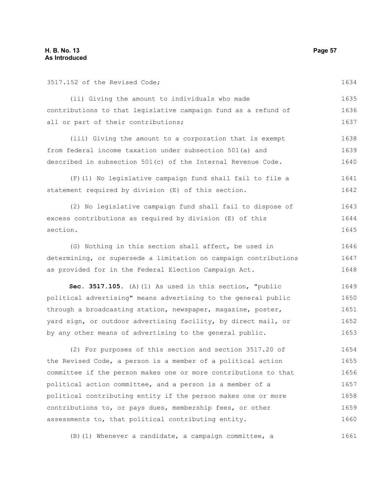| 3517.152 of the Revised Code;                                    | 1634 |
|------------------------------------------------------------------|------|
| (ii) Giving the amount to individuals who made                   | 1635 |
| contributions to that legislative campaign fund as a refund of   | 1636 |
| all or part of their contributions;                              | 1637 |
| (iii) Giving the amount to a corporation that is exempt          | 1638 |
| from federal income taxation under subsection 501(a) and         | 1639 |
| described in subsection 501(c) of the Internal Revenue Code.     | 1640 |
| (F) (1) No legislative campaign fund shall fail to file a        | 1641 |
| statement required by division (E) of this section.              | 1642 |
| (2) No legislative campaign fund shall fail to dispose of        | 1643 |
| excess contributions as required by division (E) of this         | 1644 |
| section.                                                         | 1645 |
| (G) Nothing in this section shall affect, be used in             | 1646 |
| determining, or supersede a limitation on campaign contributions | 1647 |
| as provided for in the Federal Election Campaign Act.            | 1648 |
| Sec. 3517.105. (A) (1) As used in this section, "public          | 1649 |
| political advertising" means advertising to the general public   | 1650 |
| through a broadcasting station, newspaper, magazine, poster,     | 1651 |
| yard sign, or outdoor advertising facility, by direct mail, or   | 1652 |
| by any other means of advertising to the general public.         | 1653 |
| (2) For purposes of this section and section 3517.20 of          | 1654 |
| the Revised Code, a person is a member of a political action     | 1655 |
| committee if the person makes one or more contributions to that  | 1656 |
| political action committee, and a person is a member of a        | 1657 |
| political contributing entity if the person makes one or more    | 1658 |
| contributions to, or pays dues, membership fees, or other        | 1659 |
| assessments to, that political contributing entity.              | 1660 |

(B)(1) Whenever a candidate, a campaign committee, a 1661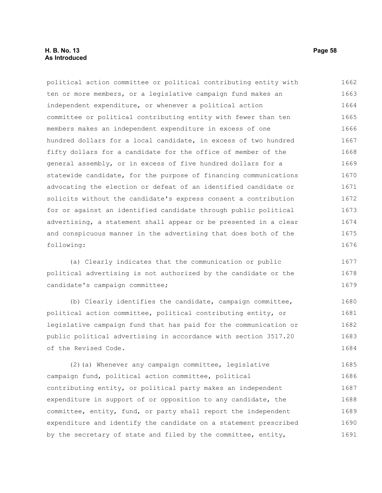## **H. B. No. 13 Page 58 As Introduced**

political action committee or political contributing entity with ten or more members, or a legislative campaign fund makes an independent expenditure, or whenever a political action committee or political contributing entity with fewer than ten members makes an independent expenditure in excess of one hundred dollars for a local candidate, in excess of two hundred fifty dollars for a candidate for the office of member of the general assembly, or in excess of five hundred dollars for a statewide candidate, for the purpose of financing communications advocating the election or defeat of an identified candidate or solicits without the candidate's express consent a contribution for or against an identified candidate through public political advertising, a statement shall appear or be presented in a clear and conspicuous manner in the advertising that does both of the following: 1662 1663 1664 1665 1666 1667 1668 1669 1670 1671 1672 1673 1674 1675 1676

(a) Clearly indicates that the communication or public political advertising is not authorized by the candidate or the candidate's campaign committee; 1677 1678 1679

(b) Clearly identifies the candidate, campaign committee, political action committee, political contributing entity, or legislative campaign fund that has paid for the communication or public political advertising in accordance with section 3517.20 of the Revised Code. 1680 1681 1682 1683 1684

(2)(a) Whenever any campaign committee, legislative campaign fund, political action committee, political contributing entity, or political party makes an independent expenditure in support of or opposition to any candidate, the committee, entity, fund, or party shall report the independent expenditure and identify the candidate on a statement prescribed by the secretary of state and filed by the committee, entity, 1685 1686 1687 1688 1689 1690 1691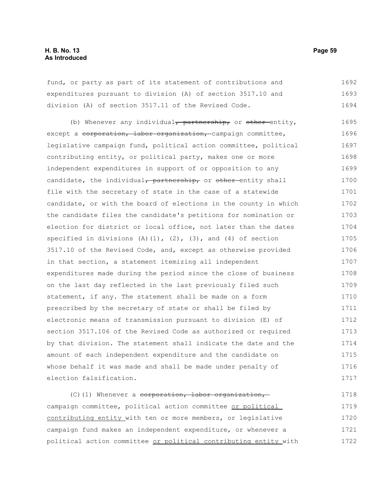fund, or party as part of its statement of contributions and expenditures pursuant to division (A) of section 3517.10 and division (A) of section 3517.11 of the Revised Code. 1692 1693 1694

(b) Whenever any individual, partnership, or other entity, except a corporation, labor organization, campaign committee, legislative campaign fund, political action committee, political contributing entity, or political party, makes one or more independent expenditures in support of or opposition to any candidate, the individual<del>, partnership,</del> or other-entity shall file with the secretary of state in the case of a statewide candidate, or with the board of elections in the county in which the candidate files the candidate's petitions for nomination or election for district or local office, not later than the dates specified in divisions  $(A)(1)$ ,  $(2)$ ,  $(3)$ , and  $(4)$  of section 3517.10 of the Revised Code, and, except as otherwise provided in that section, a statement itemizing all independent expenditures made during the period since the close of business on the last day reflected in the last previously filed such statement, if any. The statement shall be made on a form prescribed by the secretary of state or shall be filed by electronic means of transmission pursuant to division (E) of section 3517.106 of the Revised Code as authorized or required by that division. The statement shall indicate the date and the amount of each independent expenditure and the candidate on whose behalf it was made and shall be made under penalty of election falsification. 1695 1696 1697 1698 1699 1700 1701 1702 1703 1704 1705 1706 1707 1708 1709 1710 1711 1712 1713 1714 1715 1716 1717

(C)(1) Whenever a corporation, labor organization, campaign committee, political action committee or political contributing entity with ten or more members, or legislative campaign fund makes an independent expenditure, or whenever a political action committee or political contributing entity with 1718 1719 1720 1721 1722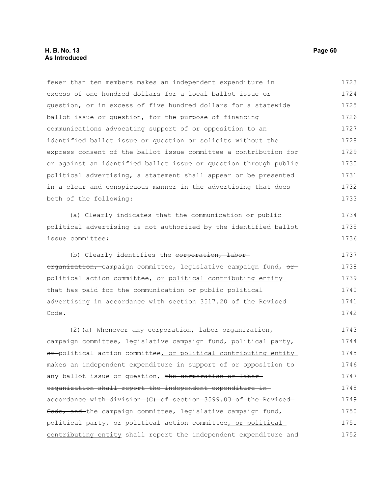## **H. B. No. 13 Page 60 As Introduced**

fewer than ten members makes an independent expenditure in excess of one hundred dollars for a local ballot issue or question, or in excess of five hundred dollars for a statewide ballot issue or question, for the purpose of financing communications advocating support of or opposition to an identified ballot issue or question or solicits without the express consent of the ballot issue committee a contribution for or against an identified ballot issue or question through public political advertising, a statement shall appear or be presented in a clear and conspicuous manner in the advertising that does both of the following: 1723 1724 1725 1726 1727 1728 1729 1730 1731 1732 1733

(a) Clearly indicates that the communication or public political advertising is not authorized by the identified ballot issue committee;

(b) Clearly identifies the corporation, labororganization, campaign committee, legislative campaign fund, or political action committee, or political contributing entity that has paid for the communication or public political advertising in accordance with section 3517.20 of the Revised Code. 1737 1738 1739 1740 1741 1742

(2)(a) Whenever any corporation, labor organization, campaign committee, legislative campaign fund, political party, or-political action committee, or political contributing entity makes an independent expenditure in support of or opposition to any ballot issue or question, the corporation or labororganization shall report the independent expenditure in accordance with division (C) of section 3599.03 of the Revised Code, and the campaign committee, legislative campaign fund, political party,  $\Theta$ <sup>+</sup>-political action committee, or political contributing entity shall report the independent expenditure and 1743 1744 1745 1746 1747 1748 1749 1750 1751 1752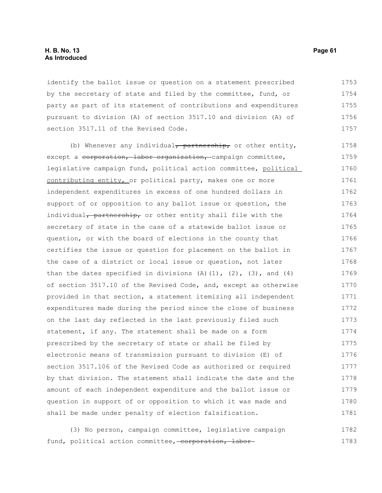### **H. B. No. 13 Page 61 As Introduced**

identify the ballot issue or question on a statement prescribed by the secretary of state and filed by the committee, fund, or party as part of its statement of contributions and expenditures pursuant to division (A) of section 3517.10 and division (A) of section 3517.11 of the Revised Code. 1753 1754 1755 1756 1757

(b) Whenever any individual, partnership, or other entity, except a corporation, labor organization, campaign committee, legislative campaign fund, political action committee, political contributing entity, or political party, makes one or more independent expenditures in excess of one hundred dollars in support of or opposition to any ballot issue or question, the individual, partnership, or other entity shall file with the secretary of state in the case of a statewide ballot issue or question, or with the board of elections in the county that certifies the issue or question for placement on the ballot in the case of a district or local issue or question, not later than the dates specified in divisions  $(A)$   $(1)$ ,  $(2)$ ,  $(3)$ , and  $(4)$ of section 3517.10 of the Revised Code, and, except as otherwise provided in that section, a statement itemizing all independent expenditures made during the period since the close of business on the last day reflected in the last previously filed such statement, if any. The statement shall be made on a form prescribed by the secretary of state or shall be filed by electronic means of transmission pursuant to division (E) of section 3517.106 of the Revised Code as authorized or required by that division. The statement shall indicate the date and the amount of each independent expenditure and the ballot issue or question in support of or opposition to which it was made and shall be made under penalty of election falsification. 1758 1759 1760 1761 1762 1763 1764 1765 1766 1767 1768 1769 1770 1771 1772 1773 1774 1775 1776 1777 1778 1779 1780 1781

(3) No person, campaign committee, legislative campaign fund, political action committee, corporation, labor-1782 1783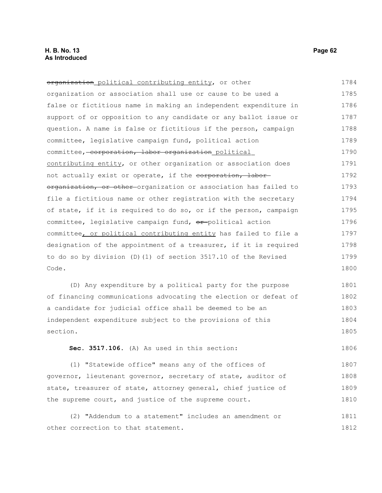| organization political contributing entity, or other             | 1784 |
|------------------------------------------------------------------|------|
| organization or association shall use or cause to be used a      | 1785 |
| false or fictitious name in making an independent expenditure in | 1786 |
| support of or opposition to any candidate or any ballot issue or | 1787 |
| question. A name is false or fictitious if the person, campaign  | 1788 |
| committee, legislative campaign fund, political action           | 1789 |
| committee, corporation, labor organization political             | 1790 |
| contributing entity, or other organization or association does   | 1791 |
| not actually exist or operate, if the corporation, labor-        | 1792 |
| organization, or other-organization or association has failed to | 1793 |
| file a fictitious name or other registration with the secretary  | 1794 |
| of state, if it is required to do so, or if the person, campaign | 1795 |
| committee, legislative campaign fund, or political action        | 1796 |
| committee, or political contributing entity has failed to file a | 1797 |
| designation of the appointment of a treasurer, if it is required | 1798 |
| to do so by division (D)(1) of section 3517.10 of the Revised    | 1799 |
| Code.                                                            | 1800 |
|                                                                  |      |

(D) Any expenditure by a political party for the purpose of financing communications advocating the election or defeat of a candidate for judicial office shall be deemed to be an independent expenditure subject to the provisions of this section. 1801 1802 1803 1804 1805

**Sec. 3517.106.** (A) As used in this section:

(1) "Statewide office" means any of the offices of governor, lieutenant governor, secretary of state, auditor of state, treasurer of state, attorney general, chief justice of the supreme court, and justice of the supreme court. 1807 1808 1809 1810

(2) "Addendum to a statement" includes an amendment or other correction to that statement. 1811 1812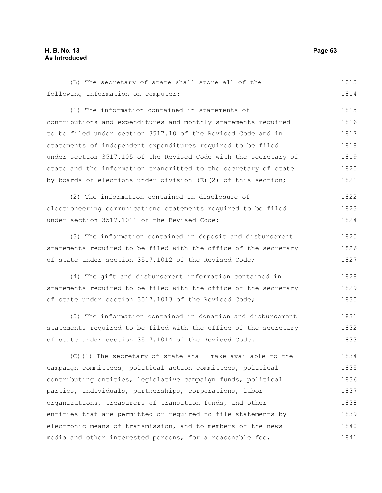## **H. B. No. 13 Page 63 As Introduced**

(B) The secretary of state shall store all of the following information on computer: 1813 1814

(1) The information contained in statements of contributions and expenditures and monthly statements required to be filed under section 3517.10 of the Revised Code and in statements of independent expenditures required to be filed under section 3517.105 of the Revised Code with the secretary of state and the information transmitted to the secretary of state by boards of elections under division  $(E)$  (2) of this section; 1815 1816 1817 1818 1819 1820 1821

(2) The information contained in disclosure of electioneering communications statements required to be filed under section 3517.1011 of the Revised Code; 1822 1823 1824

(3) The information contained in deposit and disbursement statements required to be filed with the office of the secretary of state under section 3517.1012 of the Revised Code; 1825 1826 1827

(4) The gift and disbursement information contained in statements required to be filed with the office of the secretary of state under section 3517.1013 of the Revised Code; 1828 1829 1830

(5) The information contained in donation and disbursement statements required to be filed with the office of the secretary of state under section 3517.1014 of the Revised Code. 1831 1832 1833

(C)(1) The secretary of state shall make available to the campaign committees, political action committees, political contributing entities, legislative campaign funds, political parties, individuals, partnerships, corporations, labororganizations, treasurers of transition funds, and other entities that are permitted or required to file statements by electronic means of transmission, and to members of the news media and other interested persons, for a reasonable fee, 1834 1835 1836 1837 1838 1839 1840 1841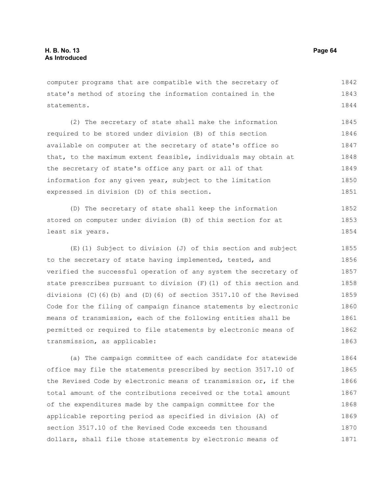computer programs that are compatible with the secretary of state's method of storing the information contained in the statements. 1842 1843 1844

(2) The secretary of state shall make the information required to be stored under division (B) of this section available on computer at the secretary of state's office so that, to the maximum extent feasible, individuals may obtain at the secretary of state's office any part or all of that information for any given year, subject to the limitation expressed in division (D) of this section. 1845 1846 1847 1848 1849 1850 1851

(D) The secretary of state shall keep the information stored on computer under division (B) of this section for at least six years. 1852 1853 1854

(E)(1) Subject to division (J) of this section and subject to the secretary of state having implemented, tested, and verified the successful operation of any system the secretary of state prescribes pursuant to division  $(F)$  (1) of this section and divisions (C)(6)(b) and (D)(6) of section 3517.10 of the Revised Code for the filing of campaign finance statements by electronic means of transmission, each of the following entities shall be permitted or required to file statements by electronic means of transmission, as applicable: 1855 1856 1857 1858 1859 1860 1861 1862 1863

(a) The campaign committee of each candidate for statewide office may file the statements prescribed by section 3517.10 of the Revised Code by electronic means of transmission or, if the total amount of the contributions received or the total amount of the expenditures made by the campaign committee for the applicable reporting period as specified in division (A) of section 3517.10 of the Revised Code exceeds ten thousand dollars, shall file those statements by electronic means of 1864 1865 1866 1867 1868 1869 1870 1871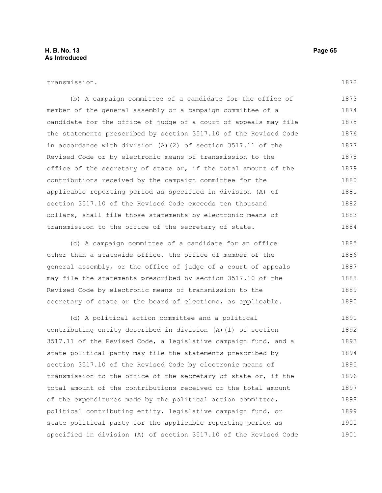## **H. B. No. 13 Page 65 As Introduced**

#### transmission.

(b) A campaign committee of a candidate for the office of member of the general assembly or a campaign committee of a candidate for the office of judge of a court of appeals may file the statements prescribed by section 3517.10 of the Revised Code in accordance with division (A)(2) of section 3517.11 of the Revised Code or by electronic means of transmission to the office of the secretary of state or, if the total amount of the contributions received by the campaign committee for the applicable reporting period as specified in division (A) of section 3517.10 of the Revised Code exceeds ten thousand dollars, shall file those statements by electronic means of transmission to the office of the secretary of state. 1873 1874 1875 1876 1877 1878 1879 1880 1881 1882 1883 1884

(c) A campaign committee of a candidate for an office other than a statewide office, the office of member of the general assembly, or the office of judge of a court of appeals may file the statements prescribed by section 3517.10 of the Revised Code by electronic means of transmission to the secretary of state or the board of elections, as applicable. 1885 1886 1887 1888 1889 1890

(d) A political action committee and a political contributing entity described in division (A)(1) of section 3517.11 of the Revised Code, a legislative campaign fund, and a state political party may file the statements prescribed by section 3517.10 of the Revised Code by electronic means of transmission to the office of the secretary of state or, if the total amount of the contributions received or the total amount of the expenditures made by the political action committee, political contributing entity, legislative campaign fund, or state political party for the applicable reporting period as specified in division (A) of section 3517.10 of the Revised Code 1891 1892 1893 1894 1895 1896 1897 1898 1899 1900 1901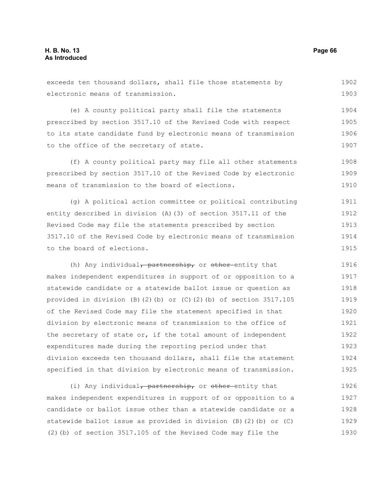exceeds ten thousand dollars, shall file those statements by electronic means of transmission. 1902 1903

(e) A county political party shall file the statements prescribed by section 3517.10 of the Revised Code with respect to its state candidate fund by electronic means of transmission to the office of the secretary of state. 1904 1905 1906 1907

(f) A county political party may file all other statements prescribed by section 3517.10 of the Revised Code by electronic means of transmission to the board of elections. 1908 1909 1910

(g) A political action committee or political contributing entity described in division (A)(3) of section 3517.11 of the Revised Code may file the statements prescribed by section 3517.10 of the Revised Code by electronic means of transmission to the board of elections. 1911 1912 1913 1914 1915

(h) Any individual, partnership, or other-entity that makes independent expenditures in support of or opposition to a statewide candidate or a statewide ballot issue or question as provided in division (B)(2)(b) or (C)(2)(b) of section  $3517.105$ of the Revised Code may file the statement specified in that division by electronic means of transmission to the office of the secretary of state or, if the total amount of independent expenditures made during the reporting period under that division exceeds ten thousand dollars, shall file the statement specified in that division by electronic means of transmission. 1916 1917 1918 1919 1920 1921 1922 1923 1924 1925

(i) Any individual, partnership, or other-entity that makes independent expenditures in support of or opposition to a candidate or ballot issue other than a statewide candidate or a statewide ballot issue as provided in division (B)(2)(b) or (C) (2)(b) of section 3517.105 of the Revised Code may file the 1926 1927 1928 1929 1930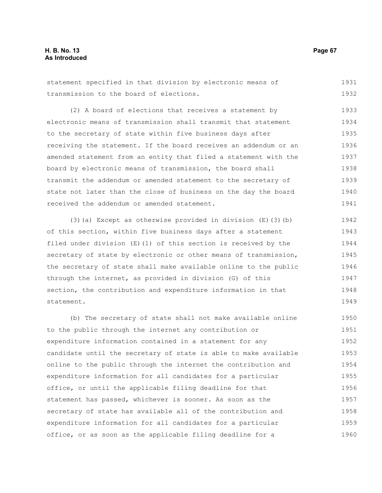## **H. B. No. 13 Page 67 As Introduced**

statement specified in that division by electronic means of transmission to the board of elections. 1931 1932

(2) A board of elections that receives a statement by electronic means of transmission shall transmit that statement to the secretary of state within five business days after receiving the statement. If the board receives an addendum or an amended statement from an entity that filed a statement with the board by electronic means of transmission, the board shall transmit the addendum or amended statement to the secretary of state not later than the close of business on the day the board received the addendum or amended statement. 1933 1934 1935 1936 1937 1938 1939 1940 1941

(3)(a) Except as otherwise provided in division  $(E)$  (3)(b) of this section, within five business days after a statement filed under division (E)(1) of this section is received by the secretary of state by electronic or other means of transmission, the secretary of state shall make available online to the public through the internet, as provided in division (G) of this section, the contribution and expenditure information in that statement. 1942 1943 1944 1945 1946 1947 1948 1949

(b) The secretary of state shall not make available online to the public through the internet any contribution or expenditure information contained in a statement for any candidate until the secretary of state is able to make available online to the public through the internet the contribution and expenditure information for all candidates for a particular office, or until the applicable filing deadline for that statement has passed, whichever is sooner. As soon as the secretary of state has available all of the contribution and expenditure information for all candidates for a particular office, or as soon as the applicable filing deadline for a 1950 1951 1952 1953 1954 1955 1956 1957 1958 1959 1960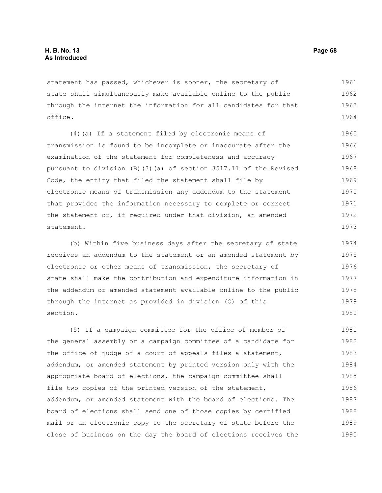statement has passed, whichever is sooner, the secretary of state shall simultaneously make available online to the public through the internet the information for all candidates for that office. 1961 1962 1963 1964

(4)(a) If a statement filed by electronic means of transmission is found to be incomplete or inaccurate after the examination of the statement for completeness and accuracy pursuant to division (B)(3)(a) of section 3517.11 of the Revised Code, the entity that filed the statement shall file by electronic means of transmission any addendum to the statement that provides the information necessary to complete or correct the statement or, if required under that division, an amended statement. 1965 1966 1967 1968 1969 1970 1971 1972 1973

(b) Within five business days after the secretary of state receives an addendum to the statement or an amended statement by electronic or other means of transmission, the secretary of state shall make the contribution and expenditure information in the addendum or amended statement available online to the public through the internet as provided in division (G) of this section. 1974 1975 1976 1977 1978 1979 1980

(5) If a campaign committee for the office of member of the general assembly or a campaign committee of a candidate for the office of judge of a court of appeals files a statement, addendum, or amended statement by printed version only with the appropriate board of elections, the campaign committee shall file two copies of the printed version of the statement, addendum, or amended statement with the board of elections. The board of elections shall send one of those copies by certified mail or an electronic copy to the secretary of state before the close of business on the day the board of elections receives the 1981 1982 1983 1984 1985 1986 1987 1988 1989 1990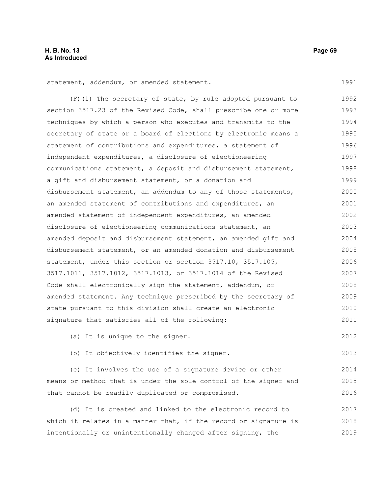1991

2013

statement, addendum, or amended statement.

(F)(1) The secretary of state, by rule adopted pursuant to section 3517.23 of the Revised Code, shall prescribe one or more techniques by which a person who executes and transmits to the secretary of state or a board of elections by electronic means a statement of contributions and expenditures, a statement of independent expenditures, a disclosure of electioneering communications statement, a deposit and disbursement statement, a gift and disbursement statement, or a donation and disbursement statement, an addendum to any of those statements, an amended statement of contributions and expenditures, an amended statement of independent expenditures, an amended disclosure of electioneering communications statement, an amended deposit and disbursement statement, an amended gift and disbursement statement, or an amended donation and disbursement statement, under this section or section 3517.10, 3517.105, 3517.1011, 3517.1012, 3517.1013, or 3517.1014 of the Revised Code shall electronically sign the statement, addendum, or amended statement. Any technique prescribed by the secretary of state pursuant to this division shall create an electronic signature that satisfies all of the following: 1992 1993 1994 1995 1996 1997 1998 1999 2000 2001 2002 2003 2004 2005 2006 2007 2008 2009 2010 2011

(a) It is unique to the signer. 2012

(b) It objectively identifies the signer.

(c) It involves the use of a signature device or other means or method that is under the sole control of the signer and that cannot be readily duplicated or compromised. 2014 2015 2016

(d) It is created and linked to the electronic record to which it relates in a manner that, if the record or signature is intentionally or unintentionally changed after signing, the 2017 2018 2019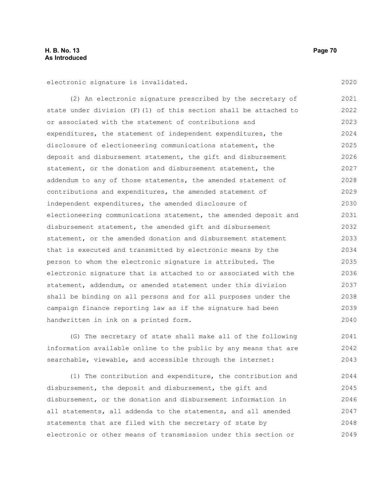electronic signature is invalidated.

(2) An electronic signature prescribed by the secretary of state under division (F)(1) of this section shall be attached to or associated with the statement of contributions and expenditures, the statement of independent expenditures, the disclosure of electioneering communications statement, the deposit and disbursement statement, the gift and disbursement statement, or the donation and disbursement statement, the addendum to any of those statements, the amended statement of contributions and expenditures, the amended statement of independent expenditures, the amended disclosure of electioneering communications statement, the amended deposit and disbursement statement, the amended gift and disbursement statement, or the amended donation and disbursement statement that is executed and transmitted by electronic means by the person to whom the electronic signature is attributed. The electronic signature that is attached to or associated with the statement, addendum, or amended statement under this division shall be binding on all persons and for all purposes under the campaign finance reporting law as if the signature had been handwritten in ink on a printed form. 2021 2022 2023 2024 2025 2026 2027 2028 2029 2030 2031 2032 2033 2034 2035 2036 2037 2038 2039 2040

(G) The secretary of state shall make all of the following information available online to the public by any means that are searchable, viewable, and accessible through the internet: 2041 2042 2043

(1) The contribution and expenditure, the contribution and disbursement, the deposit and disbursement, the gift and disbursement, or the donation and disbursement information in all statements, all addenda to the statements, and all amended statements that are filed with the secretary of state by electronic or other means of transmission under this section or 2044 2045 2046 2047 2048 2049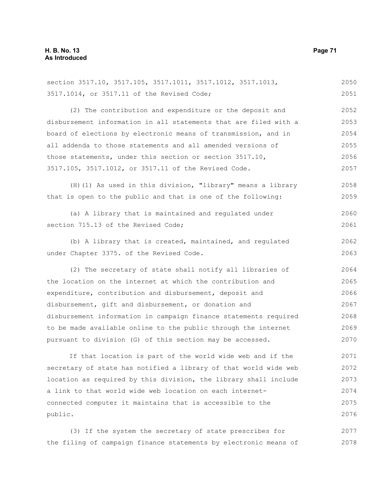section 3517.10, 3517.105, 3517.1011, 3517.1012, 3517.1013, 3517.1014, or 3517.11 of the Revised Code; (2) The contribution and expenditure or the deposit and disbursement information in all statements that are filed with a board of elections by electronic means of transmission, and in all addenda to those statements and all amended versions of those statements, under this section or section 3517.10, 3517.105, 3517.1012, or 3517.11 of the Revised Code. (H)(1) As used in this division, "library" means a library that is open to the public and that is one of the following: (a) A library that is maintained and regulated under section 715.13 of the Revised Code; (b) A library that is created, maintained, and regulated under Chapter 3375. of the Revised Code. (2) The secretary of state shall notify all libraries of the location on the internet at which the contribution and expenditure, contribution and disbursement, deposit and disbursement, gift and disbursement, or donation and disbursement information in campaign finance statements required to be made available online to the public through the internet pursuant to division (G) of this section may be accessed. If that location is part of the world wide web and if the secretary of state has notified a library of that world wide web location as required by this division, the library shall include a link to that world wide web location on each internetconnected computer it maintains that is accessible to the public. 2051 2052 2053 2054 2055 2056 2057 2058 2059 2060 2061 2062 2063 2064 2065 2066 2067 2068 2069 2070 2071 2072 2073 2074 2075 2076

(3) If the system the secretary of state prescribes for the filing of campaign finance statements by electronic means of 2077 2078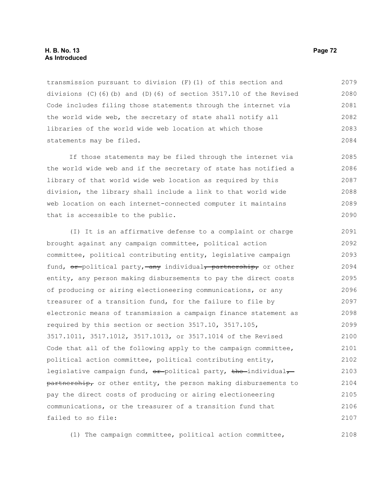### **H. B. No. 13 Page 72 As Introduced**

transmission pursuant to division (F)(1) of this section and divisions  $(C)$  (6)(b) and (D)(6) of section 3517.10 of the Revised Code includes filing those statements through the internet via the world wide web, the secretary of state shall notify all libraries of the world wide web location at which those statements may be filed. 2079 2080 2081 2082 2083 2084

If those statements may be filed through the internet via the world wide web and if the secretary of state has notified a library of that world wide web location as required by this division, the library shall include a link to that world wide web location on each internet-connected computer it maintains that is accessible to the public. 2085 2086 2087 2088 2089 2090

(I) It is an affirmative defense to a complaint or charge brought against any campaign committee, political action committee, political contributing entity, legislative campaign fund,  $\theta$  -political party, any individual, partnership, or other entity, any person making disbursements to pay the direct costs of producing or airing electioneering communications, or any treasurer of a transition fund, for the failure to file by electronic means of transmission a campaign finance statement as required by this section or section 3517.10, 3517.105, 3517.1011, 3517.1012, 3517.1013, or 3517.1014 of the Revised Code that all of the following apply to the campaign committee, political action committee, political contributing entity, legislative campaign fund,  $\Theta$ <sup>x</sup>-political party, the individual, partnership, or other entity, the person making disbursements to pay the direct costs of producing or airing electioneering communications, or the treasurer of a transition fund that failed to so file: 2091 2092 2093 2094 2095 2096 2097 2098 2099 2100 2101 2102 2103 2104 2105 2106 2107

(1) The campaign committee, political action committee,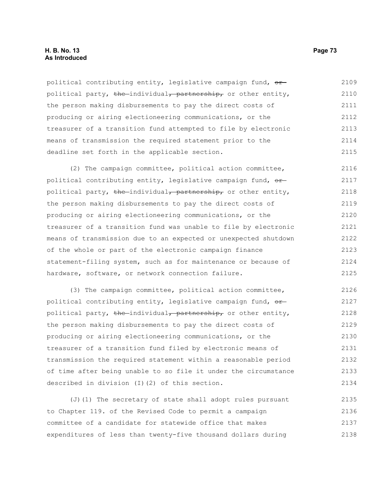# **H. B. No. 13 Page 73 As Introduced**

political contributing entity, legislative campaign fund,  $\sigma$ political party, the individual, partnership, or other entity, the person making disbursements to pay the direct costs of producing or airing electioneering communications, or the treasurer of a transition fund attempted to file by electronic means of transmission the required statement prior to the deadline set forth in the applicable section. 2109 2110 2111 2112 2113 2114 2115

(2) The campaign committee, political action committee, political contributing entity, legislative campaign fund,  $\sigma$ political party, the individual, partnership, or other entity, the person making disbursements to pay the direct costs of producing or airing electioneering communications, or the treasurer of a transition fund was unable to file by electronic means of transmission due to an expected or unexpected shutdown of the whole or part of the electronic campaign finance statement-filing system, such as for maintenance or because of hardware, software, or network connection failure. 2116 2117 2118 2119 2120 2121 2122 2123 2124 2125

(3) The campaign committee, political action committee, political contributing entity, legislative campaign fund,  $\theta$ political party, the individual, partnership, or other entity, the person making disbursements to pay the direct costs of producing or airing electioneering communications, or the treasurer of a transition fund filed by electronic means of transmission the required statement within a reasonable period of time after being unable to so file it under the circumstance described in division (I)(2) of this section. 2126 2127 2128 2129 2130 2131 2132 2133 2134

(J)(1) The secretary of state shall adopt rules pursuant to Chapter 119. of the Revised Code to permit a campaign committee of a candidate for statewide office that makes expenditures of less than twenty-five thousand dollars during 2135 2136 2137 2138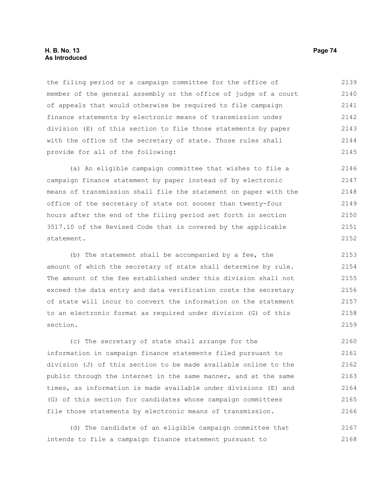the filing period or a campaign committee for the office of member of the general assembly or the office of judge of a court of appeals that would otherwise be required to file campaign finance statements by electronic means of transmission under division (E) of this section to file those statements by paper with the office of the secretary of state. Those rules shall provide for all of the following: 2139 2140 2141 2142 2143 2144 2145

(a) An eligible campaign committee that wishes to file a campaign finance statement by paper instead of by electronic means of transmission shall file the statement on paper with the office of the secretary of state not sooner than twenty-four hours after the end of the filing period set forth in section 3517.10 of the Revised Code that is covered by the applicable statement. 2146 2147 2148 2149 2150 2151 2152

(b) The statement shall be accompanied by a fee, the amount of which the secretary of state shall determine by rule. The amount of the fee established under this division shall not exceed the data entry and data verification costs the secretary of state will incur to convert the information on the statement to an electronic format as required under division (G) of this section. 2153 2154 2155 2156 2157 2158 2159

(c) The secretary of state shall arrange for the information in campaign finance statements filed pursuant to division (J) of this section to be made available online to the public through the internet in the same manner, and at the same times, as information is made available under divisions (E) and (G) of this section for candidates whose campaign committees file those statements by electronic means of transmission. 2160 2161 2162 2163 2164 2165 2166

(d) The candidate of an eligible campaign committee that intends to file a campaign finance statement pursuant to 2167 2168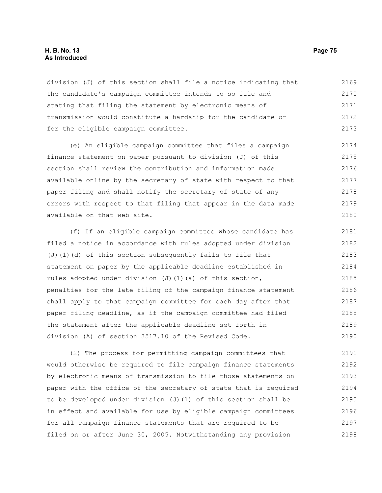# **H. B. No. 13 Page 75 As Introduced**

division (J) of this section shall file a notice indicating that the candidate's campaign committee intends to so file and stating that filing the statement by electronic means of transmission would constitute a hardship for the candidate or for the eligible campaign committee. 2169 2170 2171 2172 2173

(e) An eligible campaign committee that files a campaign finance statement on paper pursuant to division (J) of this section shall review the contribution and information made available online by the secretary of state with respect to that paper filing and shall notify the secretary of state of any errors with respect to that filing that appear in the data made available on that web site. 2174 2175 2176 2177 2178 2179 2180

(f) If an eligible campaign committee whose candidate has filed a notice in accordance with rules adopted under division (J)(1)(d) of this section subsequently fails to file that statement on paper by the applicable deadline established in rules adopted under division (J)(1)(a) of this section, penalties for the late filing of the campaign finance statement shall apply to that campaign committee for each day after that paper filing deadline, as if the campaign committee had filed the statement after the applicable deadline set forth in division (A) of section 3517.10 of the Revised Code. 2181 2182 2183 2184 2185 2186 2187 2188 2189 2190

(2) The process for permitting campaign committees that would otherwise be required to file campaign finance statements by electronic means of transmission to file those statements on paper with the office of the secretary of state that is required to be developed under division (J)(1) of this section shall be in effect and available for use by eligible campaign committees for all campaign finance statements that are required to be filed on or after June 30, 2005. Notwithstanding any provision 2191 2192 2193 2194 2195 2196 2197 2198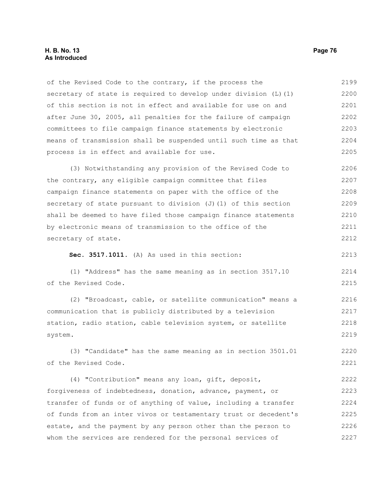# **H. B. No. 13 Page 76 As Introduced**

of the Revised Code to the contrary, if the process the secretary of state is required to develop under division  $(L)$  (1) of this section is not in effect and available for use on and after June 30, 2005, all penalties for the failure of campaign committees to file campaign finance statements by electronic means of transmission shall be suspended until such time as that process is in effect and available for use. 2199 2200 2201 2202 2203 2204 2205

(3) Notwithstanding any provision of the Revised Code to the contrary, any eligible campaign committee that files campaign finance statements on paper with the office of the secretary of state pursuant to division  $(J)$  (1) of this section shall be deemed to have filed those campaign finance statements by electronic means of transmission to the office of the secretary of state. 2206 2207 2208 2209 2210 2211 2212

**Sec. 3517.1011.** (A) As used in this section:

(1) "Address" has the same meaning as in section 3517.10 of the Revised Code. 2214 2215

(2) "Broadcast, cable, or satellite communication" means a communication that is publicly distributed by a television station, radio station, cable television system, or satellite system. 2216 2217 2218 2219

(3) "Candidate" has the same meaning as in section 3501.01 of the Revised Code. 2220 2221

(4) "Contribution" means any loan, gift, deposit, forgiveness of indebtedness, donation, advance, payment, or transfer of funds or of anything of value, including a transfer of funds from an inter vivos or testamentary trust or decedent's estate, and the payment by any person other than the person to whom the services are rendered for the personal services of 2222 2223 2224 2225 2226 2227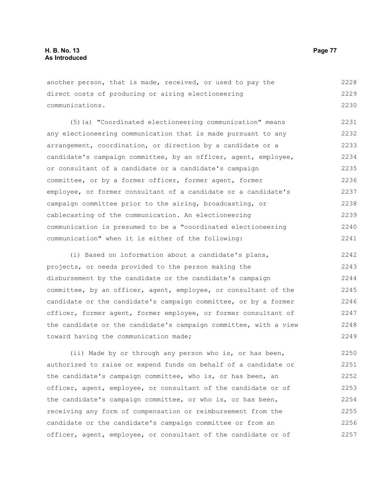another person, that is made, received, or used to pay the direct costs of producing or airing electioneering communications. 2228 2229 2230

(5)(a) "Coordinated electioneering communication" means any electioneering communication that is made pursuant to any arrangement, coordination, or direction by a candidate or a candidate's campaign committee, by an officer, agent, employee, or consultant of a candidate or a candidate's campaign committee, or by a former officer, former agent, former employee, or former consultant of a candidate or a candidate's campaign committee prior to the airing, broadcasting, or cablecasting of the communication. An electioneering communication is presumed to be a "coordinated electioneering communication" when it is either of the following: 2231 2232 2233 2234 2235 2236 2237 2238 2239 2240 2241

(i) Based on information about a candidate's plans, projects, or needs provided to the person making the disbursement by the candidate or the candidate's campaign committee, by an officer, agent, employee, or consultant of the candidate or the candidate's campaign committee, or by a former officer, former agent, former employee, or former consultant of the candidate or the candidate's campaign committee, with a view toward having the communication made; 2242 2243 2244 2245 2246 2247 2248 2249

(ii) Made by or through any person who is, or has been, authorized to raise or expend funds on behalf of a candidate or the candidate's campaign committee, who is, or has been, an officer, agent, employee, or consultant of the candidate or of the candidate's campaign committee, or who is, or has been, receiving any form of compensation or reimbursement from the candidate or the candidate's campaign committee or from an officer, agent, employee, or consultant of the candidate or of 2250 2251 2252 2253 2254 2255 2256 2257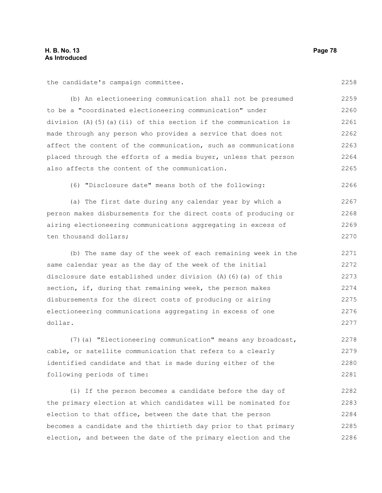the candidate's campaign committee.

(b) An electioneering communication shall not be presumed to be a "coordinated electioneering communication" under division (A)(5)(a)(ii) of this section if the communication is made through any person who provides a service that does not affect the content of the communication, such as communications placed through the efforts of a media buyer, unless that person also affects the content of the communication. 2259 2260 2261 2262 2263 2264 2265

(6) "Disclosure date" means both of the following:

(a) The first date during any calendar year by which a person makes disbursements for the direct costs of producing or airing electioneering communications aggregating in excess of ten thousand dollars; 2267 2268 2269 2270

(b) The same day of the week of each remaining week in the same calendar year as the day of the week of the initial disclosure date established under division (A)(6)(a) of this section, if, during that remaining week, the person makes disbursements for the direct costs of producing or airing electioneering communications aggregating in excess of one dollar. 2271 2272 2273 2274 2275 2276 2277

(7)(a) "Electioneering communication" means any broadcast, cable, or satellite communication that refers to a clearly identified candidate and that is made during either of the following periods of time: 2278 2279 2280 2281

(i) If the person becomes a candidate before the day of the primary election at which candidates will be nominated for election to that office, between the date that the person becomes a candidate and the thirtieth day prior to that primary election, and between the date of the primary election and the 2282 2283 2284 2285 2286

2258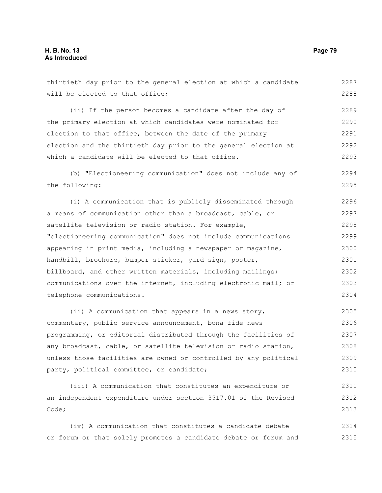thirtieth day prior to the general election at which a candidate will be elected to that office; (ii) If the person becomes a candidate after the day of the primary election at which candidates were nominated for election to that office, between the date of the primary election and the thirtieth day prior to the general election at which a candidate will be elected to that office. (b) "Electioneering communication" does not include any of the following: (i) A communication that is publicly disseminated through a means of communication other than a broadcast, cable, or satellite television or radio station. For example, "electioneering communication" does not include communications appearing in print media, including a newspaper or magazine, handbill, brochure, bumper sticker, yard sign, poster, billboard, and other written materials, including mailings; communications over the internet, including electronic mail; or telephone communications. (ii) A communication that appears in a news story, 2287 2288 2289 2290 2291 2292 2293 2294 2295 2296 2297 2298 2299 2300 2301 2302 2303 2304 2305

commentary, public service announcement, bona fide news programming, or editorial distributed through the facilities of any broadcast, cable, or satellite television or radio station, unless those facilities are owned or controlled by any political party, political committee, or candidate; 2306 2307 2308 2309 2310

(iii) A communication that constitutes an expenditure or an independent expenditure under section 3517.01 of the Revised Code; 2311 2312 2313

(iv) A communication that constitutes a candidate debate or forum or that solely promotes a candidate debate or forum and 2314 2315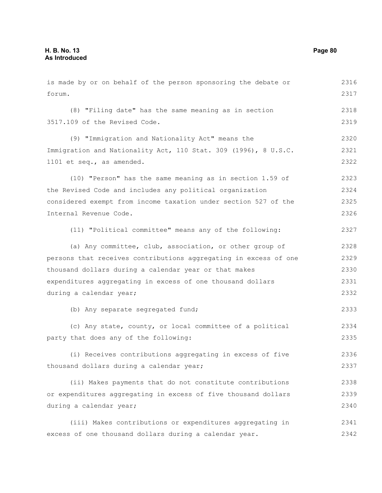is made by or on behalf of the person sponsoring the debate or forum. (8) "Filing date" has the same meaning as in section 3517.109 of the Revised Code. (9) "Immigration and Nationality Act" means the Immigration and Nationality Act, 110 Stat. 309 (1996), 8 U.S.C. 1101 et seq., as amended. (10) "Person" has the same meaning as in section 1.59 of the Revised Code and includes any political organization considered exempt from income taxation under section 527 of the Internal Revenue Code. (11) "Political committee" means any of the following: (a) Any committee, club, association, or other group of persons that receives contributions aggregating in excess of one thousand dollars during a calendar year or that makes expenditures aggregating in excess of one thousand dollars during a calendar year; (b) Any separate segregated fund; (c) Any state, county, or local committee of a political party that does any of the following: (i) Receives contributions aggregating in excess of five thousand dollars during a calendar year; (ii) Makes payments that do not constitute contributions or expenditures aggregating in excess of five thousand dollars during a calendar year; (iii) Makes contributions or expenditures aggregating in excess of one thousand dollars during a calendar year. 2316 2317 2318 2319 2320 2321 2322 2323 2324 2325 2326 2327 2328 2329 2330 2331 2332 2333 2334 2335 2336 2337 2338 2339 2340 2341 2342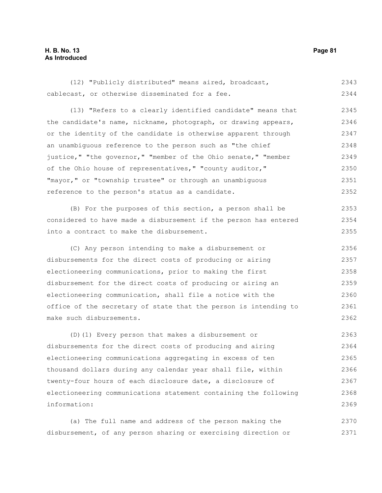# **H. B. No. 13 Page 81 As Introduced**

(12) "Publicly distributed" means aired, broadcast, cablecast, or otherwise disseminated for a fee. 2343 2344

(13) "Refers to a clearly identified candidate" means that the candidate's name, nickname, photograph, or drawing appears, or the identity of the candidate is otherwise apparent through an unambiguous reference to the person such as "the chief justice," "the governor," "member of the Ohio senate," "member of the Ohio house of representatives," "county auditor," "mayor," or "township trustee" or through an unambiguous reference to the person's status as a candidate. 2345 2346 2347 2348 2349 2350 2351 2352

(B) For the purposes of this section, a person shall be considered to have made a disbursement if the person has entered into a contract to make the disbursement. 2353 2354 2355

(C) Any person intending to make a disbursement or disbursements for the direct costs of producing or airing electioneering communications, prior to making the first disbursement for the direct costs of producing or airing an electioneering communication, shall file a notice with the office of the secretary of state that the person is intending to make such disbursements. 2356 2357 2358 2359 2360 2361 2362

(D)(1) Every person that makes a disbursement or disbursements for the direct costs of producing and airing electioneering communications aggregating in excess of ten thousand dollars during any calendar year shall file, within twenty-four hours of each disclosure date, a disclosure of electioneering communications statement containing the following information: 2363 2364 2365 2366 2367 2368 2369

(a) The full name and address of the person making the disbursement, of any person sharing or exercising direction or 2370 2371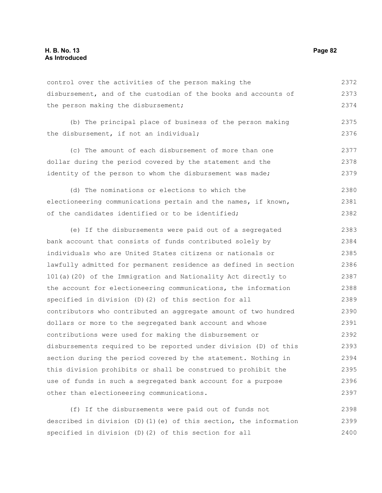control over the activities of the person making the disbursement, and of the custodian of the books and accounts of the person making the disbursement; 2372 2373 2374

(b) The principal place of business of the person making the disbursement, if not an individual; 2375 2376

(c) The amount of each disbursement of more than one dollar during the period covered by the statement and the identity of the person to whom the disbursement was made; 2377 2378 2379

(d) The nominations or elections to which the electioneering communications pertain and the names, if known, of the candidates identified or to be identified; 2380 2381 2382

(e) If the disbursements were paid out of a segregated bank account that consists of funds contributed solely by individuals who are United States citizens or nationals or lawfully admitted for permanent residence as defined in section 101(a)(20) of the Immigration and Nationality Act directly to the account for electioneering communications, the information specified in division (D)(2) of this section for all contributors who contributed an aggregate amount of two hundred dollars or more to the segregated bank account and whose contributions were used for making the disbursement or disbursements required to be reported under division (D) of this section during the period covered by the statement. Nothing in this division prohibits or shall be construed to prohibit the use of funds in such a segregated bank account for a purpose other than electioneering communications. 2383 2384 2385 2386 2387 2388 2389 2390 2391 2392 2393 2394 2395 2396 2397

(f) If the disbursements were paid out of funds not described in division (D)(1)(e) of this section, the information specified in division (D)(2) of this section for all 2398 2399 2400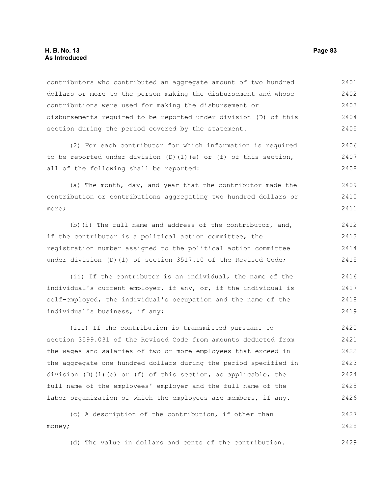# **H. B. No. 13 Page 83 As Introduced**

contributors who contributed an aggregate amount of two hundred dollars or more to the person making the disbursement and whose contributions were used for making the disbursement or disbursements required to be reported under division (D) of this section during the period covered by the statement. 2401 2402 2403 2404 2405

(2) For each contributor for which information is required to be reported under division (D)(1)(e) or (f) of this section, all of the following shall be reported: 2406 2407 2408

(a) The month, day, and year that the contributor made the contribution or contributions aggregating two hundred dollars or more; 2409 2410 2411

(b)(i) The full name and address of the contributor, and, if the contributor is a political action committee, the registration number assigned to the political action committee under division (D)(1) of section 3517.10 of the Revised Code; 2412 2413 2414 2415

(ii) If the contributor is an individual, the name of the individual's current employer, if any, or, if the individual is self-employed, the individual's occupation and the name of the individual's business, if any; 2416 2417 2418 2419

(iii) If the contribution is transmitted pursuant to section 3599.031 of the Revised Code from amounts deducted from the wages and salaries of two or more employees that exceed in the aggregate one hundred dollars during the period specified in division (D)(1)(e) or (f) of this section, as applicable, the full name of the employees' employer and the full name of the labor organization of which the employees are members, if any. 2420 2421 2422 2423 2424 2425 2426

(c) A description of the contribution, if other than money; 2427 2428

(d) The value in dollars and cents of the contribution. 2429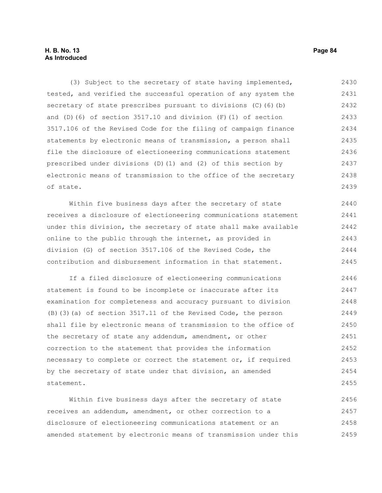# **H. B. No. 13 Page 84 As Introduced**

(3) Subject to the secretary of state having implemented, tested, and verified the successful operation of any system the secretary of state prescribes pursuant to divisions (C)(6)(b) and (D)(6) of section  $3517.10$  and division (F)(1) of section 3517.106 of the Revised Code for the filing of campaign finance statements by electronic means of transmission, a person shall file the disclosure of electioneering communications statement prescribed under divisions (D)(1) and (2) of this section by electronic means of transmission to the office of the secretary of state. 2430 2431 2432 2433 2434 2435 2436 2437 2438 2439

Within five business days after the secretary of state receives a disclosure of electioneering communications statement under this division, the secretary of state shall make available online to the public through the internet, as provided in division (G) of section 3517.106 of the Revised Code, the contribution and disbursement information in that statement. 2440 2441 2442 2443 2444 2445

If a filed disclosure of electioneering communications statement is found to be incomplete or inaccurate after its examination for completeness and accuracy pursuant to division (B)(3)(a) of section 3517.11 of the Revised Code, the person shall file by electronic means of transmission to the office of the secretary of state any addendum, amendment, or other correction to the statement that provides the information necessary to complete or correct the statement or, if required by the secretary of state under that division, an amended statement. 2446 2447 2448 2449 2450 2451 2452 2453 2454 2455

Within five business days after the secretary of state receives an addendum, amendment, or other correction to a disclosure of electioneering communications statement or an amended statement by electronic means of transmission under this 2456 2457 2458 2459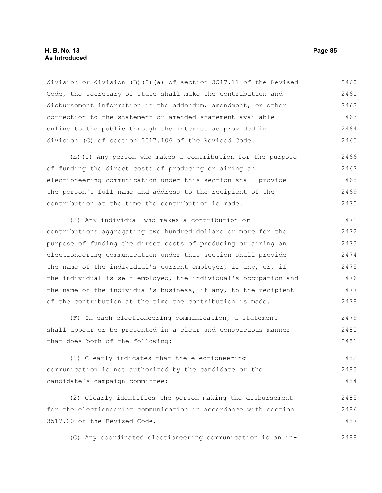# **H. B. No. 13 Page 85 As Introduced**

division or division (B)(3)(a) of section 3517.11 of the Revised Code, the secretary of state shall make the contribution and disbursement information in the addendum, amendment, or other correction to the statement or amended statement available online to the public through the internet as provided in division (G) of section 3517.106 of the Revised Code. 2460 2461 2462 2463 2464 2465

(E)(1) Any person who makes a contribution for the purpose of funding the direct costs of producing or airing an electioneering communication under this section shall provide the person's full name and address to the recipient of the contribution at the time the contribution is made. 2466 2467 2468 2469 2470

(2) Any individual who makes a contribution or contributions aggregating two hundred dollars or more for the purpose of funding the direct costs of producing or airing an electioneering communication under this section shall provide the name of the individual's current employer, if any, or, if the individual is self-employed, the individual's occupation and the name of the individual's business, if any, to the recipient of the contribution at the time the contribution is made. 2471 2472 2473 2474 2475 2476 2477 2478

(F) In each electioneering communication, a statement shall appear or be presented in a clear and conspicuous manner that does both of the following: 2479 2480 2481

(1) Clearly indicates that the electioneering communication is not authorized by the candidate or the candidate's campaign committee; 2482 2483 2484

(2) Clearly identifies the person making the disbursement for the electioneering communication in accordance with section 3517.20 of the Revised Code. 2485 2486 2487

(G) Any coordinated electioneering communication is an in-2488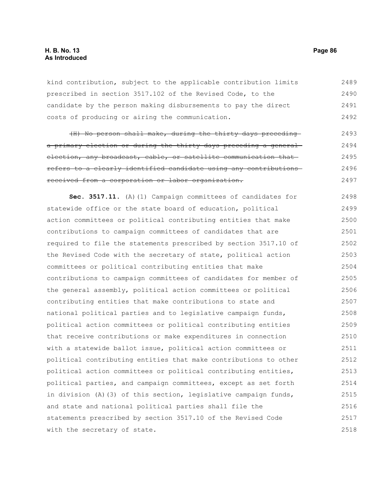# **H. B. No. 13 Page 86 As Introduced**

kind contribution, subject to the applicable contribution limits prescribed in section 3517.102 of the Revised Code, to the candidate by the person making disbursements to pay the direct costs of producing or airing the communication. 2489 2490 2491 2492

(H) No person shall make, during the thirty days preceding a primary election or during the thirty days preceding a general election, any broadcast, cable, or satellite communication that refers to a clearly identified candidate using any contributions received from a corporation or labor organization. 2493 2494 2495 2496 2497

**Sec. 3517.11.** (A)(1) Campaign committees of candidates for statewide office or the state board of education, political action committees or political contributing entities that make contributions to campaign committees of candidates that are required to file the statements prescribed by section 3517.10 of the Revised Code with the secretary of state, political action committees or political contributing entities that make contributions to campaign committees of candidates for member of the general assembly, political action committees or political contributing entities that make contributions to state and national political parties and to legislative campaign funds, political action committees or political contributing entities that receive contributions or make expenditures in connection with a statewide ballot issue, political action committees or political contributing entities that make contributions to other political action committees or political contributing entities, political parties, and campaign committees, except as set forth in division (A)(3) of this section, legislative campaign funds, and state and national political parties shall file the statements prescribed by section 3517.10 of the Revised Code with the secretary of state. 2498 2499 2500 2501 2502 2503 2504 2505 2506 2507 2508 2509 2510 2511 2512 2513 2514 2515 2516 2517 2518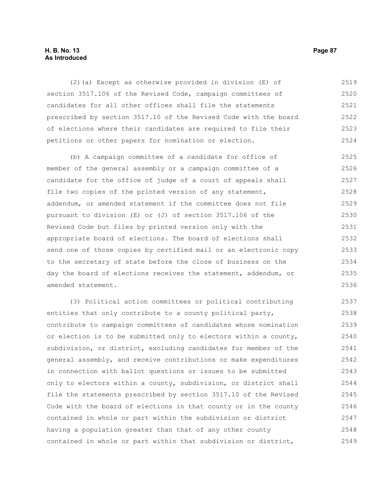#### **H. B. No. 13 Page 87 As Introduced**

(2)(a) Except as otherwise provided in division (E) of section 3517.106 of the Revised Code, campaign committees of candidates for all other offices shall file the statements prescribed by section 3517.10 of the Revised Code with the board of elections where their candidates are required to file their petitions or other papers for nomination or election. 2519 2520 2521 2522 2523 2524

(b) A campaign committee of a candidate for office of member of the general assembly or a campaign committee of a candidate for the office of judge of a court of appeals shall file two copies of the printed version of any statement, addendum, or amended statement if the committee does not file pursuant to division (E) or (J) of section 3517.106 of the Revised Code but files by printed version only with the appropriate board of elections. The board of elections shall send one of those copies by certified mail or an electronic copy to the secretary of state before the close of business on the day the board of elections receives the statement, addendum, or amended statement. 2525 2526 2527 2528 2529 2530 2531 2532 2533 2534 2535 2536

(3) Political action committees or political contributing entities that only contribute to a county political party, contribute to campaign committees of candidates whose nomination or election is to be submitted only to electors within a county, subdivision, or district, excluding candidates for member of the general assembly, and receive contributions or make expenditures in connection with ballot questions or issues to be submitted only to electors within a county, subdivision, or district shall file the statements prescribed by section 3517.10 of the Revised Code with the board of elections in that county or in the county contained in whole or part within the subdivision or district having a population greater than that of any other county contained in whole or part within that subdivision or district, 2537 2538 2539 2540 2541 2542 2543 2544 2545 2546 2547 2548 2549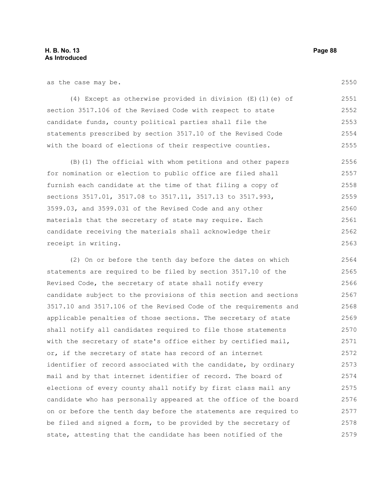as the case may be.

(4) Except as otherwise provided in division (E)(1)(e) of section 3517.106 of the Revised Code with respect to state candidate funds, county political parties shall file the statements prescribed by section 3517.10 of the Revised Code with the board of elections of their respective counties. 2551 2552 2553 2554 2555

(B)(1) The official with whom petitions and other papers for nomination or election to public office are filed shall furnish each candidate at the time of that filing a copy of sections 3517.01, 3517.08 to 3517.11, 3517.13 to 3517.993, 3599.03, and 3599.031 of the Revised Code and any other materials that the secretary of state may require. Each candidate receiving the materials shall acknowledge their receipt in writing. 2556 2557 2558 2559 2560 2561 2562 2563

(2) On or before the tenth day before the dates on which statements are required to be filed by section 3517.10 of the Revised Code, the secretary of state shall notify every candidate subject to the provisions of this section and sections 3517.10 and 3517.106 of the Revised Code of the requirements and applicable penalties of those sections. The secretary of state shall notify all candidates required to file those statements with the secretary of state's office either by certified mail, or, if the secretary of state has record of an internet identifier of record associated with the candidate, by ordinary mail and by that internet identifier of record. The board of elections of every county shall notify by first class mail any candidate who has personally appeared at the office of the board on or before the tenth day before the statements are required to be filed and signed a form, to be provided by the secretary of state, attesting that the candidate has been notified of the 2564 2565 2566 2567 2568 2569 2570 2571 2572 2573 2574 2575 2576 2577 2578 2579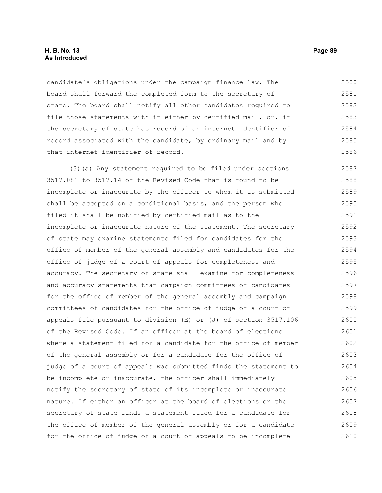candidate's obligations under the campaign finance law. The board shall forward the completed form to the secretary of state. The board shall notify all other candidates required to file those statements with it either by certified mail, or, if the secretary of state has record of an internet identifier of record associated with the candidate, by ordinary mail and by that internet identifier of record. 2580 2581 2582 2583 2584 2585 2586

(3)(a) Any statement required to be filed under sections 3517.081 to 3517.14 of the Revised Code that is found to be incomplete or inaccurate by the officer to whom it is submitted shall be accepted on a conditional basis, and the person who filed it shall be notified by certified mail as to the incomplete or inaccurate nature of the statement. The secretary of state may examine statements filed for candidates for the office of member of the general assembly and candidates for the office of judge of a court of appeals for completeness and accuracy. The secretary of state shall examine for completeness and accuracy statements that campaign committees of candidates for the office of member of the general assembly and campaign committees of candidates for the office of judge of a court of appeals file pursuant to division (E) or (J) of section 3517.106 of the Revised Code. If an officer at the board of elections where a statement filed for a candidate for the office of member of the general assembly or for a candidate for the office of judge of a court of appeals was submitted finds the statement to be incomplete or inaccurate, the officer shall immediately notify the secretary of state of its incomplete or inaccurate nature. If either an officer at the board of elections or the secretary of state finds a statement filed for a candidate for the office of member of the general assembly or for a candidate for the office of judge of a court of appeals to be incomplete 2587 2588 2589 2590 2591 2592 2593 2594 2595 2596 2597 2598 2599 2600 2601 2602 2603 2604 2605 2606 2607 2608 2609 2610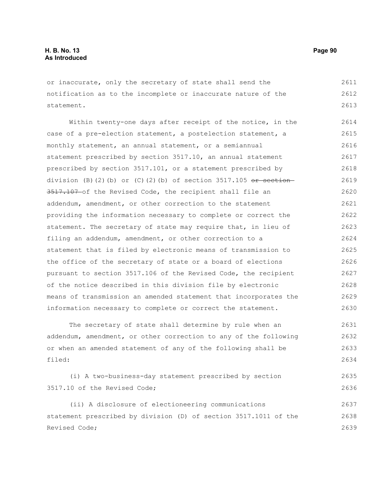or inaccurate, only the secretary of state shall send the notification as to the incomplete or inaccurate nature of the statement. 2611 2612 2613

Within twenty-one days after receipt of the notice, in the case of a pre-election statement, a postelection statement, a monthly statement, an annual statement, or a semiannual statement prescribed by section 3517.10, an annual statement prescribed by section 3517.101, or a statement prescribed by division (B)(2)(b) or (C)(2)(b) of section 3517.105  $or$  section-3517.107 of the Revised Code, the recipient shall file an addendum, amendment, or other correction to the statement providing the information necessary to complete or correct the statement. The secretary of state may require that, in lieu of filing an addendum, amendment, or other correction to a statement that is filed by electronic means of transmission to the office of the secretary of state or a board of elections pursuant to section 3517.106 of the Revised Code, the recipient of the notice described in this division file by electronic means of transmission an amended statement that incorporates the information necessary to complete or correct the statement. 2614 2615 2616 2617 2618 2619 2620 2621 2622 2623 2624 2625 2626 2627 2628 2629 2630

The secretary of state shall determine by rule when an addendum, amendment, or other correction to any of the following or when an amended statement of any of the following shall be filed: 2631 2632 2633 2634

```
(i) A two-business-day statement prescribed by section
3517.10 of the Revised Code; 
                                                                           2635
                                                                            2636
```
(ii) A disclosure of electioneering communications statement prescribed by division (D) of section 3517.1011 of the Revised Code; 2637 2638 2639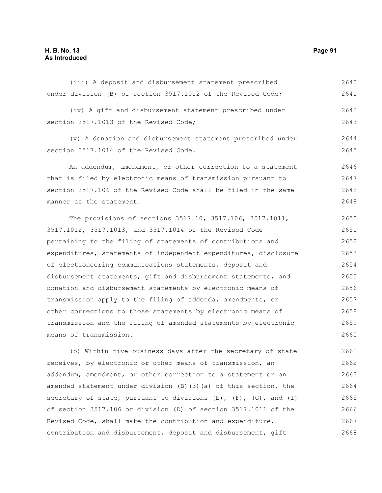# **H. B. No. 13 Page 91 As Introduced**

| under division (B) of section 3517.1012 of the Revised Code;     | 2641 |
|------------------------------------------------------------------|------|
| (iv) A gift and disbursement statement prescribed under          | 2642 |
| section 3517.1013 of the Revised Code;                           | 2643 |
| (v) A donation and disbursement statement prescribed under       | 2644 |
| section 3517.1014 of the Revised Code.                           | 2645 |
| An addendum, amendment, or other correction to a statement       | 2646 |
| that is filed by electronic means of transmission pursuant to    | 2647 |
| section 3517.106 of the Revised Code shall be filed in the same  | 2648 |
| manner as the statement.                                         | 2649 |
| The provisions of sections 3517.10, 3517.106, 3517.1011,         | 2650 |
| 3517.1012, 3517.1013, and 3517.1014 of the Revised Code          | 2651 |
| pertaining to the filing of statements of contributions and      | 2652 |
| expenditures, statements of independent expenditures, disclosure | 2653 |
| of electioneering communications statements, deposit and         | 2654 |
| disbursement statements, gift and disbursement statements, and   | 2655 |
| donation and disbursement statements by electronic means of      | 2656 |
| transmission apply to the filing of addenda, amendments, or      | 2657 |

(iii) A deposit and disbursement statement prescribed

other corrections to those statements by electronic means of transmission and the filing of amended statements by electronic means of transmission. 2658 2659 2660

(b) Within five business days after the secretary of state receives, by electronic or other means of transmission, an addendum, amendment, or other correction to a statement or an amended statement under division (B)(3)(a) of this section, the secretary of state, pursuant to divisions  $(E)$ ,  $(F)$ ,  $(G)$ , and  $(I)$ of section 3517.106 or division (D) of section 3517.1011 of the Revised Code, shall make the contribution and expenditure, contribution and disbursement, deposit and disbursement, gift 2661 2662 2663 2664 2665 2666 2667 2668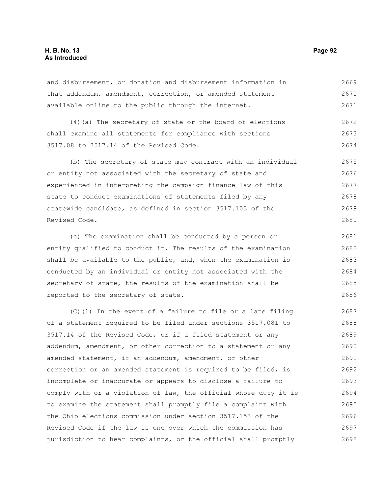# **H. B. No. 13 Page 92 As Introduced**

and disbursement, or donation and disbursement information in that addendum, amendment, correction, or amended statement available online to the public through the internet. 2669 2670 2671

(4)(a) The secretary of state or the board of elections shall examine all statements for compliance with sections 3517.08 to 3517.14 of the Revised Code. 2672 2673 2674

(b) The secretary of state may contract with an individual or entity not associated with the secretary of state and experienced in interpreting the campaign finance law of this state to conduct examinations of statements filed by any statewide candidate, as defined in section 3517.103 of the Revised Code. 2675 2676 2677 2678 2679 2680

(c) The examination shall be conducted by a person or entity qualified to conduct it. The results of the examination shall be available to the public, and, when the examination is conducted by an individual or entity not associated with the secretary of state, the results of the examination shall be reported to the secretary of state. 2681 2682 2683 2684 2685 2686

(C)(1) In the event of a failure to file or a late filing of a statement required to be filed under sections 3517.081 to 3517.14 of the Revised Code, or if a filed statement or any addendum, amendment, or other correction to a statement or any amended statement, if an addendum, amendment, or other correction or an amended statement is required to be filed, is incomplete or inaccurate or appears to disclose a failure to comply with or a violation of law, the official whose duty it is to examine the statement shall promptly file a complaint with the Ohio elections commission under section 3517.153 of the Revised Code if the law is one over which the commission has jurisdiction to hear complaints, or the official shall promptly 2687 2688 2689 2690 2691 2692 2693 2694 2695 2696 2697 2698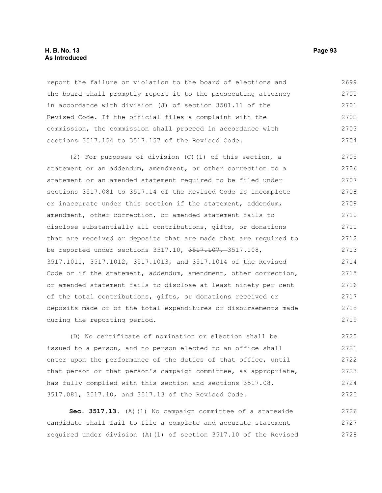#### **H. B. No. 13 Page 93 As Introduced**

report the failure or violation to the board of elections and the board shall promptly report it to the prosecuting attorney in accordance with division (J) of section 3501.11 of the Revised Code. If the official files a complaint with the commission, the commission shall proceed in accordance with sections 3517.154 to 3517.157 of the Revised Code. 2699 2700 2701 2702 2703 2704

(2) For purposes of division (C)(1) of this section, a statement or an addendum, amendment, or other correction to a statement or an amended statement required to be filed under sections 3517.081 to 3517.14 of the Revised Code is incomplete or inaccurate under this section if the statement, addendum, amendment, other correction, or amended statement fails to disclose substantially all contributions, gifts, or donations that are received or deposits that are made that are required to be reported under sections 3517.10, 3517.107, 3517.108, 3517.1011, 3517.1012, 3517.1013, and 3517.1014 of the Revised Code or if the statement, addendum, amendment, other correction, or amended statement fails to disclose at least ninety per cent of the total contributions, gifts, or donations received or deposits made or of the total expenditures or disbursements made during the reporting period. 2705 2706 2707 2708 2709 2710 2711 2712 2713 2714 2715 2716 2717 2718 2719

(D) No certificate of nomination or election shall be issued to a person, and no person elected to an office shall enter upon the performance of the duties of that office, until that person or that person's campaign committee, as appropriate, has fully complied with this section and sections 3517.08, 3517.081, 3517.10, and 3517.13 of the Revised Code. 2720 2721 2722 2723 2724 2725

**Sec. 3517.13.** (A)(1) No campaign committee of a statewide candidate shall fail to file a complete and accurate statement required under division (A)(1) of section 3517.10 of the Revised 2726 2727 2728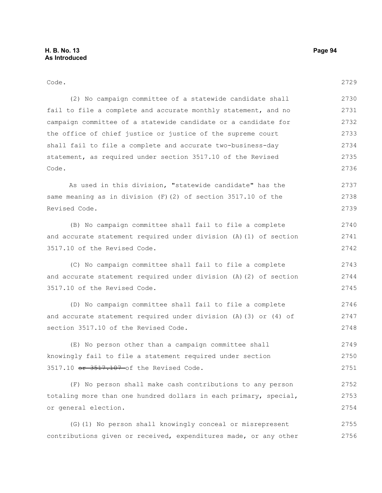| Code.                                                             | 2729 |
|-------------------------------------------------------------------|------|
| (2) No campaign committee of a statewide candidate shall          | 2730 |
| fail to file a complete and accurate monthly statement, and no    | 2731 |
| campaign committee of a statewide candidate or a candidate for    | 2732 |
| the office of chief justice or justice of the supreme court       | 2733 |
| shall fail to file a complete and accurate two-business-day       | 2734 |
| statement, as required under section 3517.10 of the Revised       | 2735 |
| Code.                                                             | 2736 |
| As used in this division, "statewide candidate" has the           | 2737 |
| same meaning as in division $(F)$ (2) of section 3517.10 of the   | 2738 |
| Revised Code.                                                     | 2739 |
| (B) No campaign committee shall fail to file a complete           | 2740 |
| and accurate statement required under division (A) (1) of section | 2741 |
| 3517.10 of the Revised Code.                                      | 2742 |
| (C) No campaign committee shall fail to file a complete           | 2743 |
| and accurate statement required under division (A) (2) of section | 2744 |
| 3517.10 of the Revised Code.                                      | 2745 |
| (D) No campaign committee shall fail to file a complete           | 2746 |
| and accurate statement required under division (A) (3) or (4) of  | 2747 |
| section 3517.10 of the Revised Code.                              | 2748 |
| (E) No person other than a campaign committee shall               | 2749 |
| knowingly fail to file a statement required under section         | 2750 |
| 3517.10 or 3517.107 of the Revised Code.                          | 2751 |
| (F) No person shall make cash contributions to any person         | 2752 |
| totaling more than one hundred dollars in each primary, special,  | 2753 |
| or general election.                                              | 2754 |
|                                                                   |      |

(G)(1) No person shall knowingly conceal or misrepresent contributions given or received, expenditures made, or any other 2755 2756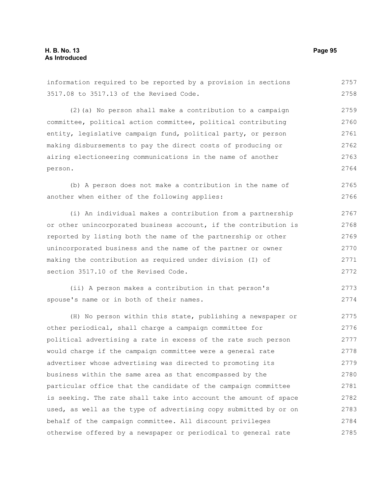information required to be reported by a provision in sections 3517.08 to 3517.13 of the Revised Code. 2757 2758

(2)(a) No person shall make a contribution to a campaign committee, political action committee, political contributing entity, legislative campaign fund, political party, or person making disbursements to pay the direct costs of producing or airing electioneering communications in the name of another person. 2759 2760 2761 2762 2763 2764

(b) A person does not make a contribution in the name of another when either of the following applies: 2765 2766

(i) An individual makes a contribution from a partnership or other unincorporated business account, if the contribution is reported by listing both the name of the partnership or other unincorporated business and the name of the partner or owner making the contribution as required under division (I) of section 3517.10 of the Revised Code. 2767 2768 2769 2770 2771 2772

(ii) A person makes a contribution in that person's spouse's name or in both of their names. 2773 2774

(H) No person within this state, publishing a newspaper or other periodical, shall charge a campaign committee for political advertising a rate in excess of the rate such person would charge if the campaign committee were a general rate advertiser whose advertising was directed to promoting its business within the same area as that encompassed by the particular office that the candidate of the campaign committee is seeking. The rate shall take into account the amount of space used, as well as the type of advertising copy submitted by or on behalf of the campaign committee. All discount privileges otherwise offered by a newspaper or periodical to general rate 2775 2776 2777 2778 2779 2780 2781 2782 2783 2784 2785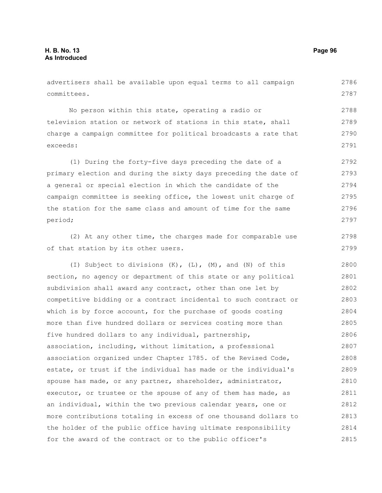advertisers shall be available upon equal terms to all campaign committees. 2786 2787

No person within this state, operating a radio or television station or network of stations in this state, shall charge a campaign committee for political broadcasts a rate that exceeds: 2788 2789 2790 2791

(1) During the forty-five days preceding the date of a primary election and during the sixty days preceding the date of a general or special election in which the candidate of the campaign committee is seeking office, the lowest unit charge of the station for the same class and amount of time for the same period; 2792 2793 2794 2795 2796 2797

(2) At any other time, the charges made for comparable use of that station by its other users.

(I) Subject to divisions  $(K)$ ,  $(L)$ ,  $(M)$ , and  $(N)$  of this section, no agency or department of this state or any political subdivision shall award any contract, other than one let by competitive bidding or a contract incidental to such contract or which is by force account, for the purchase of goods costing more than five hundred dollars or services costing more than five hundred dollars to any individual, partnership, association, including, without limitation, a professional association organized under Chapter 1785. of the Revised Code, estate, or trust if the individual has made or the individual's spouse has made, or any partner, shareholder, administrator, executor, or trustee or the spouse of any of them has made, as an individual, within the two previous calendar years, one or more contributions totaling in excess of one thousand dollars to the holder of the public office having ultimate responsibility for the award of the contract or to the public officer's 2800 2801 2802 2803 2804 2805 2806 2807 2808 2809 2810 2811 2812 2813 2814 2815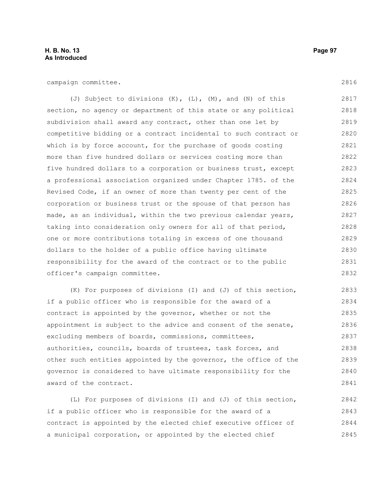# **H. B. No. 13 Page 97 As Introduced**

campaign committee.

(J) Subject to divisions (K), (L), (M), and (N) of this section, no agency or department of this state or any political subdivision shall award any contract, other than one let by competitive bidding or a contract incidental to such contract or which is by force account, for the purchase of goods costing more than five hundred dollars or services costing more than five hundred dollars to a corporation or business trust, except a professional association organized under Chapter 1785. of the Revised Code, if an owner of more than twenty per cent of the corporation or business trust or the spouse of that person has made, as an individual, within the two previous calendar years, taking into consideration only owners for all of that period, one or more contributions totaling in excess of one thousand dollars to the holder of a public office having ultimate responsibility for the award of the contract or to the public officer's campaign committee. 2817 2818 2819 2820 2821 2822 2823 2824 2825 2826 2827 2828 2829 2830 2831 2832

(K) For purposes of divisions (I) and (J) of this section, if a public officer who is responsible for the award of a contract is appointed by the governor, whether or not the appointment is subject to the advice and consent of the senate, excluding members of boards, commissions, committees, authorities, councils, boards of trustees, task forces, and other such entities appointed by the governor, the office of the governor is considered to have ultimate responsibility for the award of the contract. 2833 2834 2835 2836 2837 2838 2839 2840 2841

(L) For purposes of divisions (I) and (J) of this section, if a public officer who is responsible for the award of a contract is appointed by the elected chief executive officer of a municipal corporation, or appointed by the elected chief 2842 2843 2844 2845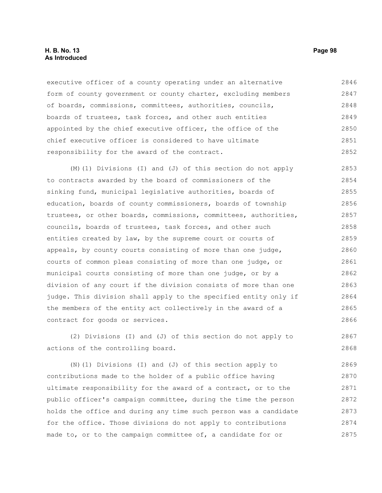executive officer of a county operating under an alternative form of county government or county charter, excluding members of boards, commissions, committees, authorities, councils, boards of trustees, task forces, and other such entities appointed by the chief executive officer, the office of the chief executive officer is considered to have ultimate responsibility for the award of the contract. 2846 2847 2848 2849 2850 2851 2852

(M)(1) Divisions (I) and (J) of this section do not apply to contracts awarded by the board of commissioners of the sinking fund, municipal legislative authorities, boards of education, boards of county commissioners, boards of township trustees, or other boards, commissions, committees, authorities, councils, boards of trustees, task forces, and other such entities created by law, by the supreme court or courts of appeals, by county courts consisting of more than one judge, courts of common pleas consisting of more than one judge, or municipal courts consisting of more than one judge, or by a division of any court if the division consists of more than one judge. This division shall apply to the specified entity only if the members of the entity act collectively in the award of a contract for goods or services. 2853 2854 2855 2856 2857 2858 2859 2860 2861 2862 2863 2864 2865 2866

(2) Divisions (I) and (J) of this section do not apply to actions of the controlling board. 2867 2868

(N)(1) Divisions (I) and (J) of this section apply to contributions made to the holder of a public office having ultimate responsibility for the award of a contract, or to the public officer's campaign committee, during the time the person holds the office and during any time such person was a candidate for the office. Those divisions do not apply to contributions made to, or to the campaign committee of, a candidate for or 2869 2870 2871 2872 2873 2874 2875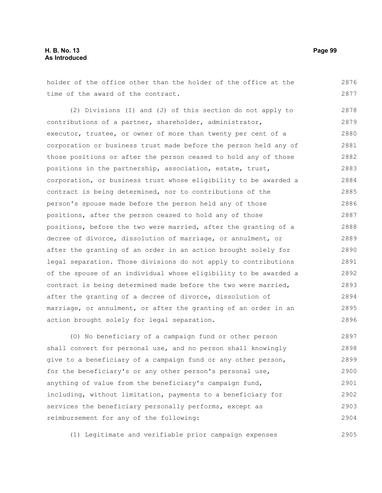# **H. B. No. 13 Page 99 As Introduced**

holder of the office other than the holder of the office at the time of the award of the contract. 2876 2877

(2) Divisions (I) and (J) of this section do not apply to contributions of a partner, shareholder, administrator, executor, trustee, or owner of more than twenty per cent of a corporation or business trust made before the person held any of those positions or after the person ceased to hold any of those positions in the partnership, association, estate, trust, corporation, or business trust whose eligibility to be awarded a contract is being determined, nor to contributions of the person's spouse made before the person held any of those positions, after the person ceased to hold any of those positions, before the two were married, after the granting of a decree of divorce, dissolution of marriage, or annulment, or after the granting of an order in an action brought solely for legal separation. Those divisions do not apply to contributions of the spouse of an individual whose eligibility to be awarded a contract is being determined made before the two were married, after the granting of a decree of divorce, dissolution of marriage, or annulment, or after the granting of an order in an action brought solely for legal separation. 2878 2879 2880 2881 2882 2883 2884 2885 2886 2887 2888 2889 2890 2891 2892 2893 2894 2895 2896

(O) No beneficiary of a campaign fund or other person shall convert for personal use, and no person shall knowingly give to a beneficiary of a campaign fund or any other person, for the beneficiary's or any other person's personal use, anything of value from the beneficiary's campaign fund, including, without limitation, payments to a beneficiary for services the beneficiary personally performs, except as reimbursement for any of the following: 2897 2898 2899 2900 2901 2902 2903 2904

(1) Legitimate and verifiable prior campaign expenses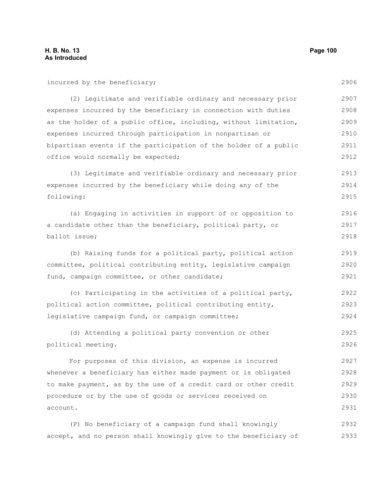2906

2913 2914 2915

2916 2917 2918

2919

| incurred by the beneficiary;                                                                                                            |
|-----------------------------------------------------------------------------------------------------------------------------------------|
| (2) Legitimate and verifiable ordinary and necessary prior                                                                              |
| expenses incurred by the beneficiary in connection with duties                                                                          |
| as the holder of a public office, including, without limitation,                                                                        |
| expenses incurred through participation in nonpartisan or                                                                               |
| bipartisan events if the participation of the holder of a public                                                                        |
| office would normally be expected;                                                                                                      |
| (3) Legitimate and verifiable ordinary and necessary prior<br>expenses incurred by the beneficiary while doing any of the<br>following: |
| (a) Engaging in activities in support of or opposition to                                                                               |
| a candidate other than the beneficiary, political party, or                                                                             |
| ballot issue;                                                                                                                           |
| (b) Raising funds for a political party, political action                                                                               |

committee, political contributing entity, legislative campaign fund, campaign committee, or other candidate; 2920 2921

(c) Participating in the activities of a political party, political action committee, political contributing entity, legislative campaign fund, or campaign committee; 2922 2923 2924

(d) Attending a political party convention or other political meeting. 2925 2926

For purposes of this division, an expense is incurred whenever a beneficiary has either made payment or is obligated to make payment, as by the use of a credit card or other credit procedure or by the use of goods or services received on account. 2927 2928 2929 2930 2931

(P) No beneficiary of a campaign fund shall knowingly accept, and no person shall knowingly give to the beneficiary of 2932 2933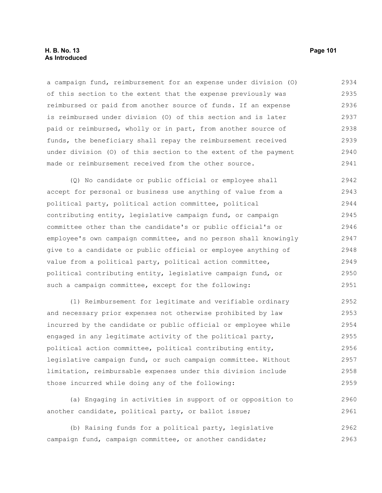# **H. B. No. 13 Page 101 As Introduced**

a campaign fund, reimbursement for an expense under division (O) of this section to the extent that the expense previously was reimbursed or paid from another source of funds. If an expense is reimbursed under division (O) of this section and is later paid or reimbursed, wholly or in part, from another source of funds, the beneficiary shall repay the reimbursement received under division (O) of this section to the extent of the payment made or reimbursement received from the other source. 2934 2935 2936 2937 2938 2939 2940 2941

(Q) No candidate or public official or employee shall accept for personal or business use anything of value from a political party, political action committee, political contributing entity, legislative campaign fund, or campaign committee other than the candidate's or public official's or employee's own campaign committee, and no person shall knowingly give to a candidate or public official or employee anything of value from a political party, political action committee, political contributing entity, legislative campaign fund, or such a campaign committee, except for the following: 2942 2943 2944 2945 2946 2947 2948 2949 2950 2951

(1) Reimbursement for legitimate and verifiable ordinary and necessary prior expenses not otherwise prohibited by law incurred by the candidate or public official or employee while engaged in any legitimate activity of the political party, political action committee, political contributing entity, legislative campaign fund, or such campaign committee. Without limitation, reimbursable expenses under this division include those incurred while doing any of the following: 2952 2953 2954 2955 2956 2957 2958 2959

(a) Engaging in activities in support of or opposition to another candidate, political party, or ballot issue; 2960 2961

(b) Raising funds for a political party, legislative campaign fund, campaign committee, or another candidate; 2962 2963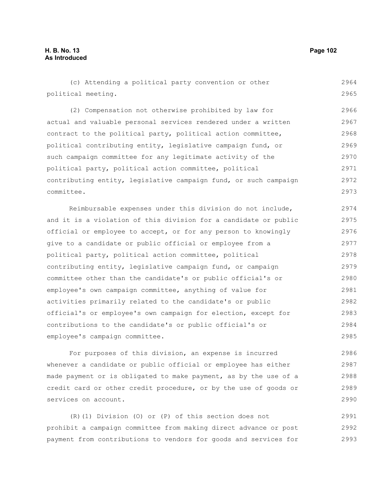2985

(c) Attending a political party convention or other political meeting. (2) Compensation not otherwise prohibited by law for actual and valuable personal services rendered under a written contract to the political party, political action committee, political contributing entity, legislative campaign fund, or such campaign committee for any legitimate activity of the political party, political action committee, political contributing entity, legislative campaign fund, or such campaign committee. Reimbursable expenses under this division do not include, and it is a violation of this division for a candidate or public official or employee to accept, or for any person to knowingly give to a candidate or public official or employee from a political party, political action committee, political contributing entity, legislative campaign fund, or campaign committee other than the candidate's or public official's or employee's own campaign committee, anything of value for activities primarily related to the candidate's or public official's or employee's own campaign for election, except for contributions to the candidate's or public official's or 2964 2965 2966 2967 2968 2969 2970 2971 2972 2973 2974 2975 2976 2977 2978 2979 2980 2981 2982 2983 2984

employee's campaign committee.

For purposes of this division, an expense is incurred whenever a candidate or public official or employee has either made payment or is obligated to make payment, as by the use of a credit card or other credit procedure, or by the use of goods or services on account. 2986 2987 2988 2989 2990

(R)(1) Division (O) or (P) of this section does not prohibit a campaign committee from making direct advance or post payment from contributions to vendors for goods and services for 2991 2992 2993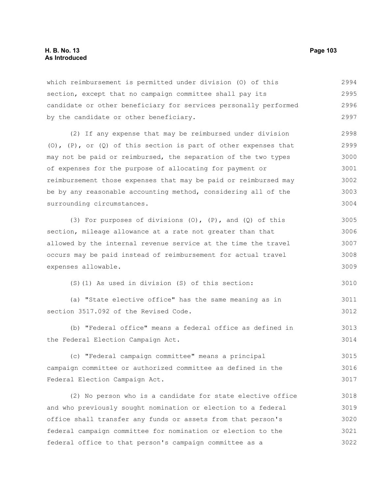# **H. B. No. 13 Page 103 As Introduced**

which reimbursement is permitted under division (O) of this section, except that no campaign committee shall pay its candidate or other beneficiary for services personally performed by the candidate or other beneficiary. 2994 2995 2996 2997

(2) If any expense that may be reimbursed under division (O),  $(P)$ , or  $(Q)$  of this section is part of other expenses that may not be paid or reimbursed, the separation of the two types of expenses for the purpose of allocating for payment or reimbursement those expenses that may be paid or reimbursed may be by any reasonable accounting method, considering all of the surrounding circumstances. 2998 2999 3000 3001 3002 3003 3004

(3) For purposes of divisions  $(0)$ ,  $(P)$ , and  $(Q)$  of this section, mileage allowance at a rate not greater than that allowed by the internal revenue service at the time the travel occurs may be paid instead of reimbursement for actual travel expenses allowable. 3005 3006 3007 3008 3009

(S)(1) As used in division (S) of this section:

(a) "State elective office" has the same meaning as in section 3517.092 of the Revised Code. 3011 3012

(b) "Federal office" means a federal office as defined in the Federal Election Campaign Act. 3013 3014

(c) "Federal campaign committee" means a principal campaign committee or authorized committee as defined in the Federal Election Campaign Act. 3015 3016 3017

(2) No person who is a candidate for state elective office and who previously sought nomination or election to a federal office shall transfer any funds or assets from that person's federal campaign committee for nomination or election to the federal office to that person's campaign committee as a 3018 3019 3020 3021 3022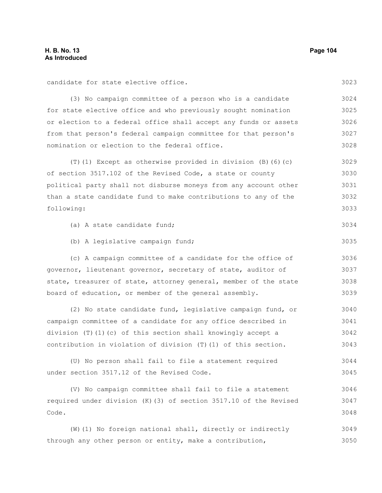3023

3034

3035

candidate for state elective office.

(3) No campaign committee of a person who is a candidate for state elective office and who previously sought nomination or election to a federal office shall accept any funds or assets from that person's federal campaign committee for that person's nomination or election to the federal office. 3024 3025 3026 3027 3028

(T)(1) Except as otherwise provided in division  $(B)$  (6)(c) of section 3517.102 of the Revised Code, a state or county political party shall not disburse moneys from any account other than a state candidate fund to make contributions to any of the following: 3029 3030 3031 3032 3033

(a) A state candidate fund;

(b) A legislative campaign fund;

(c) A campaign committee of a candidate for the office of governor, lieutenant governor, secretary of state, auditor of state, treasurer of state, attorney general, member of the state board of education, or member of the general assembly. 3036 3037 3038 3039

(2) No state candidate fund, legislative campaign fund, or campaign committee of a candidate for any office described in division (T)(1)(c) of this section shall knowingly accept a contribution in violation of division (T)(1) of this section. 3040 3041 3042 3043

(U) No person shall fail to file a statement required under section 3517.12 of the Revised Code. 3044 3045

(V) No campaign committee shall fail to file a statement required under division (K)(3) of section 3517.10 of the Revised Code. 3046 3047 3048

(W)(1) No foreign national shall, directly or indirectly through any other person or entity, make a contribution, 3049 3050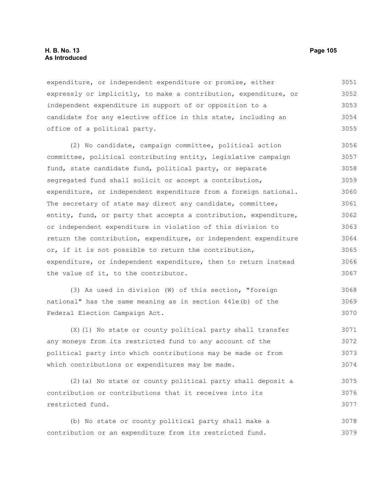# **H. B. No. 13 Page 105 As Introduced**

expenditure, or independent expenditure or promise, either expressly or implicitly, to make a contribution, expenditure, or independent expenditure in support of or opposition to a candidate for any elective office in this state, including an office of a political party. 3051 3052 3053 3054 3055

(2) No candidate, campaign committee, political action committee, political contributing entity, legislative campaign fund, state candidate fund, political party, or separate segregated fund shall solicit or accept a contribution, expenditure, or independent expenditure from a foreign national. The secretary of state may direct any candidate, committee, entity, fund, or party that accepts a contribution, expenditure, or independent expenditure in violation of this division to return the contribution, expenditure, or independent expenditure or, if it is not possible to return the contribution, expenditure, or independent expenditure, then to return instead the value of it, to the contributor. 3056 3057 3058 3059 3060 3061 3062 3063 3064 3065 3066 3067

(3) As used in division (W) of this section, "foreign national" has the same meaning as in section 441e(b) of the Federal Election Campaign Act. 3068 3069 3070

(X)(1) No state or county political party shall transfer any moneys from its restricted fund to any account of the political party into which contributions may be made or from which contributions or expenditures may be made. 3071 3072 3073 3074

(2)(a) No state or county political party shall deposit a contribution or contributions that it receives into its restricted fund. 3075 3076 3077

(b) No state or county political party shall make a contribution or an expenditure from its restricted fund. 3078 3079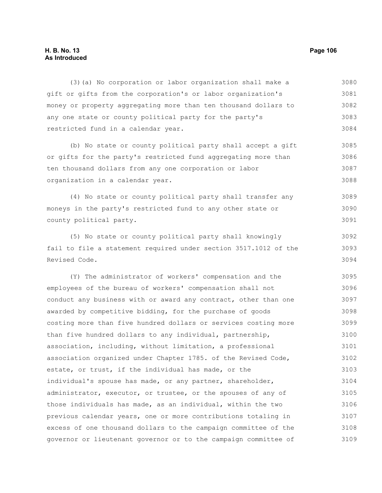# **H. B. No. 13 Page 106 As Introduced**

(3)(a) No corporation or labor organization shall make a gift or gifts from the corporation's or labor organization's money or property aggregating more than ten thousand dollars to any one state or county political party for the party's restricted fund in a calendar year. 3080 3081 3082 3083 3084

(b) No state or county political party shall accept a gift or gifts for the party's restricted fund aggregating more than ten thousand dollars from any one corporation or labor organization in a calendar year. 3085 3086 3087 3088

(4) No state or county political party shall transfer any moneys in the party's restricted fund to any other state or county political party. 3089 3090 3091

(5) No state or county political party shall knowingly fail to file a statement required under section 3517.1012 of the Revised Code. 3092 3093 3094

(Y) The administrator of workers' compensation and the employees of the bureau of workers' compensation shall not conduct any business with or award any contract, other than one awarded by competitive bidding, for the purchase of goods costing more than five hundred dollars or services costing more than five hundred dollars to any individual, partnership, association, including, without limitation, a professional association organized under Chapter 1785. of the Revised Code, estate, or trust, if the individual has made, or the individual's spouse has made, or any partner, shareholder, administrator, executor, or trustee, or the spouses of any of those individuals has made, as an individual, within the two previous calendar years, one or more contributions totaling in excess of one thousand dollars to the campaign committee of the governor or lieutenant governor or to the campaign committee of 3095 3096 3097 3098 3099 3100 3101 3102 3103 3104 3105 3106 3107 3108 3109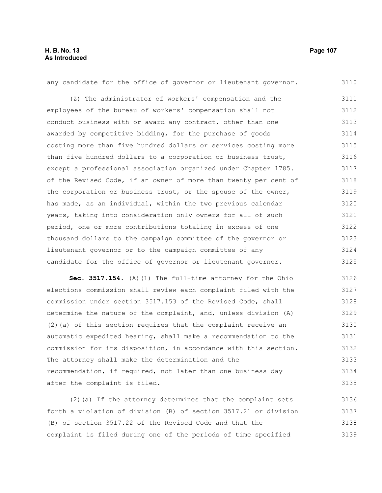| any candidate for the office of governor or lieutenant governor. | 3110 |
|------------------------------------------------------------------|------|
| (Z) The administrator of workers' compensation and the           | 3111 |
| employees of the bureau of workers' compensation shall not       | 3112 |
| conduct business with or award any contract, other than one      | 3113 |
| awarded by competitive bidding, for the purchase of goods        | 3114 |
| costing more than five hundred dollars or services costing more  | 3115 |
| than five hundred dollars to a corporation or business trust,    | 3116 |
| except a professional association organized under Chapter 1785.  | 3117 |
| of the Revised Code, if an owner of more than twenty per cent of | 3118 |
| the corporation or business trust, or the spouse of the owner,   | 3119 |
| has made, as an individual, within the two previous calendar     | 3120 |
| years, taking into consideration only owners for all of such     | 3121 |
| period, one or more contributions totaling in excess of one      | 3122 |
| thousand dollars to the campaign committee of the governor or    | 3123 |
| lieutenant governor or to the campaign committee of any          | 3124 |
| candidate for the office of governor or lieutenant governor.     | 3125 |

**Sec. 3517.154.** (A)(1) The full-time attorney for the Ohio elections commission shall review each complaint filed with the commission under section 3517.153 of the Revised Code, shall determine the nature of the complaint, and, unless division (A) (2)(a) of this section requires that the complaint receive an automatic expedited hearing, shall make a recommendation to the commission for its disposition, in accordance with this section. The attorney shall make the determination and the recommendation, if required, not later than one business day after the complaint is filed. 3126 3127 3128 3129 3130 3131 3132 3133 3134 3135

(2)(a) If the attorney determines that the complaint sets forth a violation of division (B) of section 3517.21 or division (B) of section 3517.22 of the Revised Code and that the complaint is filed during one of the periods of time specified 3136 3137 3138 3139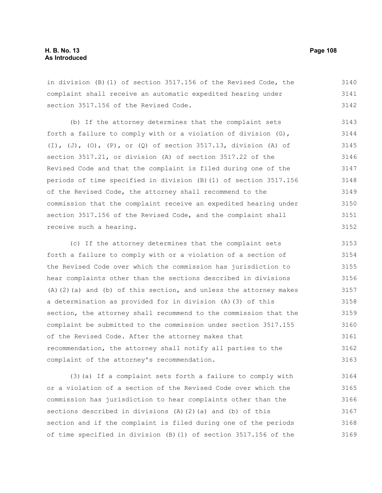in division (B)(1) of section 3517.156 of the Revised Code, the complaint shall receive an automatic expedited hearing under section 3517.156 of the Revised Code. 3140 3141 3142

(b) If the attorney determines that the complaint sets forth a failure to comply with or a violation of division (G), (I), (J), (O), (P), or (Q) of section 3517.13, division (A) of section 3517.21, or division (A) of section 3517.22 of the Revised Code and that the complaint is filed during one of the periods of time specified in division (B)(1) of section 3517.156 of the Revised Code, the attorney shall recommend to the commission that the complaint receive an expedited hearing under section 3517.156 of the Revised Code, and the complaint shall receive such a hearing. 3143 3144 3145 3146 3147 3148 3149 3150 3151 3152

(c) If the attorney determines that the complaint sets forth a failure to comply with or a violation of a section of the Revised Code over which the commission has jurisdiction to hear complaints other than the sections described in divisions (A)(2)(a) and (b) of this section, and unless the attorney makes a determination as provided for in division (A)(3) of this section, the attorney shall recommend to the commission that the complaint be submitted to the commission under section 3517.155 of the Revised Code. After the attorney makes that recommendation, the attorney shall notify all parties to the complaint of the attorney's recommendation. 3153 3154 3155 3156 3157 3158 3159 3160 3161 3162 3163

(3)(a) If a complaint sets forth a failure to comply with or a violation of a section of the Revised Code over which the commission has jurisdiction to hear complaints other than the sections described in divisions (A)(2)(a) and (b) of this section and if the complaint is filed during one of the periods of time specified in division (B)(1) of section 3517.156 of the 3164 3165 3166 3167 3168 3169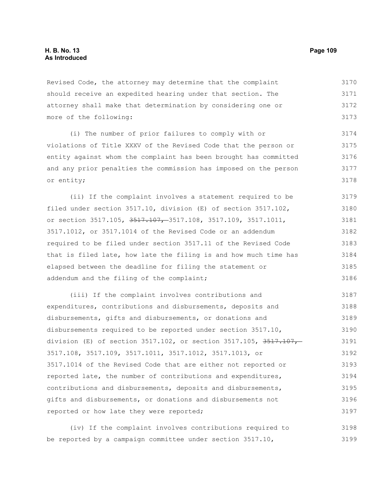Revised Code, the attorney may determine that the complaint should receive an expedited hearing under that section. The attorney shall make that determination by considering one or more of the following: 3170 3171 3172 3173

(i) The number of prior failures to comply with or violations of Title XXXV of the Revised Code that the person or entity against whom the complaint has been brought has committed and any prior penalties the commission has imposed on the person or entity; 3174 3175 3176 3177 3178

(ii) If the complaint involves a statement required to be filed under section 3517.10, division (E) of section 3517.102, or section 3517.105, 3517.107, 3517.108, 3517.109, 3517.1011, 3517.1012, or 3517.1014 of the Revised Code or an addendum required to be filed under section 3517.11 of the Revised Code that is filed late, how late the filing is and how much time has elapsed between the deadline for filing the statement or addendum and the filing of the complaint; 3179 3180 3181 3182 3183 3184 3185 3186

(iii) If the complaint involves contributions and expenditures, contributions and disbursements, deposits and disbursements, gifts and disbursements, or donations and disbursements required to be reported under section 3517.10, division (E) of section 3517.102, or section 3517.105, 3517.107, 3517.108, 3517.109, 3517.1011, 3517.1012, 3517.1013, or 3517.1014 of the Revised Code that are either not reported or reported late, the number of contributions and expenditures, contributions and disbursements, deposits and disbursements, gifts and disbursements, or donations and disbursements not reported or how late they were reported; 3187 3188 3189 3190 3191 3192 3193 3194 3195 3196 3197

(iv) If the complaint involves contributions required to be reported by a campaign committee under section 3517.10, 3198 3199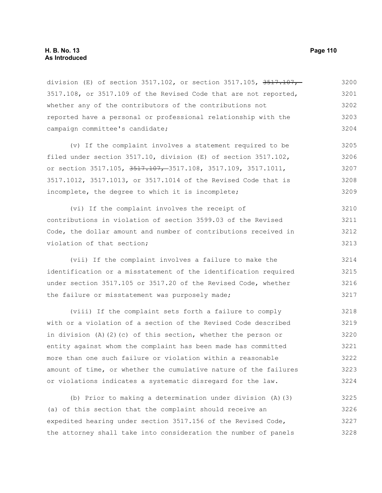## **H. B. No. 13 Page 110 As Introduced**

division (E) of section  $3517.102$ , or section  $3517.105$ ,  $3517.107$ , 3517.108, or 3517.109 of the Revised Code that are not reported, whether any of the contributors of the contributions not reported have a personal or professional relationship with the campaign committee's candidate; 3200 3201 3202 3203 3204

(v) If the complaint involves a statement required to be filed under section 3517.10, division (E) of section 3517.102, or section 3517.105, 3517.107, 3517.108, 3517.109, 3517.1011, 3517.1012, 3517.1013, or 3517.1014 of the Revised Code that is incomplete, the degree to which it is incomplete; 3205 3206 3207 3208 3209

(vi) If the complaint involves the receipt of contributions in violation of section 3599.03 of the Revised Code, the dollar amount and number of contributions received in violation of that section; 3210 3211 3212 3213

(vii) If the complaint involves a failure to make the identification or a misstatement of the identification required under section 3517.105 or 3517.20 of the Revised Code, whether the failure or misstatement was purposely made; 3214 3215 3216 3217

(viii) If the complaint sets forth a failure to comply with or a violation of a section of the Revised Code described in division (A)(2)(c) of this section, whether the person or entity against whom the complaint has been made has committed more than one such failure or violation within a reasonable amount of time, or whether the cumulative nature of the failures or violations indicates a systematic disregard for the law. 3218 3219 3220 3221 3222 3223 3224

(b) Prior to making a determination under division (A)(3) (a) of this section that the complaint should receive an expedited hearing under section 3517.156 of the Revised Code, the attorney shall take into consideration the number of panels 3225 3226 3227 3228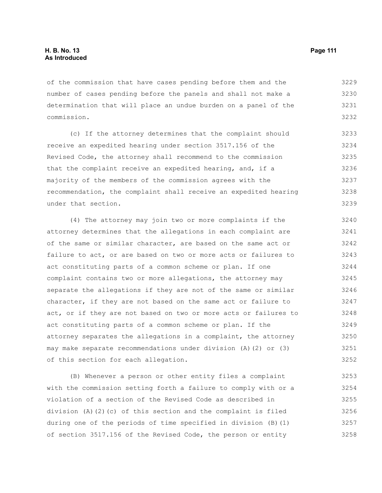of the commission that have cases pending before them and the number of cases pending before the panels and shall not make a determination that will place an undue burden on a panel of the commission. 3229 3230 3231 3232

(c) If the attorney determines that the complaint should receive an expedited hearing under section 3517.156 of the Revised Code, the attorney shall recommend to the commission that the complaint receive an expedited hearing, and, if a majority of the members of the commission agrees with the recommendation, the complaint shall receive an expedited hearing under that section. 3233 3234 3235 3236 3237 3238 3239

(4) The attorney may join two or more complaints if the attorney determines that the allegations in each complaint are of the same or similar character, are based on the same act or failure to act, or are based on two or more acts or failures to act constituting parts of a common scheme or plan. If one complaint contains two or more allegations, the attorney may separate the allegations if they are not of the same or similar character, if they are not based on the same act or failure to act, or if they are not based on two or more acts or failures to act constituting parts of a common scheme or plan. If the attorney separates the allegations in a complaint, the attorney may make separate recommendations under division (A)(2) or (3) of this section for each allegation. 3240 3241 3242 3243 3244 3245 3246 3247 3248 3249 3250 3251 3252

(B) Whenever a person or other entity files a complaint with the commission setting forth a failure to comply with or a violation of a section of the Revised Code as described in division (A)(2)(c) of this section and the complaint is filed during one of the periods of time specified in division (B)(1) of section 3517.156 of the Revised Code, the person or entity 3253 3254 3255 3256 3257 3258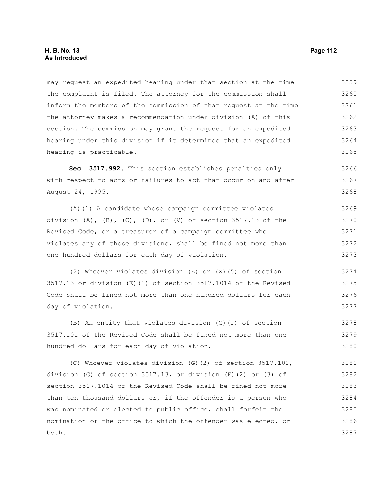may request an expedited hearing under that section at the time the complaint is filed. The attorney for the commission shall inform the members of the commission of that request at the time the attorney makes a recommendation under division (A) of this section. The commission may grant the request for an expedited hearing under this division if it determines that an expedited hearing is practicable. 3259 3260 3261 3262 3263 3264

**Sec. 3517.992.** This section establishes penalties only with respect to acts or failures to act that occur on and after August 24, 1995. 3266

(A)(1) A candidate whose campaign committee violates division  $(A)$ ,  $(B)$ ,  $(C)$ ,  $(D)$ , or  $(V)$  of section 3517.13 of the Revised Code, or a treasurer of a campaign committee who violates any of those divisions, shall be fined not more than one hundred dollars for each day of violation. 3269 3270 3271 3272 3273

(2) Whoever violates division (E) or (X)(5) of section 3517.13 or division (E)(1) of section 3517.1014 of the Revised Code shall be fined not more than one hundred dollars for each day of violation.

(B) An entity that violates division (G)(1) of section 3517.101 of the Revised Code shall be fined not more than one hundred dollars for each day of violation. 3278 3279 3280

(C) Whoever violates division (G)(2) of section 3517.101, division (G) of section 3517.13, or division (E)(2) or (3) of section 3517.1014 of the Revised Code shall be fined not more than ten thousand dollars or, if the offender is a person who was nominated or elected to public office, shall forfeit the nomination or the office to which the offender was elected, or both. 3281 3282 3283 3284 3285 3286 3287

3265

- 
- 3268

- 3267
	-
	-
	-
	-
- -
	-
- -
- 
- 
-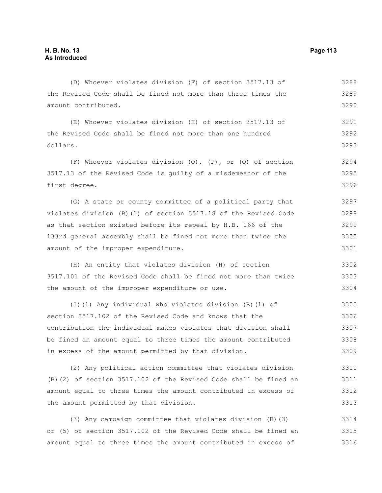dollars.

the Revised Code shall be fined not more than three times the amount contributed. (E) Whoever violates division (H) of section 3517.13 of the Revised Code shall be fined not more than one hundred (F) Whoever violates division (O), (P), or (Q) of section 3517.13 of the Revised Code is guilty of a misdemeanor of the first degree. (G) A state or county committee of a political party that violates division (B)(1) of section 3517.18 of the Revised Code as that section existed before its repeal by H.B. 166 of the 133rd general assembly shall be fined not more than twice the amount of the improper expenditure. (H) An entity that violates division (H) of section 3517.101 of the Revised Code shall be fined not more than twice the amount of the improper expenditure or use. 3289 3290 3291 3292 3293 3294 3295 3296 3297 3298 3299 3300 3301 3302 3303 3304

(D) Whoever violates division (F) of section 3517.13 of

(I)(1) Any individual who violates division (B)(1) of section 3517.102 of the Revised Code and knows that the contribution the individual makes violates that division shall be fined an amount equal to three times the amount contributed in excess of the amount permitted by that division. 3305 3306 3307 3308 3309

(2) Any political action committee that violates division (B)(2) of section 3517.102 of the Revised Code shall be fined an amount equal to three times the amount contributed in excess of the amount permitted by that division. 3310 3311 3312 3313

(3) Any campaign committee that violates division (B)(3) or (5) of section 3517.102 of the Revised Code shall be fined an amount equal to three times the amount contributed in excess of 3314 3315 3316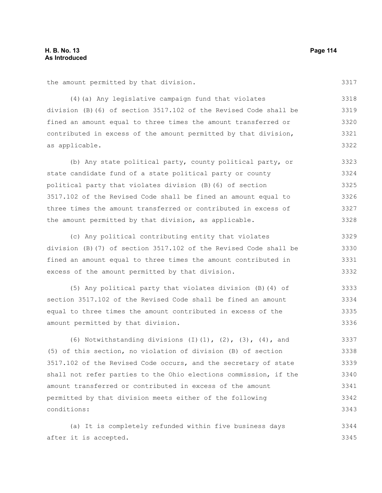3317

the amount permitted by that division.

(4)(a) Any legislative campaign fund that violates division (B)(6) of section 3517.102 of the Revised Code shall be fined an amount equal to three times the amount transferred or contributed in excess of the amount permitted by that division, as applicable. 3318 3319 3320 3321 3322

(b) Any state political party, county political party, or state candidate fund of a state political party or county political party that violates division (B)(6) of section 3517.102 of the Revised Code shall be fined an amount equal to three times the amount transferred or contributed in excess of the amount permitted by that division, as applicable. 3323 3324 3325 3326 3327 3328

(c) Any political contributing entity that violates division (B)(7) of section 3517.102 of the Revised Code shall be fined an amount equal to three times the amount contributed in excess of the amount permitted by that division. 3329 3330 3331 3332

(5) Any political party that violates division (B)(4) of section 3517.102 of the Revised Code shall be fined an amount equal to three times the amount contributed in excess of the amount permitted by that division. 3333 3334 3335 3336

(6) Notwithstanding divisions  $(I)$ (1),  $(2)$ ,  $(3)$ ,  $(4)$ , and (5) of this section, no violation of division (B) of section 3517.102 of the Revised Code occurs, and the secretary of state shall not refer parties to the Ohio elections commission, if the amount transferred or contributed in excess of the amount permitted by that division meets either of the following conditions: 3337 3338 3339 3340 3341 3342 3343

(a) It is completely refunded within five business days after it is accepted. 3344 3345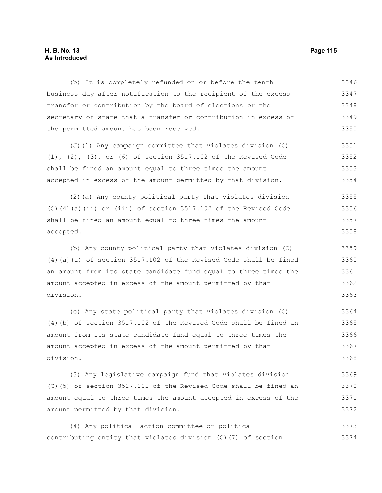## **H. B. No. 13 Page 115 As Introduced**

(b) It is completely refunded on or before the tenth business day after notification to the recipient of the excess transfer or contribution by the board of elections or the secretary of state that a transfer or contribution in excess of the permitted amount has been received. 3346 3347 3348 3349 3350

(J)(1) Any campaign committee that violates division (C) (1), (2), (3), or (6) of section 3517.102 of the Revised Code shall be fined an amount equal to three times the amount accepted in excess of the amount permitted by that division. 3351 3352 3353 3354

(2)(a) Any county political party that violates division (C)(4)(a)(ii) or (iii) of section 3517.102 of the Revised Code shall be fined an amount equal to three times the amount accepted. 3355 3356 3357 3358

(b) Any county political party that violates division (C) (4)(a)(i) of section 3517.102 of the Revised Code shall be fined an amount from its state candidate fund equal to three times the amount accepted in excess of the amount permitted by that division. 3359 3360 3361 3362 3363

(c) Any state political party that violates division (C) (4)(b) of section 3517.102 of the Revised Code shall be fined an amount from its state candidate fund equal to three times the amount accepted in excess of the amount permitted by that division. 3364 3365 3366 3367 3368

(3) Any legislative campaign fund that violates division (C)(5) of section 3517.102 of the Revised Code shall be fined an amount equal to three times the amount accepted in excess of the amount permitted by that division. 3369 3370 3371 3372

(4) Any political action committee or political contributing entity that violates division (C)(7) of section 3373 3374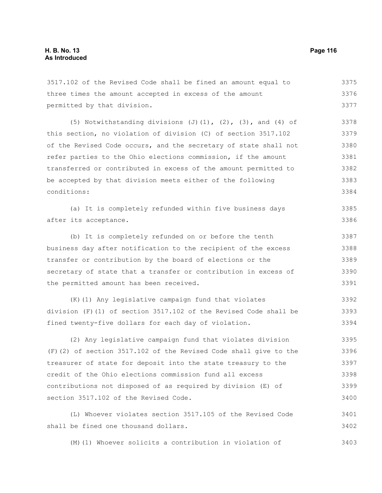3517.102 of the Revised Code shall be fined an amount equal to three times the amount accepted in excess of the amount permitted by that division. 3375 3376 3377

(5) Notwithstanding divisions  $(J)$ (1),  $(2)$ ,  $(3)$ , and  $(4)$  of this section, no violation of division (C) of section 3517.102 of the Revised Code occurs, and the secretary of state shall not refer parties to the Ohio elections commission, if the amount transferred or contributed in excess of the amount permitted to be accepted by that division meets either of the following conditions: 3378 3379 3380 3381 3382 3383 3384

(a) It is completely refunded within five business days after its acceptance. 3385 3386

(b) It is completely refunded on or before the tenth business day after notification to the recipient of the excess transfer or contribution by the board of elections or the secretary of state that a transfer or contribution in excess of the permitted amount has been received. 3387 3388 3389 3390 3391

(K)(1) Any legislative campaign fund that violates division (F)(1) of section 3517.102 of the Revised Code shall be fined twenty-five dollars for each day of violation. 3392 3393 3394

(2) Any legislative campaign fund that violates division (F)(2) of section 3517.102 of the Revised Code shall give to the treasurer of state for deposit into the state treasury to the credit of the Ohio elections commission fund all excess contributions not disposed of as required by division (E) of section 3517.102 of the Revised Code. 3395 3396 3397 3398 3399 3400

(L) Whoever violates section 3517.105 of the Revised Code shall be fined one thousand dollars. 3401 3402

(M)(1) Whoever solicits a contribution in violation of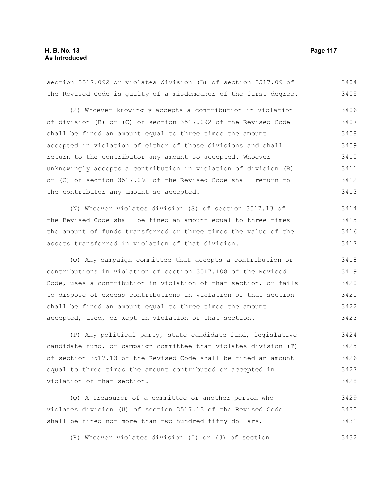section 3517.092 or violates division (B) of section 3517.09 of the Revised Code is guilty of a misdemeanor of the first degree. 3404 3405

(2) Whoever knowingly accepts a contribution in violation of division (B) or (C) of section 3517.092 of the Revised Code shall be fined an amount equal to three times the amount accepted in violation of either of those divisions and shall return to the contributor any amount so accepted. Whoever unknowingly accepts a contribution in violation of division (B) or (C) of section 3517.092 of the Revised Code shall return to the contributor any amount so accepted. 3406 3407 3408 3409 3410 3411 3412 3413

(N) Whoever violates division (S) of section 3517.13 of the Revised Code shall be fined an amount equal to three times the amount of funds transferred or three times the value of the assets transferred in violation of that division. 3414 3415 3416 3417

(O) Any campaign committee that accepts a contribution or contributions in violation of section 3517.108 of the Revised Code, uses a contribution in violation of that section, or fails to dispose of excess contributions in violation of that section shall be fined an amount equal to three times the amount accepted, used, or kept in violation of that section. 3418 3419 3420 3421 3422 3423

(P) Any political party, state candidate fund, legislative candidate fund, or campaign committee that violates division (T) of section 3517.13 of the Revised Code shall be fined an amount equal to three times the amount contributed or accepted in violation of that section. 3424 3425 3426 3427 3428

(Q) A treasurer of a committee or another person who violates division (U) of section 3517.13 of the Revised Code shall be fined not more than two hundred fifty dollars. 3429 3430 3431

(R) Whoever violates division (I) or (J) of section 3432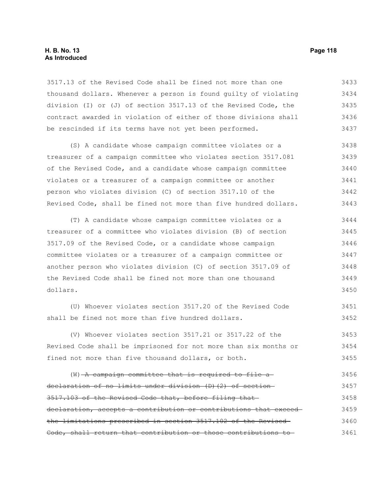## **H. B. No. 13 Page 118 As Introduced**

3517.13 of the Revised Code shall be fined not more than one thousand dollars. Whenever a person is found guilty of violating division (I) or (J) of section 3517.13 of the Revised Code, the contract awarded in violation of either of those divisions shall be rescinded if its terms have not yet been performed. 3433 3434 3435 3436 3437

(S) A candidate whose campaign committee violates or a treasurer of a campaign committee who violates section 3517.081 of the Revised Code, and a candidate whose campaign committee violates or a treasurer of a campaign committee or another person who violates division (C) of section 3517.10 of the Revised Code, shall be fined not more than five hundred dollars. 3438 3439 3440 3441 3442 3443

(T) A candidate whose campaign committee violates or a treasurer of a committee who violates division (B) of section 3517.09 of the Revised Code, or a candidate whose campaign committee violates or a treasurer of a campaign committee or another person who violates division (C) of section 3517.09 of the Revised Code shall be fined not more than one thousand dollars. 3444 3445 3446 3447 3448 3449 3450

(U) Whoever violates section 3517.20 of the Revised Code shall be fined not more than five hundred dollars. 3451 3452

(V) Whoever violates section 3517.21 or 3517.22 of the Revised Code shall be imprisoned for not more than six months or fined not more than five thousand dollars, or both. 3453 3454 3455

 $(W)$  -A campaign committee that is required to file adeclaration of no limits under division (D)(2) of section 3517.103 of the Revised Code that, before filing that declaration, accepts a contribution or contributions that exceed the limitations prescribed in section 3517.102 of the Revised Code, shall return that contribution or those contributions to 3456 3457 3458 3459 3460 3461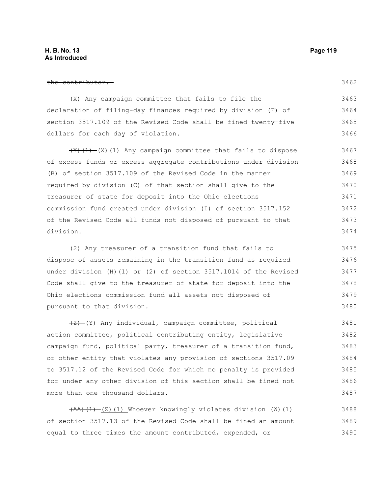#### the contributor.

3462

(X) Any campaign committee that fails to file the declaration of filing-day finances required by division (F) of section 3517.109 of the Revised Code shall be fined twenty-five dollars for each day of violation. 3463 3464 3465 3466

 $(\frac{Y}{Y}, (\frac{1}{Y}, \frac{X}{X})$  (1) Any campaign committee that fails to dispose of excess funds or excess aggregate contributions under division (B) of section 3517.109 of the Revised Code in the manner required by division (C) of that section shall give to the treasurer of state for deposit into the Ohio elections commission fund created under division (I) of section 3517.152 of the Revised Code all funds not disposed of pursuant to that division. 3467 3468 3469 3470 3471 3472 3473 3474

(2) Any treasurer of a transition fund that fails to dispose of assets remaining in the transition fund as required under division (H)(1) or (2) of section 3517.1014 of the Revised Code shall give to the treasurer of state for deposit into the Ohio elections commission fund all assets not disposed of pursuant to that division. 3475 3476 3477 3478 3479 3480

 $\frac{1}{2}$  (Y) Any individual, campaign committee, political action committee, political contributing entity, legislative campaign fund, political party, treasurer of a transition fund, or other entity that violates any provision of sections 3517.09 to 3517.12 of the Revised Code for which no penalty is provided for under any other division of this section shall be fined not more than one thousand dollars. 3481 3482 3483 3484 3485 3486 3487

 $(\overline{AA})$   $(1)$   $(2)$   $(1)$  Whoever knowingly violates division (W)(1) of section 3517.13 of the Revised Code shall be fined an amount equal to three times the amount contributed, expended, or 3488 3489 3490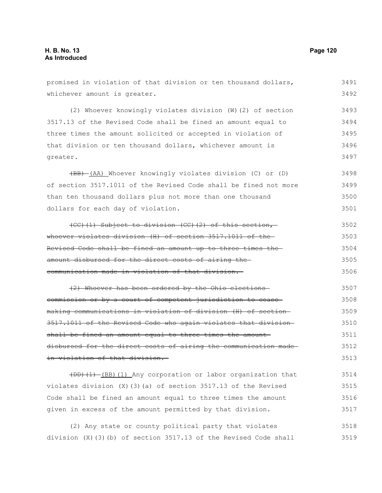promised in violation of that division or ten thousand dollars, whichever amount is greater. (2) Whoever knowingly violates division (W)(2) of section 3517.13 of the Revised Code shall be fined an amount equal to three times the amount solicited or accepted in violation of that division or ten thousand dollars, whichever amount is greater. (BB) (AA) Whoever knowingly violates division (C) or (D) of section 3517.1011 of the Revised Code shall be fined not more than ten thousand dollars plus not more than one thousand dollars for each day of violation. (CC)(1) Subject to division (CC)(2) of this section, whoever violates division (H) of section 3517.1011 of the-Revised Code shall be fined an amount up to three times the amount disbursed for the direct costs of airing the 3492 3493 3494 3495 3496 3497 3498 3499 3500 3501 3502 3503 3504 3505

(2) Whoever has been ordered by the Ohio elections commission or by a court of competent jurisdiction to cease making communications in violation of division (H) of section 3517.1011 of the Revised Code who again violates that division shall be fined an amount equal to three times the amountdisbursed for the direct costs of airing the communication made in violation of that division. 3507 3508 3509 3510 3511 3512 3513

communication made in violation of that division.

(DD)(1) (BB)(1) Any corporation or labor organization that violates division  $(X)$  (3)(a) of section 3517.13 of the Revised Code shall be fined an amount equal to three times the amount given in excess of the amount permitted by that division. 3514 3515 3516 3517

(2) Any state or county political party that violates division (X)(3)(b) of section 3517.13 of the Revised Code shall 3518 3519

3491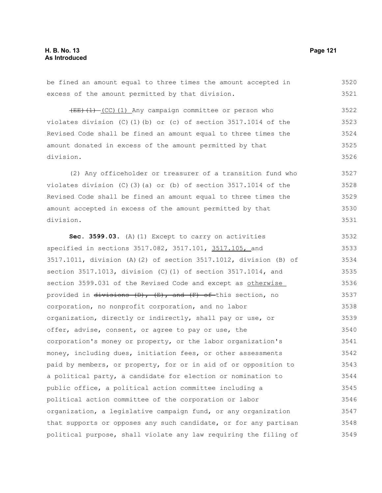be fined an amount equal to three times the amount accepted in excess of the amount permitted by that division.  $(EE)$  (1) (CC)(1) Any campaign committee or person who violates division (C)(1)(b) or (c) of section  $3517.1014$  of the Revised Code shall be fined an amount equal to three times the amount donated in excess of the amount permitted by that division. (2) Any officeholder or treasurer of a transition fund who violates division (C)(3)(a) or (b) of section 3517.1014 of the Revised Code shall be fined an amount equal to three times the amount accepted in excess of the amount permitted by that division. **Sec. 3599.03.** (A)(1) Except to carry on activities specified in sections 3517.082, 3517.101, 3517.105, and 3517.1011, division (A)(2) of section 3517.1012, division (B) of section 3517.1013, division (C)(1) of section 3517.1014, and section 3599.031 of the Revised Code and except as otherwise 3520 3521 3522 3523 3524 3525 3526 3527 3528 3529 3530 3531 3532 3533 3534 3535 3536

provided in divisions  $(D)$ ,  $(E)$ , and  $(F)$  of this section, no corporation, no nonprofit corporation, and no labor organization, directly or indirectly, shall pay or use, or offer, advise, consent, or agree to pay or use, the corporation's money or property, or the labor organization's money, including dues, initiation fees, or other assessments paid by members, or property, for or in aid of or opposition to a political party, a candidate for election or nomination to public office, a political action committee including a political action committee of the corporation or labor organization, a legislative campaign fund, or any organization that supports or opposes any such candidate, or for any partisan political purpose, shall violate any law requiring the filing of 3537 3538 3539 3540 3541 3542 3543 3544 3545 3546 3547 3548 3549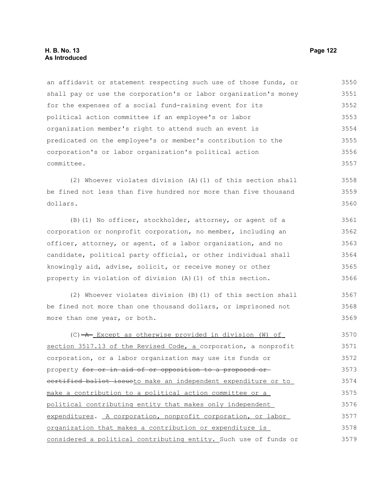an affidavit or statement respecting such use of those funds, or shall pay or use the corporation's or labor organization's money for the expenses of a social fund-raising event for its political action committee if an employee's or labor organization member's right to attend such an event is predicated on the employee's or member's contribution to the corporation's or labor organization's political action committee. 3550 3551 3552 3553 3554 3555 3556 3557

(2) Whoever violates division (A)(1) of this section shall be fined not less than five hundred nor more than five thousand dollars. 3558 3559 3560

(B)(1) No officer, stockholder, attorney, or agent of a corporation or nonprofit corporation, no member, including an officer, attorney, or agent, of a labor organization, and no candidate, political party official, or other individual shall knowingly aid, advise, solicit, or receive money or other property in violation of division (A)(1) of this section. 3561 3562 3563 3564 3565 3566

(2) Whoever violates division (B)(1) of this section shall be fined not more than one thousand dollars, or imprisoned not more than one year, or both. 3567 3568 3569

 $(C)$   $\rightarrow$  Except as otherwise provided in division (W) of section 3517.13 of the Revised Code, a corporation, a nonprofit corporation, or a labor organization may use its funds or property for or in aid of or opposition to a proposed or certified ballot issueto make an independent expenditure or to make a contribution to a political action committee or a political contributing entity that makes only independent expenditures. A corporation, nonprofit corporation, or labor organization that makes a contribution or expenditure is considered a political contributing entity. Such use of funds or 3570 3571 3572 3573 3574 3575 3576 3577 3578 3579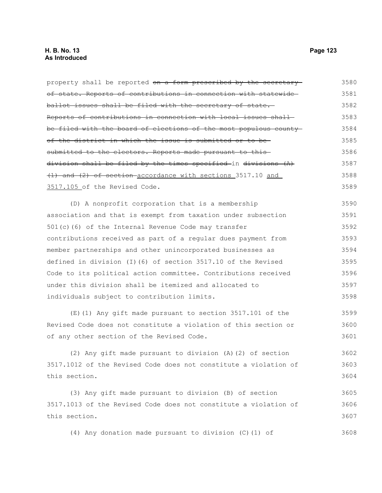property shall be reported on a form prescribed by the secretaryof state. Reports of contributions in connection with statewide ballot issues shall be filed with the secretary of state. Reports of contributions in connection with local issues shall be filed with the board of elections of the most populous county of the district in which the issue is submitted or to be submitted to the electors. Reports made pursuant to thisdivision shall be filed by the times specified in divisions (A) (1) and (2) of section accordance with sections 3517.10 and 3517.105 of the Revised Code. 3580 3581 3582 3583 3584 3585 3586 3587 3588 3589

(D) A nonprofit corporation that is a membership association and that is exempt from taxation under subsection 501(c)(6) of the Internal Revenue Code may transfer contributions received as part of a regular dues payment from member partnerships and other unincorporated businesses as defined in division (I)(6) of section 3517.10 of the Revised Code to its political action committee. Contributions received under this division shall be itemized and allocated to individuals subject to contribution limits. 3590 3591 3592 3593 3594 3595 3596 3597 3598

(E)(1) Any gift made pursuant to section 3517.101 of the Revised Code does not constitute a violation of this section or of any other section of the Revised Code. 3599 3600 3601

(2) Any gift made pursuant to division (A)(2) of section 3517.1012 of the Revised Code does not constitute a violation of this section. 3602 3603 3604

(3) Any gift made pursuant to division (B) of section 3517.1013 of the Revised Code does not constitute a violation of this section. 3605 3606 3607

(4) Any donation made pursuant to division (C)(1) of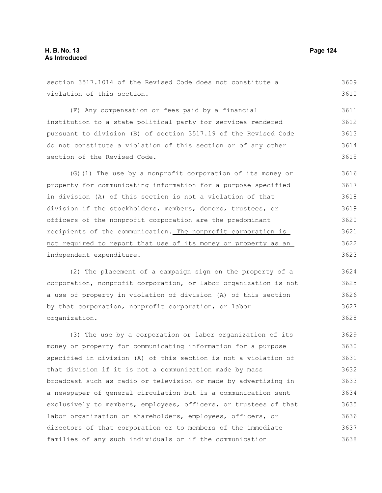| section 3517.1014 of the Revised Code does not constitute a      | 3609 |
|------------------------------------------------------------------|------|
| violation of this section.                                       | 3610 |
| (F) Any compensation or fees paid by a financial                 | 3611 |
| institution to a state political party for services rendered     | 3612 |
| pursuant to division (B) of section 3517.19 of the Revised Code  | 3613 |
| do not constitute a violation of this section or of any other    | 3614 |
| section of the Revised Code.                                     | 3615 |
| (G) (1) The use by a nonprofit corporation of its money or       | 3616 |
| property for communicating information for a purpose specified   | 3617 |
| in division (A) of this section is not a violation of that       | 3618 |
| division if the stockholders, members, donors, trustees, or      | 3619 |
| officers of the nonprofit corporation are the predominant        | 3620 |
| recipients of the communication. The nonprofit corporation is    | 3621 |
| not required to report that use of its money or property as an   | 3622 |
| independent expenditure.                                         | 3623 |
| (2) The placement of a campaign sign on the property of a        | 3624 |
| corporation, nonprofit corporation, or labor organization is not | 3625 |
| a use of property in violation of division (A) of this section   | 3626 |
| by that corporation, nonprofit corporation, or labor             | 3627 |
| organization.                                                    | 3628 |
| (3) The use by a corporation or labor organization of its        | 3629 |
| money or property for communicating information for a purpose    | 3630 |
| specified in division (A) of this section is not a violation of  | 3631 |
| that division if it is not a communication made by mass          | 3632 |
| broadcast such as radio or television or made by advertising in  | 3633 |
| a newspaper of general circulation but is a communication sent   | 3634 |
| exclusively to members, employees, officers, or trustees of that | 3635 |
| labor organization or shareholders, employees, officers, or      | 3636 |
| directors of that corporation or to members of the immediate     | 3637 |
| families of any such individuals or if the communication         | 3638 |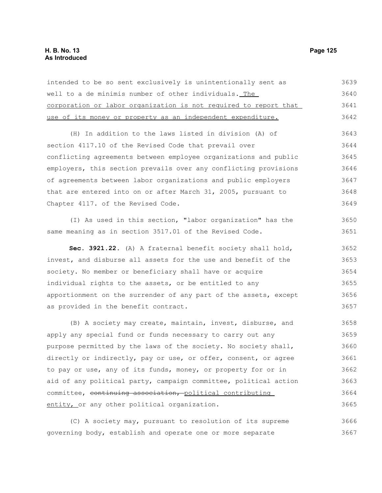# **H. B. No. 13 Page 125 As Introduced**

| intended to be so sent exclusively is unintentionally sent as    | 3639 |
|------------------------------------------------------------------|------|
| well to a de minimis number of other individuals. The            | 3640 |
| corporation or labor organization is not required to report that | 3641 |
| use of its money or property as an independent expenditure.      | 3642 |
| (H) In addition to the laws listed in division (A) of            | 3643 |
| section 4117.10 of the Revised Code that prevail over            | 3644 |
| conflicting agreements between employee organizations and public | 3645 |
| employers, this section prevails over any conflicting provisions | 3646 |
| of agreements between labor organizations and public employers   | 3647 |
| that are entered into on or after March 31, 2005, pursuant to    | 3648 |
| Chapter 4117. of the Revised Code.                               | 3649 |
| (I) As used in this section, "labor organization" has the        | 3650 |
| same meaning as in section 3517.01 of the Revised Code.          | 3651 |
| Sec. 3921.22. (A) A fraternal benefit society shall hold,        | 3652 |
| invest, and disburse all assets for the use and benefit of the   | 3653 |
| society. No member or beneficiary shall have or acquire          | 3654 |
| individual rights to the assets, or be entitled to any           | 3655 |
| apportionment on the surrender of any part of the assets, except | 3656 |
| as provided in the benefit contract.                             | 3657 |
| (B) A society may create, maintain, invest, disburse, and        | 3658 |
| apply any special fund or funds necessary to carry out any       | 3659 |
| purpose permitted by the laws of the society. No society shall,  | 3660 |
| directly or indirectly, pay or use, or offer, consent, or agree  | 3661 |
| to pay or use, any of its funds, money, or property for or in    | 3662 |
| aid of any political party, campaign committee, political action | 3663 |
| committee, continuing association, political contributing        | 3664 |
| entity, or any other political organization.                     | 3665 |
| (C) A society may, pursuant to resolution of its supreme         | 3666 |
| governing body, establish and operate one or more separate       | 3667 |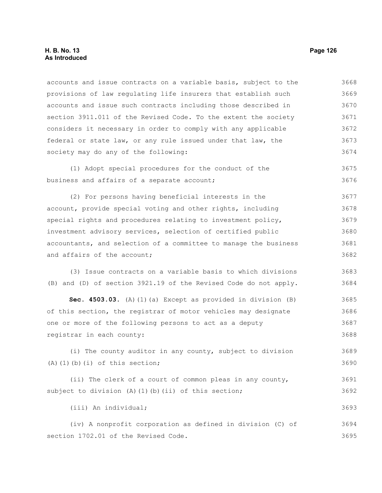## **H. B. No. 13 Page 126 As Introduced**

accounts and issue contracts on a variable basis, subject to the provisions of law regulating life insurers that establish such accounts and issue such contracts including those described in section 3911.011 of the Revised Code. To the extent the society considers it necessary in order to comply with any applicable federal or state law, or any rule issued under that law, the society may do any of the following: 3668 3669 3670 3671 3672 3673 3674

(1) Adopt special procedures for the conduct of the business and affairs of a separate account; 3675 3676

(2) For persons having beneficial interests in the account, provide special voting and other rights, including special rights and procedures relating to investment policy, investment advisory services, selection of certified public accountants, and selection of a committee to manage the business and affairs of the account; 3677 3678 3679 3680 3681 3682

(3) Issue contracts on a variable basis to which divisions (B) and (D) of section 3921.19 of the Revised Code do not apply. 3683 3684

**Sec. 4503.03.** (A)(1)(a) Except as provided in division (B) of this section, the registrar of motor vehicles may designate one or more of the following persons to act as a deputy registrar in each county: 3685 3686 3687 3688

(i) The county auditor in any county, subject to division  $(A)$  $(1)$  $(b)$  $(i)$  of this section; 3689 3690

(ii) The clerk of a court of common pleas in any county, subject to division (A)(1)(b)(ii) of this section; 3691 3692

(iii) An individual;

(iv) A nonprofit corporation as defined in division (C) of section 1702.01 of the Revised Code. 3694 3695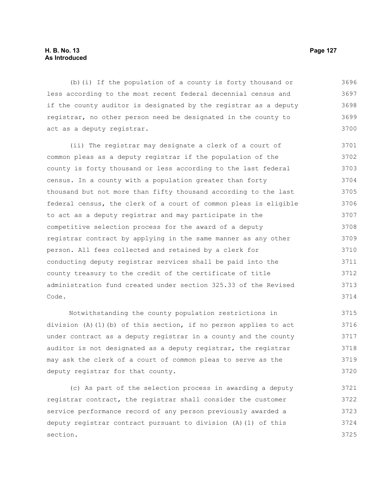## **H. B. No. 13 Page 127 As Introduced**

(b)(i) If the population of a county is forty thousand or less according to the most recent federal decennial census and if the county auditor is designated by the registrar as a deputy registrar, no other person need be designated in the county to act as a deputy registrar. 3696 3697 3698 3699 3700

(ii) The registrar may designate a clerk of a court of common pleas as a deputy registrar if the population of the county is forty thousand or less according to the last federal census. In a county with a population greater than forty thousand but not more than fifty thousand according to the last federal census, the clerk of a court of common pleas is eligible to act as a deputy registrar and may participate in the competitive selection process for the award of a deputy registrar contract by applying in the same manner as any other person. All fees collected and retained by a clerk for conducting deputy registrar services shall be paid into the county treasury to the credit of the certificate of title administration fund created under section 325.33 of the Revised Code. 3701 3702 3703 3704 3705 3706 3707 3708 3709 3710 3711 3712 3713 3714

Notwithstanding the county population restrictions in division (A)(1)(b) of this section, if no person applies to act under contract as a deputy registrar in a county and the county auditor is not designated as a deputy registrar, the registrar may ask the clerk of a court of common pleas to serve as the deputy registrar for that county. 3715 3716 3717 3718 3719 3720

(c) As part of the selection process in awarding a deputy registrar contract, the registrar shall consider the customer service performance record of any person previously awarded a deputy registrar contract pursuant to division (A)(1) of this section. 3721 3722 3723 3724 3725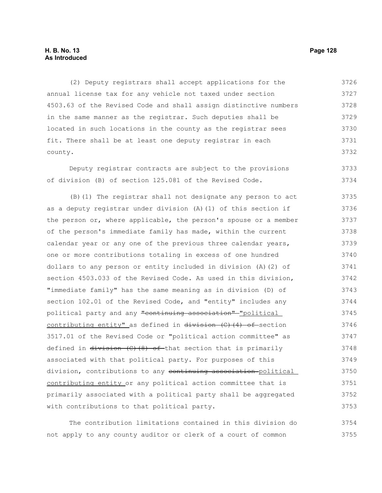# **H. B. No. 13 Page 128 As Introduced**

(2) Deputy registrars shall accept applications for the annual license tax for any vehicle not taxed under section 4503.63 of the Revised Code and shall assign distinctive numbers in the same manner as the registrar. Such deputies shall be located in such locations in the county as the registrar sees fit. There shall be at least one deputy registrar in each county. 3726 3727 3728 3729 3730 3731 3732

Deputy registrar contracts are subject to the provisions of division (B) of section 125.081 of the Revised Code. 3733 3734

(B)(1) The registrar shall not designate any person to act as a deputy registrar under division (A)(1) of this section if the person or, where applicable, the person's spouse or a member of the person's immediate family has made, within the current calendar year or any one of the previous three calendar years, one or more contributions totaling in excess of one hundred dollars to any person or entity included in division (A)(2) of section 4503.033 of the Revised Code. As used in this division, "immediate family" has the same meaning as in division (D) of section 102.01 of the Revised Code, and "entity" includes any political party and any "continuing association" "political contributing entity" as defined in  $d$ ivision  $(C)$  (4) of section 3517.01 of the Revised Code or "political action committee" as defined in  $d$ ivision  $(C)$   $(8)$  of that section that is primarily associated with that political party. For purposes of this division, contributions to any continuing association-political contributing entity or any political action committee that is primarily associated with a political party shall be aggregated with contributions to that political party. 3735 3736 3737 3738 3739 3740 3741 3742 3743 3744 3745 3746 3747 3748 3749 3750 3751 3752 3753

The contribution limitations contained in this division do not apply to any county auditor or clerk of a court of common 3754 3755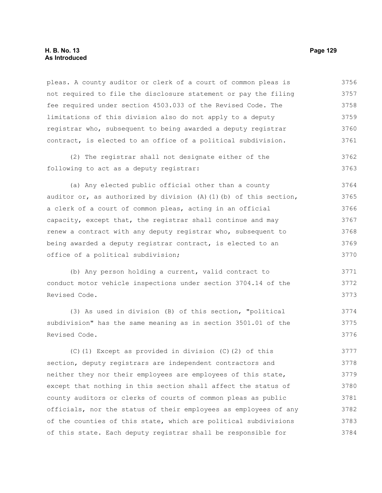## **H. B. No. 13 Page 129 As Introduced**

pleas. A county auditor or clerk of a court of common pleas is not required to file the disclosure statement or pay the filing fee required under section 4503.033 of the Revised Code. The limitations of this division also do not apply to a deputy registrar who, subsequent to being awarded a deputy registrar contract, is elected to an office of a political subdivision. 3756 3757 3758 3759 3760 3761

(2) The registrar shall not designate either of the following to act as a deputy registrar: 3762 3763

(a) Any elected public official other than a county auditor or, as authorized by division  $(A)$   $(1)$   $(b)$  of this section, a clerk of a court of common pleas, acting in an official capacity, except that, the registrar shall continue and may renew a contract with any deputy registrar who, subsequent to being awarded a deputy registrar contract, is elected to an office of a political subdivision; 3764 3765 3766 3767 3768 3769 3770

(b) Any person holding a current, valid contract to conduct motor vehicle inspections under section 3704.14 of the Revised Code. 3771 3772 3773

(3) As used in division (B) of this section, "political subdivision" has the same meaning as in section 3501.01 of the Revised Code. 3774 3775 3776

(C)(1) Except as provided in division (C)(2) of this section, deputy registrars are independent contractors and neither they nor their employees are employees of this state, except that nothing in this section shall affect the status of county auditors or clerks of courts of common pleas as public officials, nor the status of their employees as employees of any of the counties of this state, which are political subdivisions of this state. Each deputy registrar shall be responsible for 3777 3778 3779 3780 3781 3782 3783 3784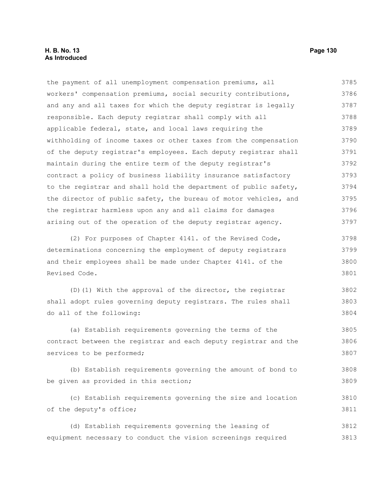the payment of all unemployment compensation premiums, all workers' compensation premiums, social security contributions, and any and all taxes for which the deputy registrar is legally responsible. Each deputy registrar shall comply with all applicable federal, state, and local laws requiring the withholding of income taxes or other taxes from the compensation of the deputy registrar's employees. Each deputy registrar shall maintain during the entire term of the deputy registrar's contract a policy of business liability insurance satisfactory to the registrar and shall hold the department of public safety, the director of public safety, the bureau of motor vehicles, and the registrar harmless upon any and all claims for damages arising out of the operation of the deputy registrar agency. 3785 3786 3787 3788 3789 3790 3791 3792 3793 3794 3795 3796 3797

(2) For purposes of Chapter 4141. of the Revised Code, determinations concerning the employment of deputy registrars and their employees shall be made under Chapter 4141. of the Revised Code. 3798 3799 3800 3801

(D)(1) With the approval of the director, the registrar shall adopt rules governing deputy registrars. The rules shall do all of the following: 3802 3803 3804

(a) Establish requirements governing the terms of the contract between the registrar and each deputy registrar and the services to be performed; 3805 3806 3807

(b) Establish requirements governing the amount of bond to be given as provided in this section; 3808 3809

(c) Establish requirements governing the size and location of the deputy's office; 3810 3811

(d) Establish requirements governing the leasing of equipment necessary to conduct the vision screenings required 3812 3813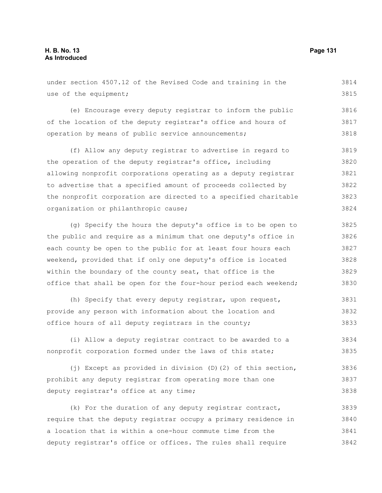3833

#### under section 4507.12 of the Revised Code and training in the use of the equipment; (e) Encourage every deputy registrar to inform the public of the location of the deputy registrar's office and hours of operation by means of public service announcements; (f) Allow any deputy registrar to advertise in regard to the operation of the deputy registrar's office, including allowing nonprofit corporations operating as a deputy registrar to advertise that a specified amount of proceeds collected by the nonprofit corporation are directed to a specified charitable organization or philanthropic cause; (g) Specify the hours the deputy's office is to be open to the public and require as a minimum that one deputy's office in each county be open to the public for at least four hours each weekend, provided that if only one deputy's office is located within the boundary of the county seat, that office is the office that shall be open for the four-hour period each weekend; (h) Specify that every deputy registrar, upon request, provide any person with information about the location and 3814 3815 3816 3817 3818 3819 3820 3821 3822 3823 3824 3825 3826 3827 3828 3829 3830 3831 3832

(i) Allow a deputy registrar contract to be awarded to a nonprofit corporation formed under the laws of this state; 3834 3835

office hours of all deputy registrars in the county;

(j) Except as provided in division (D)(2) of this section, prohibit any deputy registrar from operating more than one deputy registrar's office at any time; 3836 3837 3838

(k) For the duration of any deputy registrar contract, require that the deputy registrar occupy a primary residence in a location that is within a one-hour commute time from the deputy registrar's office or offices. The rules shall require 3839 3840 3841 3842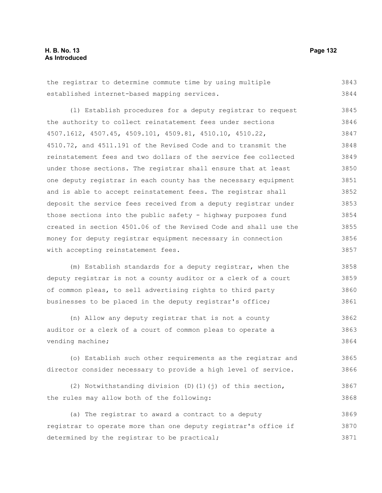the registrar to determine commute time by using multiple established internet-based mapping services. 3843 3844

(l) Establish procedures for a deputy registrar to request the authority to collect reinstatement fees under sections 4507.1612, 4507.45, 4509.101, 4509.81, 4510.10, 4510.22, 4510.72, and 4511.191 of the Revised Code and to transmit the reinstatement fees and two dollars of the service fee collected under those sections. The registrar shall ensure that at least one deputy registrar in each county has the necessary equipment and is able to accept reinstatement fees. The registrar shall deposit the service fees received from a deputy registrar under those sections into the public safety - highway purposes fund created in section 4501.06 of the Revised Code and shall use the money for deputy registrar equipment necessary in connection with accepting reinstatement fees. 3845 3846 3847 3848 3849 3850 3851 3852 3853 3854 3855 3856 3857

(m) Establish standards for a deputy registrar, when the deputy registrar is not a county auditor or a clerk of a court of common pleas, to sell advertising rights to third party businesses to be placed in the deputy registrar's office; 3858 3859 3860 3861

(n) Allow any deputy registrar that is not a county auditor or a clerk of a court of common pleas to operate a vending machine; 3863 3864

(o) Establish such other requirements as the registrar and director consider necessary to provide a high level of service. 3865 3866

(2) Notwithstanding division (D)(1)(j) of this section, the rules may allow both of the following: 3867 3868

(a) The registrar to award a contract to a deputy registrar to operate more than one deputy registrar's office if determined by the registrar to be practical; 3869 3870 3871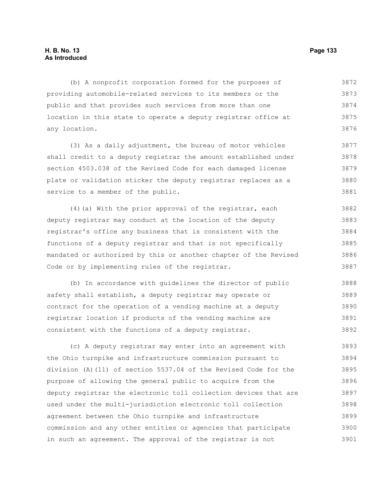# **H. B. No. 13 Page 133 As Introduced**

(b) A nonprofit corporation formed for the purposes of providing automobile-related services to its members or the public and that provides such services from more than one location in this state to operate a deputy registrar office at any location. 3872 3873 3874 3875 3876

(3) As a daily adjustment, the bureau of motor vehicles shall credit to a deputy registrar the amount established under section 4503.038 of the Revised Code for each damaged license plate or validation sticker the deputy registrar replaces as a service to a member of the public. 3877 3878 3879 3880 3881

(4)(a) With the prior approval of the registrar, each deputy registrar may conduct at the location of the deputy registrar's office any business that is consistent with the functions of a deputy registrar and that is not specifically mandated or authorized by this or another chapter of the Revised Code or by implementing rules of the registrar. 3882 3883 3884 3885 3886 3887

(b) In accordance with guidelines the director of public safety shall establish, a deputy registrar may operate or contract for the operation of a vending machine at a deputy registrar location if products of the vending machine are consistent with the functions of a deputy registrar. 3888 3889 3890 3891 3892

(c) A deputy registrar may enter into an agreement with the Ohio turnpike and infrastructure commission pursuant to division (A)(11) of section 5537.04 of the Revised Code for the purpose of allowing the general public to acquire from the deputy registrar the electronic toll collection devices that are used under the multi-jurisdiction electronic toll collection agreement between the Ohio turnpike and infrastructure commission and any other entities or agencies that participate in such an agreement. The approval of the registrar is not 3893 3894 3895 3896 3897 3898 3899 3900 3901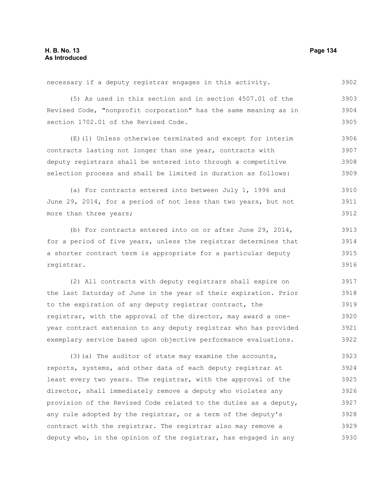necessary if a deputy registrar engages in this activity. 3902

(5) As used in this section and in section 4507.01 of the Revised Code, "nonprofit corporation" has the same meaning as in section 1702.01 of the Revised Code. 3903 3904 3905

(E)(1) Unless otherwise terminated and except for interim contracts lasting not longer than one year, contracts with deputy registrars shall be entered into through a competitive selection process and shall be limited in duration as follows: 3906 3907 3908 3909

(a) For contracts entered into between July 1, 1996 and June 29, 2014, for a period of not less than two years, but not more than three years; 3910 3911 3912

(b) For contracts entered into on or after June 29, 2014, for a period of five years, unless the registrar determines that a shorter contract term is appropriate for a particular deputy registrar. 3913 3914 3915 3916

(2) All contracts with deputy registrars shall expire on the last Saturday of June in the year of their expiration. Prior to the expiration of any deputy registrar contract, the registrar, with the approval of the director, may award a oneyear contract extension to any deputy registrar who has provided exemplary service based upon objective performance evaluations. 3918 3919 3920 3921 3922

(3)(a) The auditor of state may examine the accounts, reports, systems, and other data of each deputy registrar at least every two years. The registrar, with the approval of the director, shall immediately remove a deputy who violates any provision of the Revised Code related to the duties as a deputy, any rule adopted by the registrar, or a term of the deputy's contract with the registrar. The registrar also may remove a deputy who, in the opinion of the registrar, has engaged in any 3923 3924 3925 3926 3927 3928 3929 3930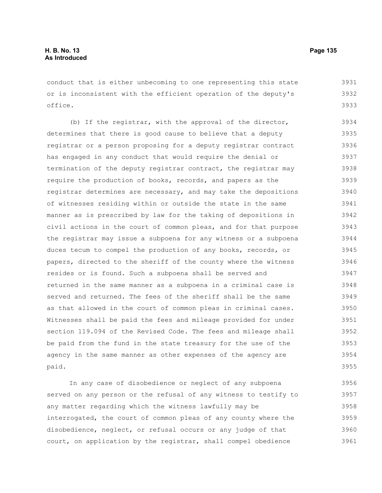conduct that is either unbecoming to one representing this state or is inconsistent with the efficient operation of the deputy's office. 3931 3932 3933

(b) If the registrar, with the approval of the director, determines that there is good cause to believe that a deputy registrar or a person proposing for a deputy registrar contract has engaged in any conduct that would require the denial or termination of the deputy registrar contract, the registrar may require the production of books, records, and papers as the registrar determines are necessary, and may take the depositions of witnesses residing within or outside the state in the same manner as is prescribed by law for the taking of depositions in civil actions in the court of common pleas, and for that purpose the registrar may issue a subpoena for any witness or a subpoena duces tecum to compel the production of any books, records, or papers, directed to the sheriff of the county where the witness resides or is found. Such a subpoena shall be served and returned in the same manner as a subpoena in a criminal case is served and returned. The fees of the sheriff shall be the same as that allowed in the court of common pleas in criminal cases. Witnesses shall be paid the fees and mileage provided for under section 119.094 of the Revised Code. The fees and mileage shall be paid from the fund in the state treasury for the use of the agency in the same manner as other expenses of the agency are paid. 3934 3935 3936 3937 3938 3939 3940 3941 3942 3943 3944 3945 3946 3947 3948 3949 3950 3951 3952 3953 3954 3955

In any case of disobedience or neglect of any subpoena served on any person or the refusal of any witness to testify to any matter regarding which the witness lawfully may be interrogated, the court of common pleas of any county where the disobedience, neglect, or refusal occurs or any judge of that court, on application by the registrar, shall compel obedience 3956 3957 3958 3959 3960 3961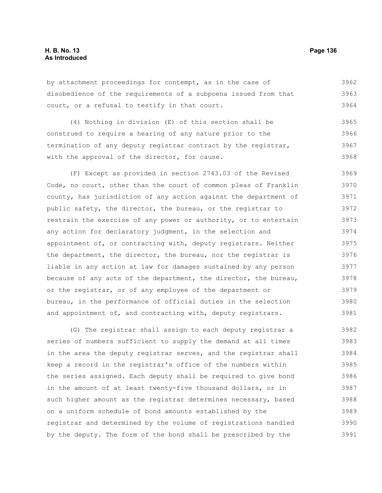# **H. B. No. 13 Page 136 As Introduced**

by attachment proceedings for contempt, as in the case of disobedience of the requirements of a subpoena issued from that court, or a refusal to testify in that court. 3962 3963 3964

(4) Nothing in division (E) of this section shall be construed to require a hearing of any nature prior to the termination of any deputy registrar contract by the registrar, with the approval of the director, for cause. 3965 3966 3967 3968

(F) Except as provided in section 2743.03 of the Revised Code, no court, other than the court of common pleas of Franklin county, has jurisdiction of any action against the department of public safety, the director, the bureau, or the registrar to restrain the exercise of any power or authority, or to entertain any action for declaratory judgment, in the selection and appointment of, or contracting with, deputy registrars. Neither the department, the director, the bureau, nor the registrar is liable in any action at law for damages sustained by any person because of any acts of the department, the director, the bureau, or the registrar, or of any employee of the department or bureau, in the performance of official duties in the selection and appointment of, and contracting with, deputy registrars. 3969 3970 3971 3972 3973 3974 3975 3976 3977 3978 3979 3980 3981

(G) The registrar shall assign to each deputy registrar a series of numbers sufficient to supply the demand at all times in the area the deputy registrar serves, and the registrar shall keep a record in the registrar's office of the numbers within the series assigned. Each deputy shall be required to give bond in the amount of at least twenty-five thousand dollars, or in such higher amount as the registrar determines necessary, based on a uniform schedule of bond amounts established by the registrar and determined by the volume of registrations handled by the deputy. The form of the bond shall be prescribed by the 3982 3983 3984 3985 3986 3987 3988 3989 3990 3991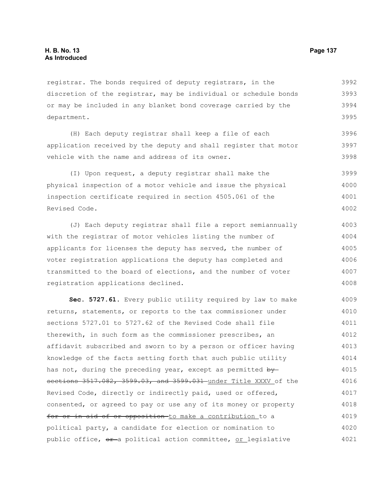registrar. The bonds required of deputy registrars, in the discretion of the registrar, may be individual or schedule bonds or may be included in any blanket bond coverage carried by the department. 3992 3993 3994 3995

(H) Each deputy registrar shall keep a file of each application received by the deputy and shall register that motor vehicle with the name and address of its owner. 3996 3997 3998

(I) Upon request, a deputy registrar shall make the physical inspection of a motor vehicle and issue the physical inspection certificate required in section 4505.061 of the Revised Code. 3999 4000 4001 4002

(J) Each deputy registrar shall file a report semiannually with the registrar of motor vehicles listing the number of applicants for licenses the deputy has served, the number of voter registration applications the deputy has completed and transmitted to the board of elections, and the number of voter registration applications declined. 4003 4004 4005 4006 4007 4008

**Sec. 5727.61.** Every public utility required by law to make returns, statements, or reports to the tax commissioner under sections 5727.01 to 5727.62 of the Revised Code shall file therewith, in such form as the commissioner prescribes, an affidavit subscribed and sworn to by a person or officer having knowledge of the facts setting forth that such public utility has not, during the preceding year, except as permitted  $by$ sections 3517.082, 3599.03, and 3599.031 under Title XXXV of the Revised Code, directly or indirectly paid, used or offered, consented, or agreed to pay or use any of its money or property for or in aid of or opposition-to make a contribution to a political party, a candidate for election or nomination to public office,  $\theta$  a political action committee, or legislative 4009 4010 4011 4012 4013 4014 4015 4016 4017 4018 4019 4020 4021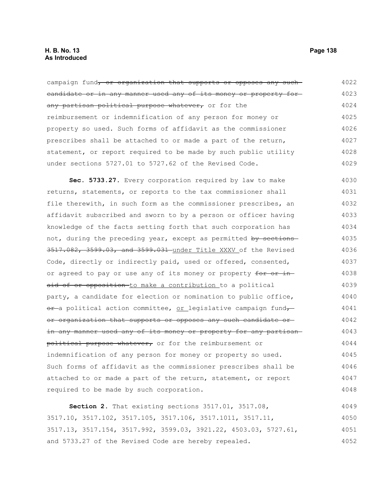campaign fund, or organization that supports or opposes any suchcandidate or in any manner used any of its money or property for any partisan political purpose whatever, or for the reimbursement or indemnification of any person for money or property so used. Such forms of affidavit as the commissioner prescribes shall be attached to or made a part of the return, statement, or report required to be made by such public utility under sections 5727.01 to 5727.62 of the Revised Code. 4022 4023 4024 4025 4026 4027 4028 4029

**Sec. 5733.27.** Every corporation required by law to make returns, statements, or reports to the tax commissioner shall file therewith, in such form as the commissioner prescribes, an affidavit subscribed and sworn to by a person or officer having knowledge of the facts setting forth that such corporation has not, during the preceding year, except as permitted by sections-3517.082, 3599.03, and 3599.031 under Title XXXV of the Revised Code, directly or indirectly paid, used or offered, consented, or agreed to pay or use any of its money or property for or inaid of or opposition-to make a contribution to a political party, a candidate for election or nomination to public office, or-a political action committee, or legislative campaign fund or organization that supports or opposes any such candidate or in any manner used any of its money or property for any partisan political purpose whatever, or for the reimbursement or indemnification of any person for money or property so used. Such forms of affidavit as the commissioner prescribes shall be attached to or made a part of the return, statement, or report required to be made by such corporation. 4030 4031 4032 4033 4034 4035 4036 4037 4038 4039 4040 4041 4042 4043 4044 4045 4046 4047 4048

**Section 2.** That existing sections 3517.01, 3517.08, 3517.10, 3517.102, 3517.105, 3517.106, 3517.1011, 3517.11, 3517.13, 3517.154, 3517.992, 3599.03, 3921.22, 4503.03, 5727.61, and 5733.27 of the Revised Code are hereby repealed. 4049 4050 4051 4052